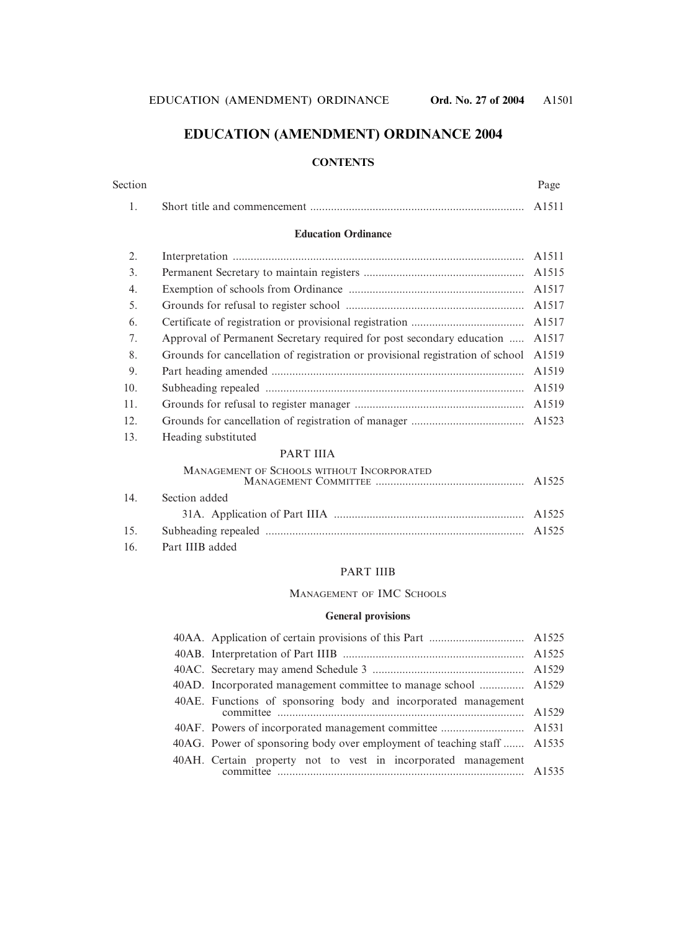# **EDUCATION (AMENDMENT) ORDINANCE 2004**

#### **CONTENTS**

| Section | Page |
|---------|------|
|         |      |

#### **Education Ordinance**

| 2.  |                                                                                | A <sub>1511</sub> |
|-----|--------------------------------------------------------------------------------|-------------------|
| 3.  |                                                                                |                   |
| 4.  |                                                                                |                   |
| 5.  |                                                                                |                   |
| 6.  |                                                                                |                   |
| 7.  | Approval of Permanent Secretary required for post secondary education          | A <sub>1517</sub> |
| 8.  | Grounds for cancellation of registration or provisional registration of school | A1519             |
| 9.  |                                                                                | A1519             |
| 10. |                                                                                | A <sub>1519</sub> |
| 11. |                                                                                | A1519             |
| 12. |                                                                                |                   |
| 12  | $H_{\alpha\alpha}$ ding substituted                                            |                   |

13. Heading substituted

#### PART IIIA

### MANAGEMENT OF SCHOOLS WITHOUT INCORPORATED

| 14. Section added   |  |
|---------------------|--|
|                     |  |
|                     |  |
| 16. Part IIIB added |  |

#### PART IIIB

#### MANAGEMENT OF IMC SCHOOLS

#### **General provisions**

| 40AD. Incorporated management committee to manage school  A1529        |  |
|------------------------------------------------------------------------|--|
| 40AE. Functions of sponsoring body and incorporated management         |  |
|                                                                        |  |
| 40AG. Power of sponsoring body over employment of teaching staff A1535 |  |
| 40AH. Certain property not to vest in incorporated management          |  |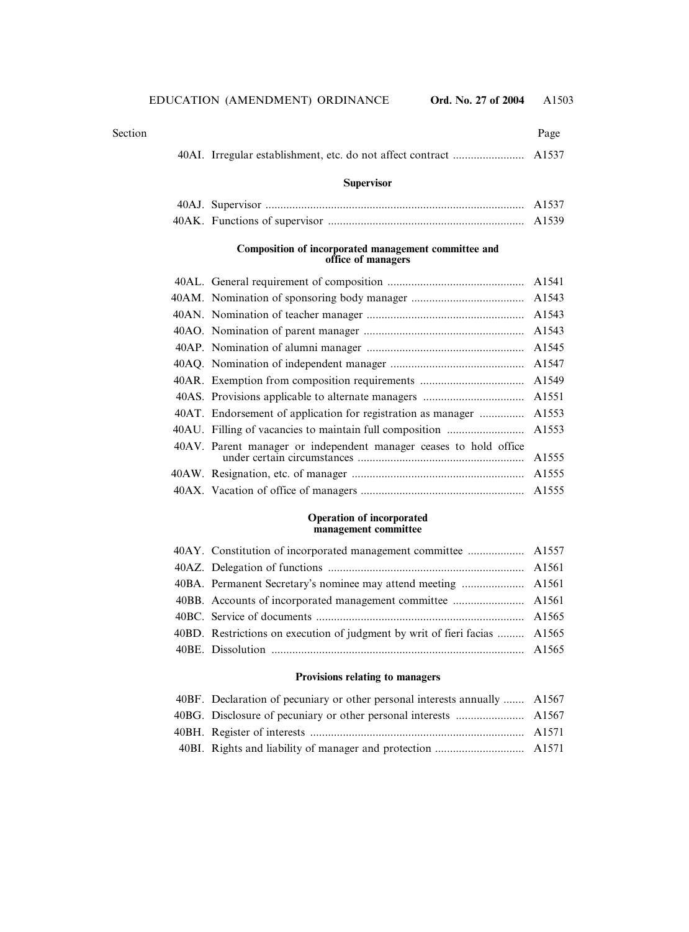| Section |                                                                            | Page  |
|---------|----------------------------------------------------------------------------|-------|
|         |                                                                            |       |
|         | <b>Supervisor</b>                                                          |       |
|         |                                                                            | A1537 |
|         |                                                                            |       |
|         | Composition of incorporated management committee and<br>office of managers |       |
|         |                                                                            |       |
|         |                                                                            |       |
|         | 40AN Nomination of teacher manager                                         | A1543 |

| 40AT. Endorsement of application for registration as manager  A1553 |       |
|---------------------------------------------------------------------|-------|
|                                                                     |       |
| 40AV. Parent manager or independent manager ceases to hold office   | A1555 |
|                                                                     |       |
|                                                                     |       |

#### **Operation of incorporated management committee**

| 40BD. Restrictions on execution of judgment by writ of fieri facias  A1565 |  |
|----------------------------------------------------------------------------|--|
|                                                                            |  |
|                                                                            |  |

### **Provisions relating to managers**

| 40BF. Declaration of pecuniary or other personal interests annually  A1567 |  |
|----------------------------------------------------------------------------|--|
|                                                                            |  |
|                                                                            |  |
|                                                                            |  |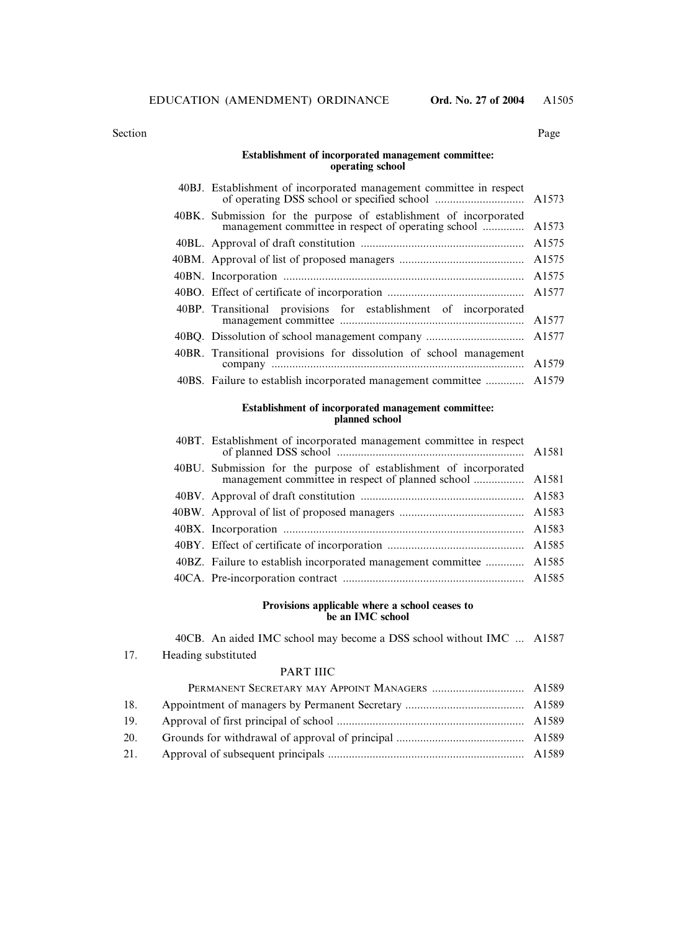Section Page

#### **Establishment of incorporated management committee: operating school**

| 40BJ. Establishment of incorporated management committee in respect                                                             |       |
|---------------------------------------------------------------------------------------------------------------------------------|-------|
| 40BK. Submission for the purpose of establishment of incorporated<br>management committee in respect of operating school  A1573 |       |
|                                                                                                                                 | A1575 |
|                                                                                                                                 | A1575 |
|                                                                                                                                 | A1575 |
|                                                                                                                                 | A1577 |
| 40BP. Transitional provisions for establishment of incorporated                                                                 | A1577 |
|                                                                                                                                 |       |
| 40BR. Transitional provisions for dissolution of school management                                                              | A1579 |
| 40BS. Failure to establish incorporated management committee  A1579                                                             |       |

#### **Establishment of incorporated management committee: planned school**

| 40BT. Establishment of incorporated management committee in respect |  |
|---------------------------------------------------------------------|--|
|                                                                     |  |
|                                                                     |  |
|                                                                     |  |
|                                                                     |  |
|                                                                     |  |
| 40BZ. Failure to establish incorporated management committee  A1585 |  |
|                                                                     |  |
|                                                                     |  |

#### **Provisions applicable where a school ceases to be an IMC school**

40CB. An aided IMC school may become a DSS school without IMC ... A1587

17. Heading substituted

#### PART IIIC

| 18. |  |
|-----|--|
| 19. |  |
| 20. |  |
|     |  |
|     |  |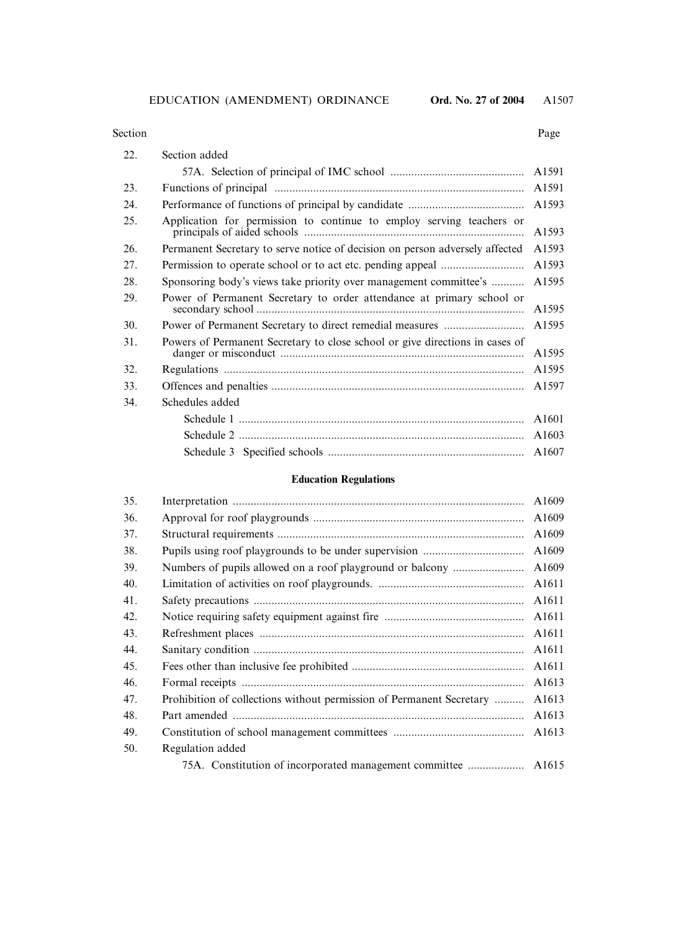#### Section Page

| 22. | Section added                                                                |       |
|-----|------------------------------------------------------------------------------|-------|
|     |                                                                              |       |
| 23. |                                                                              |       |
| 24. |                                                                              | A1593 |
| 25. | Application for permission to continue to employ serving teachers or         | A1593 |
| 26. | Permanent Secretary to serve notice of decision on person adversely affected | A1593 |
| 27. |                                                                              | A1593 |
| 28. | Sponsoring body's views take priority over management committee's            | A1595 |
| 29. | Power of Permanent Secretary to order attendance at primary school or        | A1595 |
| 30. |                                                                              | A1595 |
| 31. | Powers of Permanent Secretary to close school or give directions in cases of | A1595 |
| 32. |                                                                              |       |
| 33. |                                                                              | A1597 |
| 34. | Schedules added                                                              |       |
|     |                                                                              |       |
|     |                                                                              |       |
|     |                                                                              |       |

# **Education Regulations**

| 35. |                                                                                           | A1609             |  |  |  |
|-----|-------------------------------------------------------------------------------------------|-------------------|--|--|--|
| 36. | A1609                                                                                     |                   |  |  |  |
| 37. | A1609                                                                                     |                   |  |  |  |
| 38. | A1609                                                                                     |                   |  |  |  |
| 39. | A1609                                                                                     |                   |  |  |  |
| 40. | A <sub>1611</sub>                                                                         |                   |  |  |  |
| 41. | A1611                                                                                     |                   |  |  |  |
| 42. | A1611                                                                                     |                   |  |  |  |
| 43. |                                                                                           | A <sub>1611</sub> |  |  |  |
| 44. |                                                                                           | A <sub>1611</sub> |  |  |  |
| 45. |                                                                                           | A <sub>1611</sub> |  |  |  |
| 46. |                                                                                           | A1613             |  |  |  |
| 47. | Prohibition of collections without permission of Permanent Secretary<br>A <sub>1613</sub> |                   |  |  |  |
| 48. |                                                                                           | A1613             |  |  |  |
| 49. |                                                                                           | A1613             |  |  |  |
| 50. | Regulation added                                                                          |                   |  |  |  |
|     |                                                                                           |                   |  |  |  |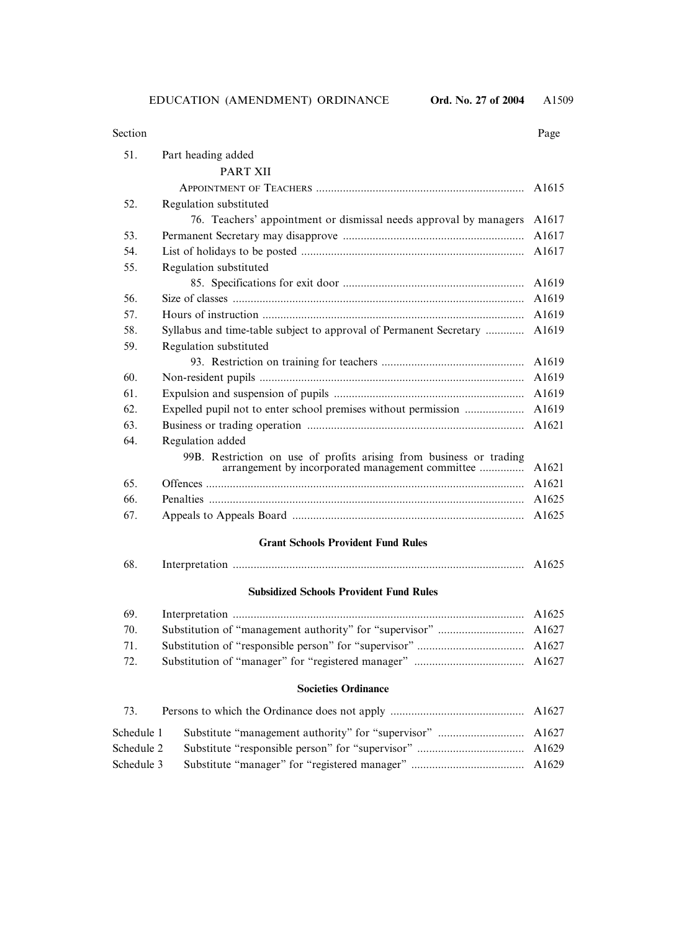| Section |                                                                                                                         | Page  |  |  |
|---------|-------------------------------------------------------------------------------------------------------------------------|-------|--|--|
| 51.     | Part heading added                                                                                                      |       |  |  |
|         | <b>PART XII</b>                                                                                                         |       |  |  |
|         |                                                                                                                         | A1615 |  |  |
| 52.     | Regulation substituted                                                                                                  |       |  |  |
|         | 76. Teachers' appointment or dismissal needs approval by managers                                                       | A1617 |  |  |
| 53.     |                                                                                                                         |       |  |  |
| 54.     |                                                                                                                         |       |  |  |
| 55.     | Regulation substituted                                                                                                  |       |  |  |
|         |                                                                                                                         | A1619 |  |  |
| 56.     |                                                                                                                         | A1619 |  |  |
| 57.     | A1619                                                                                                                   |       |  |  |
| 58.     | Syllabus and time-table subject to approval of Permanent Secretary                                                      | A1619 |  |  |
| 59.     | Regulation substituted                                                                                                  |       |  |  |
|         |                                                                                                                         | A1619 |  |  |
| 60.     |                                                                                                                         | A1619 |  |  |
| 61.     |                                                                                                                         | A1619 |  |  |
| 62.     | Expelled pupil not to enter school premises without permission                                                          | A1619 |  |  |
| 63.     |                                                                                                                         | A1621 |  |  |
| 64.     | Regulation added                                                                                                        |       |  |  |
|         | 99B. Restriction on use of profits arising from business or trading<br>arrangement by incorporated management committee | A1621 |  |  |
| 65.     |                                                                                                                         | A1621 |  |  |
| 66.     |                                                                                                                         | A1625 |  |  |
| 67.     |                                                                                                                         | A1625 |  |  |
|         | <b>Grant Schools Provident Fund Rules</b>                                                                               |       |  |  |
| 68.     |                                                                                                                         | A1625 |  |  |
|         | <b>Subsidized Schools Provident Fund Rules</b>                                                                          |       |  |  |
| 69.     |                                                                                                                         | A1625 |  |  |
| 70.     |                                                                                                                         | A1627 |  |  |
| 71.     |                                                                                                                         | A1627 |  |  |
| 72.     |                                                                                                                         | A1627 |  |  |
|         | <b>Societies Ordinance</b>                                                                                              |       |  |  |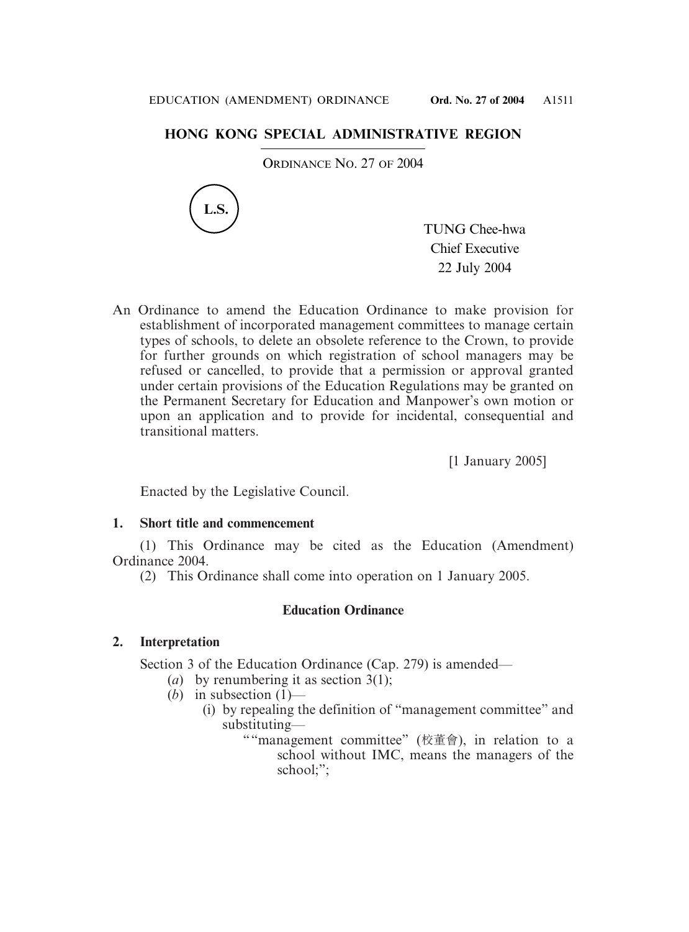# **HONG KONG SPECIAL ADMINISTRATIVE REGION**

ORDINANCE NO. 27 OF 2004



TUNG Chee-hwa Chief Executive 22 July 2004

An Ordinance to amend the Education Ordinance to make provision for establishment of incorporated management committees to manage certain types of schools, to delete an obsolete reference to the Crown, to provide for further grounds on which registration of school managers may be refused or cancelled, to provide that a permission or approval granted under certain provisions of the Education Regulations may be granted on the Permanent Secretary for Education and Manpower's own motion or upon an application and to provide for incidental, consequential and transitional matters.

[1 January 2005]

Enacted by the Legislative Council.

# **1. Short title and commencement**

(1) This Ordinance may be cited as the Education (Amendment) Ordinance 2004.

(2) This Ordinance shall come into operation on 1 January 2005.

# **Education Ordinance**

# **2. Interpretation**

Section 3 of the Education Ordinance (Cap. 279) is amended—

- (*a*) by renumbering it as section  $3(1)$ ;
- $(b)$  in subsection  $(1)$ 
	- (i) by repealing the definition of "management committee" and substituting—
		- ""management committee" (校董會), in relation to a school without IMC, means the managers of the school;";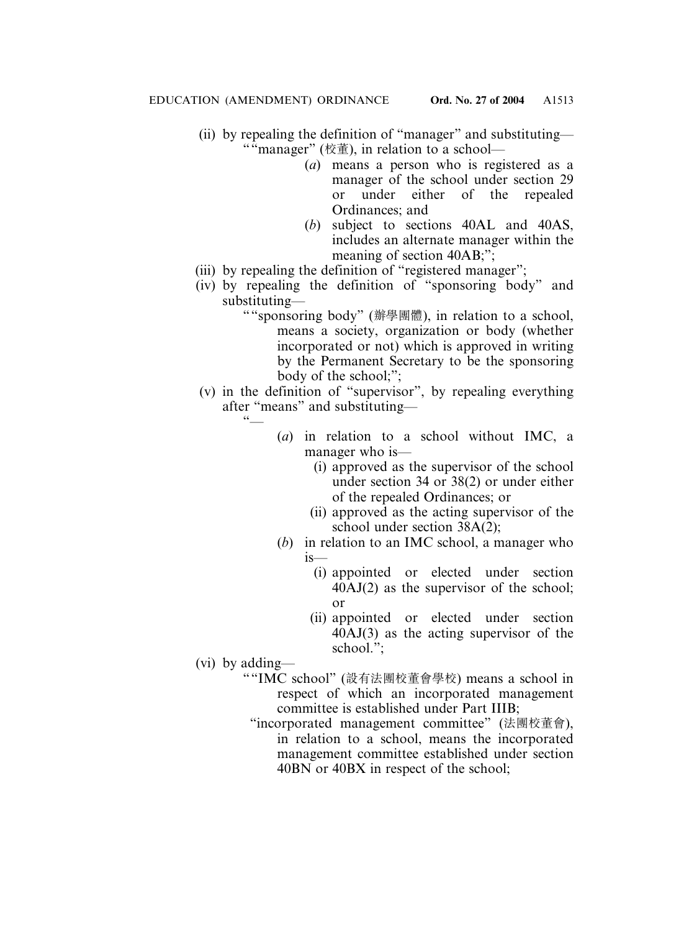- (ii) by repealing the definition of "manager" and substituting— ""manager" (校董), in relation to a school—
	- (*a*) means a person who is registered as a manager of the school under section 29 or under either of the repealed Ordinances; and
	- (*b*) subject to sections 40AL and 40AS, includes an alternate manager within the meaning of section 40AB;";
- (iii) by repealing the definition of "registered manager";
- (iv) by repealing the definition of "sponsoring body" and substituting—
	- ""sponsoring body" (辦學團體), in relation to a school, means a society, organization or body (whether incorporated or not) which is approved in writing by the Permanent Secretary to be the sponsoring body of the school;";
- (v) in the definition of "supervisor", by repealing everything after "means" and substituting—  $66$ 
	- (*a*) in relation to a school without IMC, a manager who is—
		- (i) approved as the supervisor of the school under section 34 or 38(2) or under either of the repealed Ordinances; or
		- (ii) approved as the acting supervisor of the school under section 38A(2);
	- (*b*) in relation to an IMC school, a manager who  $i<sub>s</sub>$ 
		- (i) appointed or elected under section 40AJ(2) as the supervisor of the school; or
		- (ii) appointed or elected under section  $40AJ(3)$  as the acting supervisor of the school.";
- (vi) by adding—
	- ""IMC school" (設有法團校董會學校) means a school in respect of which an incorporated management committee is established under Part IIIB;
		- "incorporated management committee" (法團校董會), in relation to a school, means the incorporated management committee established under section 40BN or 40BX in respect of the school;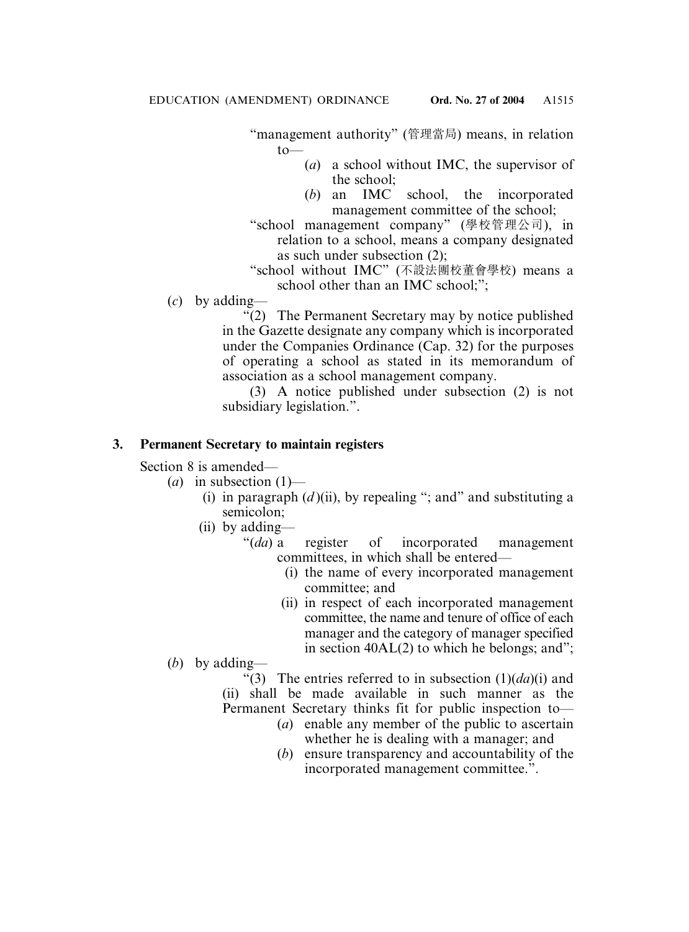"management authority" (管理當局) means, in relation to—

- (*a*) a school without IMC, the supervisor of the school;
- (*b*) an IMC school, the incorporated management committee of the school;
- "school management company" (學校管理公司), in relation to a school, means a company designated as such under subsection (2);
- "school without IMC" (不設法團校董會學校) means a school other than an IMC school;";
- (*c*) by adding—

"(2) The Permanent Secretary may by notice published in the Gazette designate any company which is incorporated under the Companies Ordinance (Cap. 32) for the purposes of operating a school as stated in its memorandum of association as a school management company.

(3) A notice published under subsection (2) is not subsidiary legislation.".

### **3. Permanent Secretary to maintain registers**

Section 8 is amended—

- (*a*) in subsection (1)—
	- (i) in paragraph  $(d)$  (ii), by repealing "; and " and substituting a semicolon;
	- (ii) by adding—
		- "(*da*) a register of incorporated management committees, in which shall be entered—
			- (i) the name of every incorporated management committee; and
			- (ii) in respect of each incorporated management committee, the name and tenure of office of each manager and the category of manager specified in section 40AL(2) to which he belongs; and";
- (*b*) by adding—
	- "(3) The entries referred to in subsection  $(1)(da)(i)$  and
	- (ii) shall be made available in such manner as the
	- Permanent Secretary thinks fit for public inspection to—
		- (*a*) enable any member of the public to ascertain whether he is dealing with a manager; and
		- (*b*) ensure transparency and accountability of the incorporated management committee.".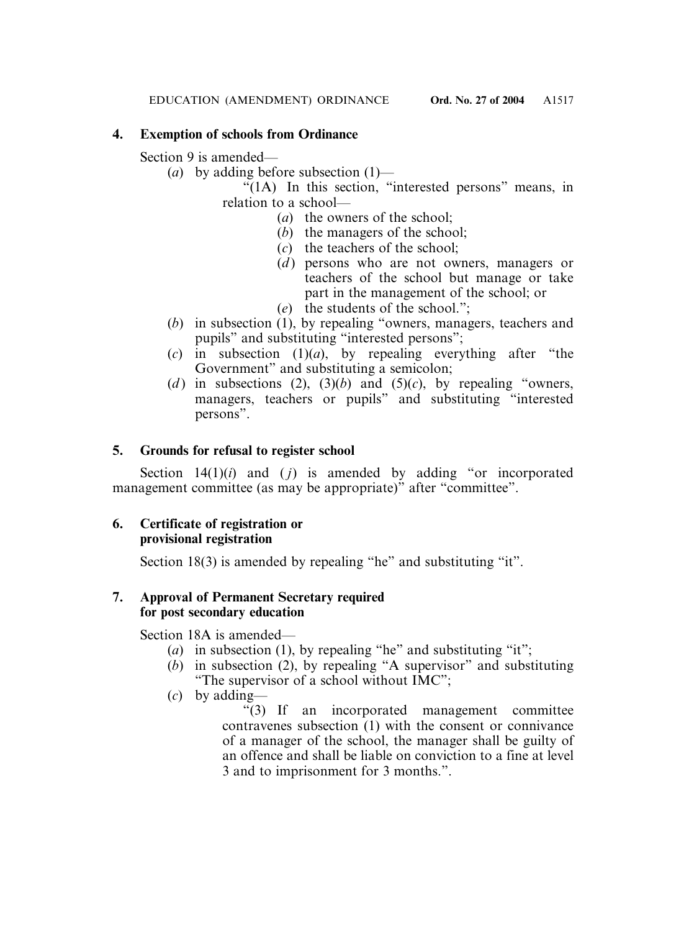# **4. Exemption of schools from Ordinance**

Section 9 is amended—

(*a*) by adding before subsection (1)—

"(1A) In this section, "interested persons" means, in relation to a school—

- (*a*) the owners of the school;
- (*b*) the managers of the school;
- (*c*) the teachers of the school;
- $(d)$  persons who are not owners, managers or teachers of the school but manage or take part in the management of the school; or
- (*e*) the students of the school.";
- (*b*) in subsection (1), by repealing "owners, managers, teachers and pupils" and substituting "interested persons";
- (*c*) in subsection (1)(*a*), by repealing everything after "the Government" and substituting a semicolon;
- (*d*) in subsections (2), (3)(*b*) and (5)(*c*), by repealing "owners, managers, teachers or pupils" and substituting "interested persons".

# **5. Grounds for refusal to register school**

Section  $14(1)(i)$  and  $(j)$  is amended by adding "or incorporated management committee (as may be appropriate)" after "committee".

# **6. Certificate of registration or provisional registration**

Section 18(3) is amended by repealing "he" and substituting "it".

# **7. Approval of Permanent Secretary required for post secondary education**

Section 18A is amended—

- (*a*) in subsection (1), by repealing "he" and substituting "it";
- $(b)$  in subsection  $(2)$ , by repealing "A supervisor" and substituting "The supervisor of a school without IMC";
- (*c*) by adding—

"(3) If an incorporated management committee contravenes subsection (1) with the consent or connivance of a manager of the school, the manager shall be guilty of an offence and shall be liable on conviction to a fine at level 3 and to imprisonment for 3 months.".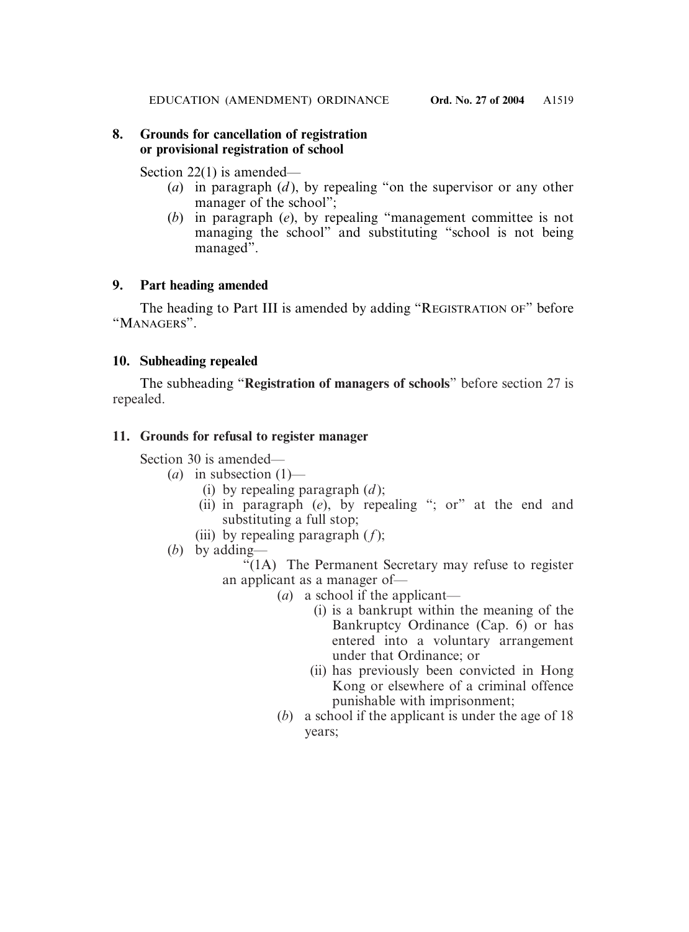# **8. Grounds for cancellation of registration or provisional registration of school**

Section 22(1) is amended—

- (*a*) in paragraph (*d* ), by repealing "on the supervisor or any other manager of the school";
- (*b*) in paragraph (*e*), by repealing "management committee is not managing the school" and substituting "school is not being managed".

# **9. Part heading amended**

The heading to Part III is amended by adding "REGISTRATION OF" before "MANAGERS".

# **10. Subheading repealed**

The subheading "**Registration of managers of schools**" before section 27 is repealed.

# **11. Grounds for refusal to register manager**

Section 30 is amended—

- $(a)$  in subsection  $(1)$ 
	- (i) by repealing paragraph  $(d)$ ;
	- (ii) in paragraph (*e*), by repealing "; or" at the end and substituting a full stop;
	- (iii) by repealing paragraph  $(f)$ ;
- (*b*) by adding—

"(1A) The Permanent Secretary may refuse to register an applicant as a manager of—

- (*a*) a school if the applicant—
	- (i) is a bankrupt within the meaning of the Bankruptcy Ordinance (Cap. 6) or has entered into a voluntary arrangement under that Ordinance; or
	- (ii) has previously been convicted in Hong Kong or elsewhere of a criminal offence punishable with imprisonment;
- (*b*) a school if the applicant is under the age of 18 years;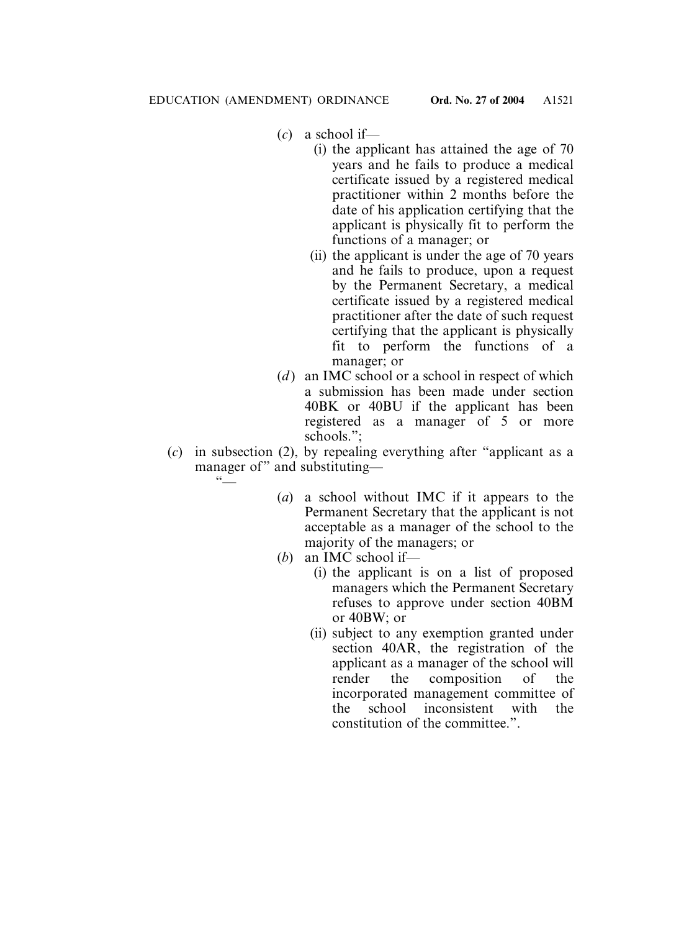- (*c*) a school if—
	- (i) the applicant has attained the age of 70 years and he fails to produce a medical certificate issued by a registered medical practitioner within 2 months before the date of his application certifying that the applicant is physically fit to perform the functions of a manager; or
	- (ii) the applicant is under the age of 70 years and he fails to produce, upon a request by the Permanent Secretary, a medical certificate issued by a registered medical practitioner after the date of such request certifying that the applicant is physically fit to perform the functions of a manager; or
- (*d*) an IMC school or a school in respect of which a submission has been made under section 40BK or 40BU if the applicant has been registered as a manager of 5 or more schools.";
- (*c*) in subsection (2), by repealing everything after "applicant as a manager of" and substituting—  $\sim$ 
	- (*a*) a school without IMC if it appears to the Permanent Secretary that the applicant is not acceptable as a manager of the school to the majority of the managers; or
	- (*b*) an IMC school if—
		- (i) the applicant is on a list of proposed managers which the Permanent Secretary refuses to approve under section 40BM or 40BW; or
		- (ii) subject to any exemption granted under section 40AR, the registration of the applicant as a manager of the school will render the composition of the incorporated management committee of the school inconsistent with the constitution of the committee.".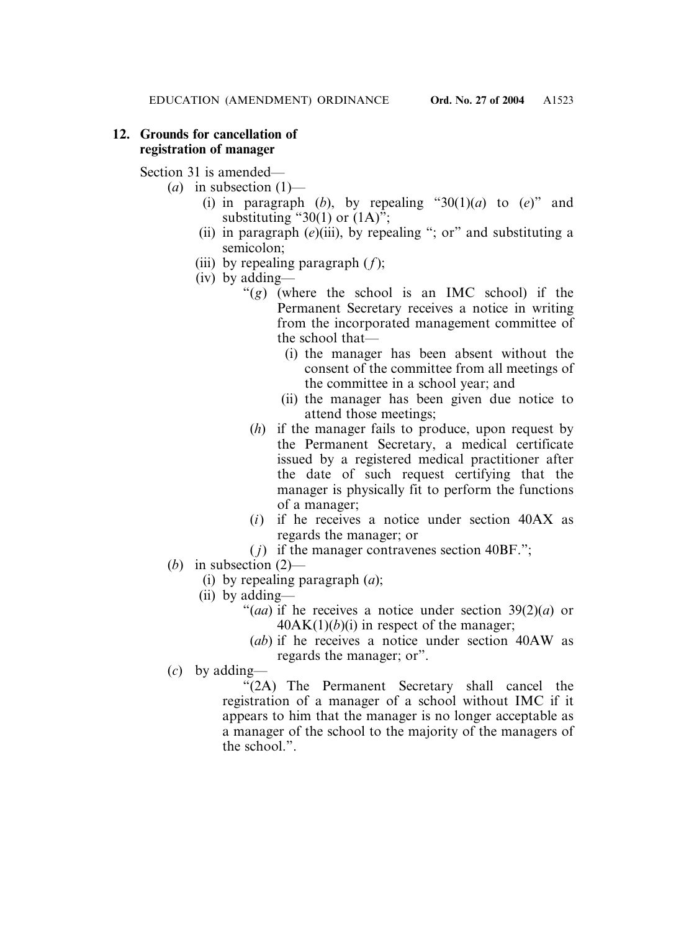# **12. Grounds for cancellation of registration of manager**

Section 31 is amended—

- (*a*) in subsection (1)—
	- (i) in paragraph (*b*), by repealing "30(1)(*a*) to (*e*)" and substituting "30(1) or  $(1A)$ ";
	- (ii) in paragraph (*e*)(iii), by repealing "; or" and substituting a semicolon;
	- (iii) by repealing paragraph (*f*);
	- (iv) by adding—
		- "(*g*) (where the school is an IMC school) if the Permanent Secretary receives a notice in writing from the incorporated management committee of the school that—
			- (i) the manager has been absent without the consent of the committee from all meetings of the committee in a school year; and
			- (ii) the manager has been given due notice to attend those meetings;
		- (*h*) if the manager fails to produce, upon request by the Permanent Secretary, a medical certificate issued by a registered medical practitioner after the date of such request certifying that the manager is physically fit to perform the functions of a manager;
		- (*i*) if he receives a notice under section 40AX as regards the manager; or
		- $(j)$  if the manager contravenes section 40BF.";
- (*b*) in subsection (2)—
	- (i) by repealing paragraph (*a*);
	- (ii) by adding—
		- "(*aa*) if he receives a notice under section 39(2)(*a*) or  $40AK(1)(b)(i)$  in respect of the manager;
		- (*ab*) if he receives a notice under section 40AW as regards the manager; or".
- (*c*) by adding—

"(2A) The Permanent Secretary shall cancel the registration of a manager of a school without IMC if it appears to him that the manager is no longer acceptable as a manager of the school to the majority of the managers of the school.".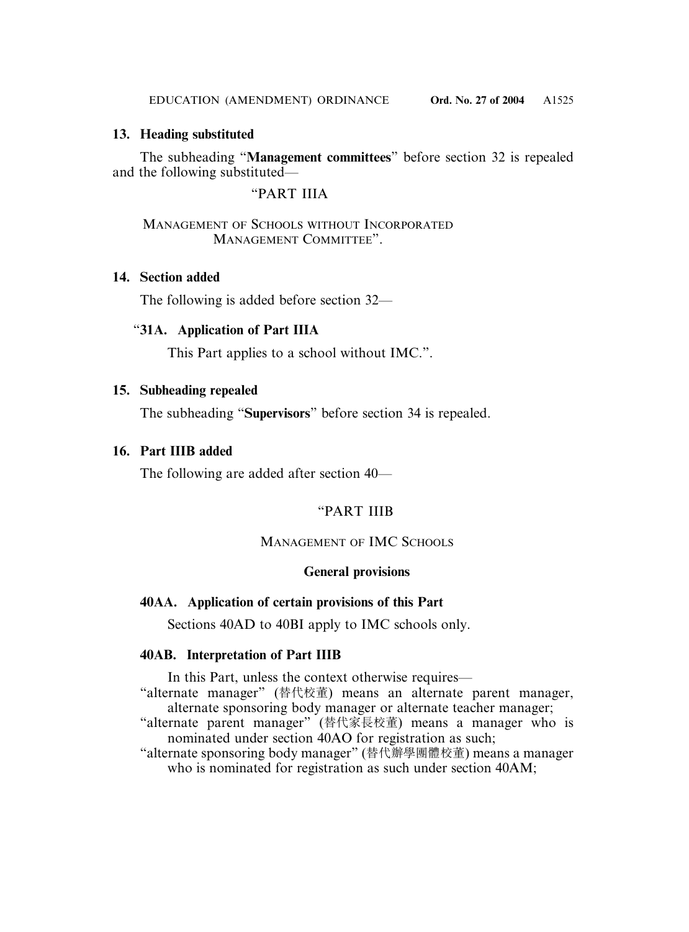# **13. Heading substituted**

The subheading "**Management committees**" before section 32 is repealed and the following substituted—

"PART IIIA

# MANAGEMENT OF SCHOOLS WITHOUT INCORPORATED MANAGEMENT COMMITTEE".

# **14. Section added**

The following is added before section 32—

# "**31A. Application of Part IIIA**

This Part applies to a school without IMC.".

# **15. Subheading repealed**

The subheading "**Supervisors**" before section 34 is repealed.

# **16. Part IIIB added**

The following are added after section 40—

# "PART IIIB

# MANAGEMENT OF IMC SCHOOLS

### **General provisions**

# **40AA. Application of certain provisions of this Part**

Sections 40AD to 40BI apply to IMC schools only.

### **40AB. Interpretation of Part IIIB**

In this Part, unless the context otherwise requires—

"alternate manager" (替代校董) means an alternate parent manager, alternate sponsoring body manager or alternate teacher manager;

- "alternate parent manager" (替代家長校董) means a manager who is nominated under section 40AO for registration as such;
- "alternate sponsoring body manager" (替代辦學團體校董) means a manager who is nominated for registration as such under section 40AM;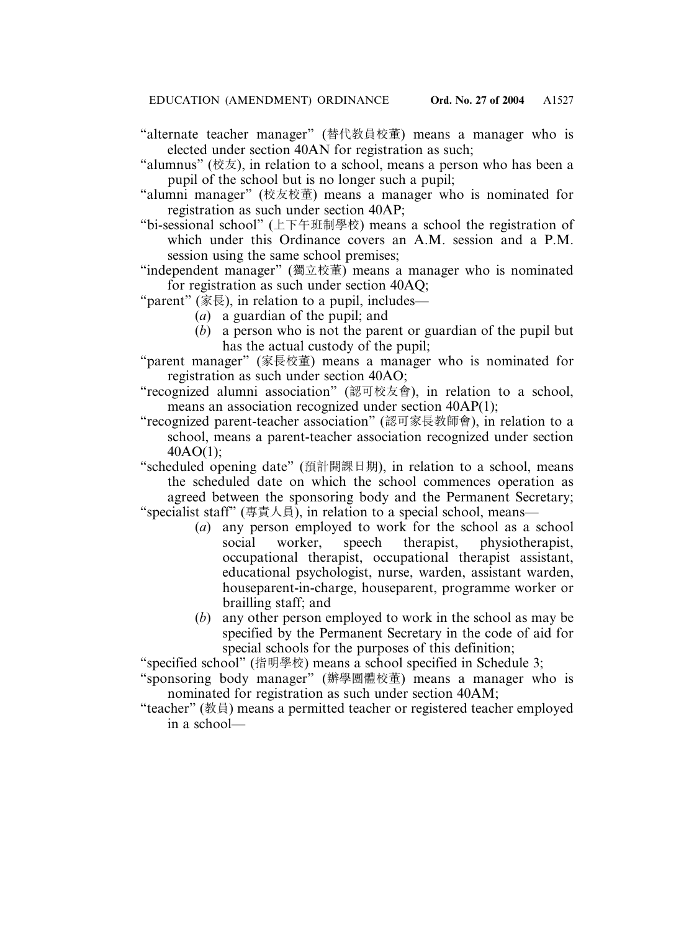- "alternate teacher manager" (替代桝員校董) means a manager who is elected under section 40AN for registration as such;
- "alumnus" (校友), in relation to a school, means a person who has been a pupil of the school but is no longer such a pupil;
- "alumni manager" (校友校董) means a manager who is nominated for registration as such under section 40AP;
- "bi-sessional school" (上下午班制學校) means a school the registration of which under this Ordinance covers an A.M. session and a P.M. session using the same school premises;
- "independent manager" (獨立校董) means a manager who is nominated for registration as such under section 40AQ;
- "parent" (家長), in relation to a pupil, includes—
	- (*a*) a guardian of the pupil; and
	- (*b*) a person who is not the parent or guardian of the pupil but has the actual custody of the pupil;
- "parent manager" (家長校董) means a manager who is nominated for registration as such under section 40AO;
- "recognized alumni association" (認可校友會), in relation to a school, means an association recognized under section 40AP(1);
- "recognized parent-teacher association" (認可家長桝師會), in relation to a school, means a parent-teacher association recognized under section 40AO(1);
- "scheduled opening date" (預計開課日期), in relation to a school, means the scheduled date on which the school commences operation as agreed between the sponsoring body and the Permanent Secretary; "specialist staff" (專責人員), in relation to a special school, means—
	- (*a*) any person employed to work for the school as a school social worker, speech therapist, physiotherapist, occupational therapist, occupational therapist assistant, educational psychologist, nurse, warden, assistant warden, houseparent-in-charge, houseparent, programme worker or brailling staff; and
	- (*b*) any other person employed to work in the school as may be specified by the Permanent Secretary in the code of aid for special schools for the purposes of this definition;
- "specified school" (指明學校) means a school specified in Schedule 3;
- "sponsoring body manager" (辦學團體校董) means a manager who is nominated for registration as such under section 40AM;
- "teacher" (桝員) means a permitted teacher or registered teacher employed in a school—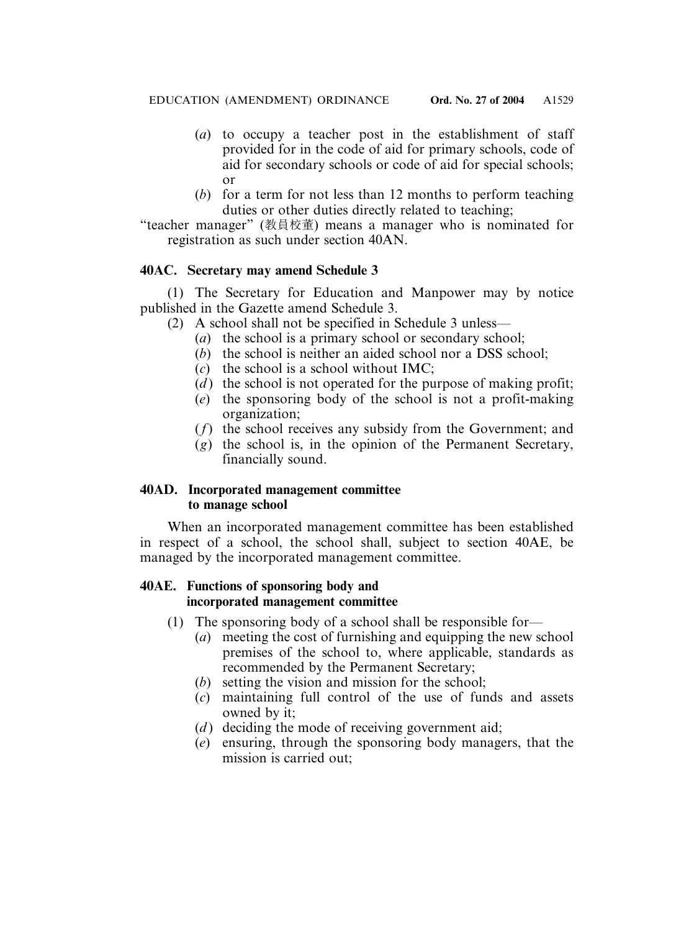- (*a*) to occupy a teacher post in the establishment of staff provided for in the code of aid for primary schools, code of aid for secondary schools or code of aid for special schools; or
- (*b*) for a term for not less than 12 months to perform teaching duties or other duties directly related to teaching;

"teacher manager" (桝員校董) means a manager who is nominated for registration as such under section 40AN.

# **40AC. Secretary may amend Schedule 3**

(1) The Secretary for Education and Manpower may by notice published in the Gazette amend Schedule 3.

- (2) A school shall not be specified in Schedule 3 unless—
	- (*a*) the school is a primary school or secondary school;
	- (*b*) the school is neither an aided school nor a DSS school;
	- (*c*) the school is a school without IMC;
	- (*d*) the school is not operated for the purpose of making profit;
	- (*e*) the sponsoring body of the school is not a profit-making organization;
	- (*f*) the school receives any subsidy from the Government; and
	- (*g*) the school is, in the opinion of the Permanent Secretary, financially sound.

# **40AD. Incorporated management committee to manage school**

When an incorporated management committee has been established in respect of a school, the school shall, subject to section 40AE, be managed by the incorporated management committee.

# **40AE. Functions of sponsoring body and incorporated management committee**

- (1) The sponsoring body of a school shall be responsible for—
	- (*a*) meeting the cost of furnishing and equipping the new school premises of the school to, where applicable, standards as recommended by the Permanent Secretary;
	- (*b*) setting the vision and mission for the school;
	- (*c*) maintaining full control of the use of funds and assets owned by it;
	- (*d*) deciding the mode of receiving government aid;
	- (*e*) ensuring, through the sponsoring body managers, that the mission is carried out;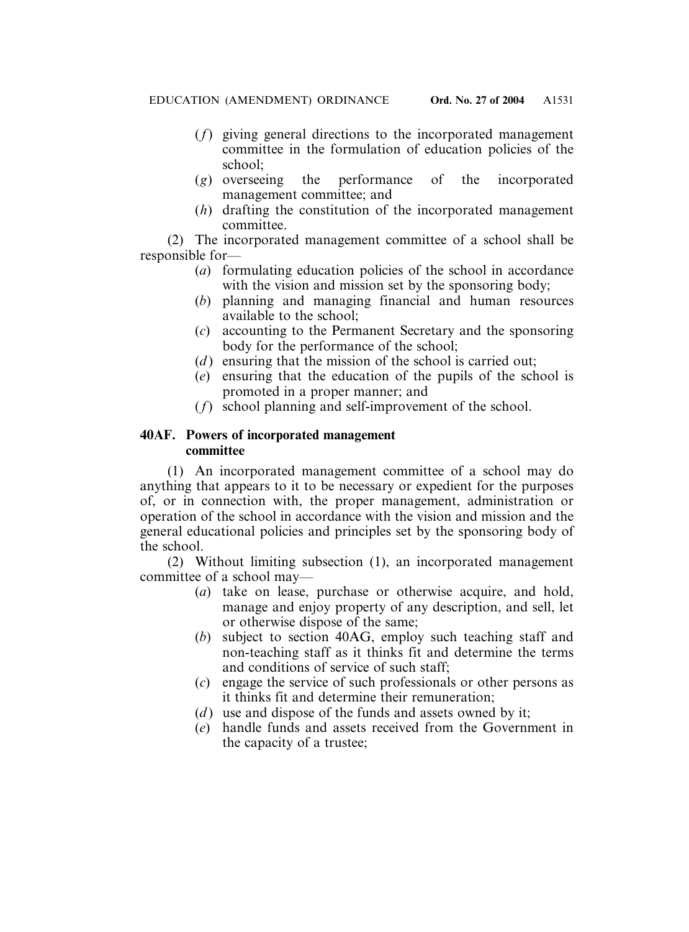- (*f*) giving general directions to the incorporated management committee in the formulation of education policies of the school;
- (*g*) overseeing the performance of the incorporated management committee; and
- (*h*) drafting the constitution of the incorporated management committee.

(2) The incorporated management committee of a school shall be responsible for—

- (*a*) formulating education policies of the school in accordance with the vision and mission set by the sponsoring body;
- (*b*) planning and managing financial and human resources available to the school;
- (*c*) accounting to the Permanent Secretary and the sponsoring body for the performance of the school;
- (*d*) ensuring that the mission of the school is carried out;
- (*e*) ensuring that the education of the pupils of the school is promoted in a proper manner; and
- (*f*) school planning and self-improvement of the school.

# **40AF. Powers of incorporated management committee**

(1) An incorporated management committee of a school may do anything that appears to it to be necessary or expedient for the purposes of, or in connection with, the proper management, administration or operation of the school in accordance with the vision and mission and the general educational policies and principles set by the sponsoring body of the school.

(2) Without limiting subsection (1), an incorporated management committee of a school may—

- (*a*) take on lease, purchase or otherwise acquire, and hold, manage and enjoy property of any description, and sell, let or otherwise dispose of the same;
- (*b*) subject to section 40AG, employ such teaching staff and non-teaching staff as it thinks fit and determine the terms and conditions of service of such staff;
- (*c*) engage the service of such professionals or other persons as it thinks fit and determine their remuneration;
- (*d*) use and dispose of the funds and assets owned by it;
- (*e*) handle funds and assets received from the Government in the capacity of a trustee;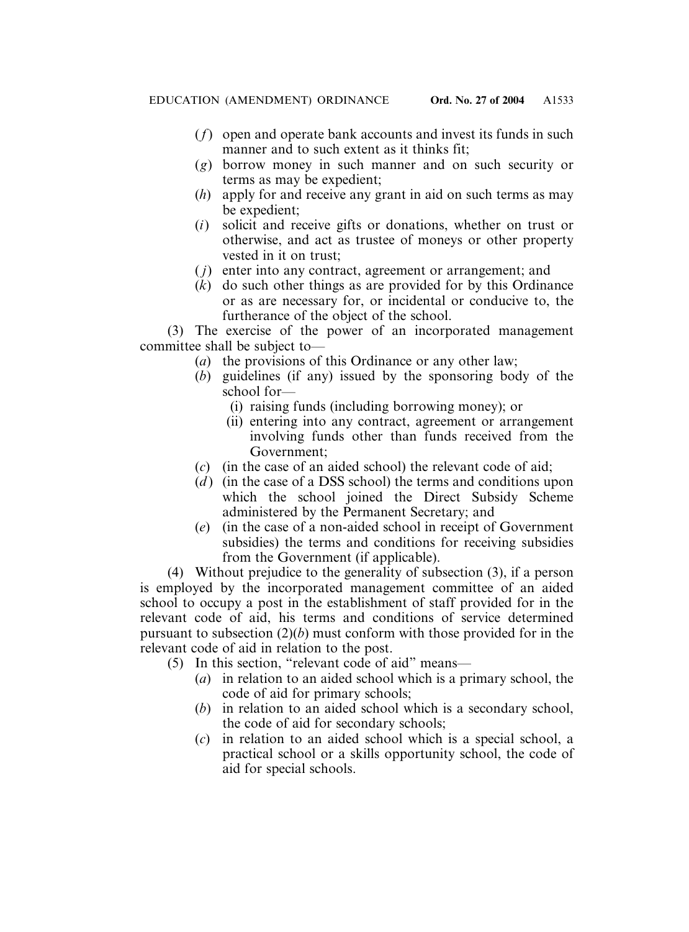- (*f*) open and operate bank accounts and invest its funds in such manner and to such extent as it thinks fit:
- (*g*) borrow money in such manner and on such security or terms as may be expedient;
- (*h*) apply for and receive any grant in aid on such terms as may be expedient;
- (*i*) solicit and receive gifts or donations, whether on trust or otherwise, and act as trustee of moneys or other property vested in it on trust;
- ( *j*) enter into any contract, agreement or arrangement; and
- (*k*) do such other things as are provided for by this Ordinance or as are necessary for, or incidental or conducive to, the furtherance of the object of the school.

(3) The exercise of the power of an incorporated management committee shall be subject to—

- (*a*) the provisions of this Ordinance or any other law;
- (*b*) guidelines (if any) issued by the sponsoring body of the school for—
	- (i) raising funds (including borrowing money); or
	- (ii) entering into any contract, agreement or arrangement involving funds other than funds received from the Government;
- (*c*) (in the case of an aided school) the relevant code of aid;
- (*d*) (in the case of a DSS school) the terms and conditions upon which the school joined the Direct Subsidy Scheme administered by the Permanent Secretary; and
- (*e*) (in the case of a non-aided school in receipt of Government subsidies) the terms and conditions for receiving subsidies from the Government (if applicable).

(4) Without prejudice to the generality of subsection (3), if a person is employed by the incorporated management committee of an aided school to occupy a post in the establishment of staff provided for in the relevant code of aid, his terms and conditions of service determined pursuant to subsection (2)(*b*) must conform with those provided for in the relevant code of aid in relation to the post.

- (5) In this section, "relevant code of aid" means—
	- (*a*) in relation to an aided school which is a primary school, the code of aid for primary schools;
	- (*b*) in relation to an aided school which is a secondary school, the code of aid for secondary schools;
	- (*c*) in relation to an aided school which is a special school, a practical school or a skills opportunity school, the code of aid for special schools.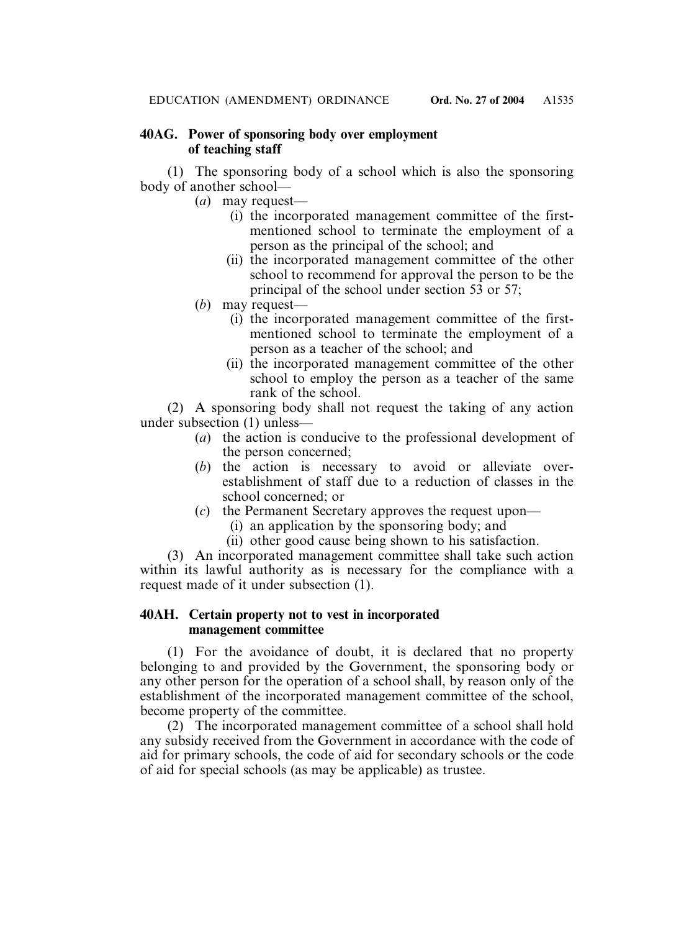# **40AG. Power of sponsoring body over employment of teaching staff**

(1) The sponsoring body of a school which is also the sponsoring body of another school—

- (*a*) may request—
	- (i) the incorporated management committee of the firstmentioned school to terminate the employment of a person as the principal of the school; and
	- (ii) the incorporated management committee of the other school to recommend for approval the person to be the principal of the school under section 53 or 57;
- (*b*) may request—
	- (i) the incorporated management committee of the firstmentioned school to terminate the employment of a person as a teacher of the school; and
	- (ii) the incorporated management committee of the other school to employ the person as a teacher of the same rank of the school.

(2) A sponsoring body shall not request the taking of any action under subsection (1) unless—

- (*a*) the action is conducive to the professional development of the person concerned;
- (*b*) the action is necessary to avoid or alleviate overestablishment of staff due to a reduction of classes in the school concerned; or
- (*c*) the Permanent Secretary approves the request upon—
	- (i) an application by the sponsoring body; and
	- (ii) other good cause being shown to his satisfaction.

(3) An incorporated management committee shall take such action within its lawful authority as is necessary for the compliance with a request made of it under subsection (1).

### **40AH. Certain property not to vest in incorporated management committee**

(1) For the avoidance of doubt, it is declared that no property belonging to and provided by the Government, the sponsoring body or any other person for the operation of a school shall, by reason only of the establishment of the incorporated management committee of the school, become property of the committee.

(2) The incorporated management committee of a school shall hold any subsidy received from the Government in accordance with the code of aid for primary schools, the code of aid for secondary schools or the code of aid for special schools (as may be applicable) as trustee.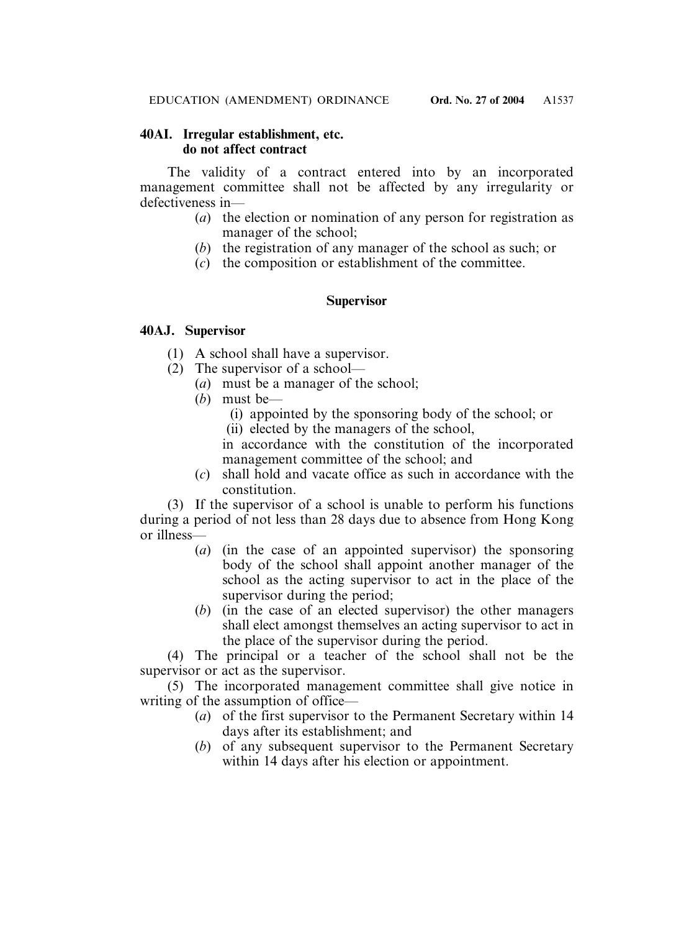# **40AI. Irregular establishment, etc. do not affect contract**

The validity of a contract entered into by an incorporated management committee shall not be affected by any irregularity or defectiveness in—

- (*a*) the election or nomination of any person for registration as manager of the school;
- (*b*) the registration of any manager of the school as such; or
- (*c*) the composition or establishment of the committee.

# **Supervisor**

# **40AJ. Supervisor**

- (1) A school shall have a supervisor.
- (2) The supervisor of a school—
	- (*a*) must be a manager of the school;
	- (*b*) must be—
		- (i) appointed by the sponsoring body of the school; or
		- (ii) elected by the managers of the school,

in accordance with the constitution of the incorporated management committee of the school; and

(*c*) shall hold and vacate office as such in accordance with the constitution.

(3) If the supervisor of a school is unable to perform his functions during a period of not less than 28 days due to absence from Hong Kong or illness—

- (*a*) (in the case of an appointed supervisor) the sponsoring body of the school shall appoint another manager of the school as the acting supervisor to act in the place of the supervisor during the period;
- (*b*) (in the case of an elected supervisor) the other managers shall elect amongst themselves an acting supervisor to act in the place of the supervisor during the period.

(4) The principal or a teacher of the school shall not be the supervisor or act as the supervisor.

(5) The incorporated management committee shall give notice in writing of the assumption of office—

- (*a*) of the first supervisor to the Permanent Secretary within 14 days after its establishment; and
- (*b*) of any subsequent supervisor to the Permanent Secretary within 14 days after his election or appointment.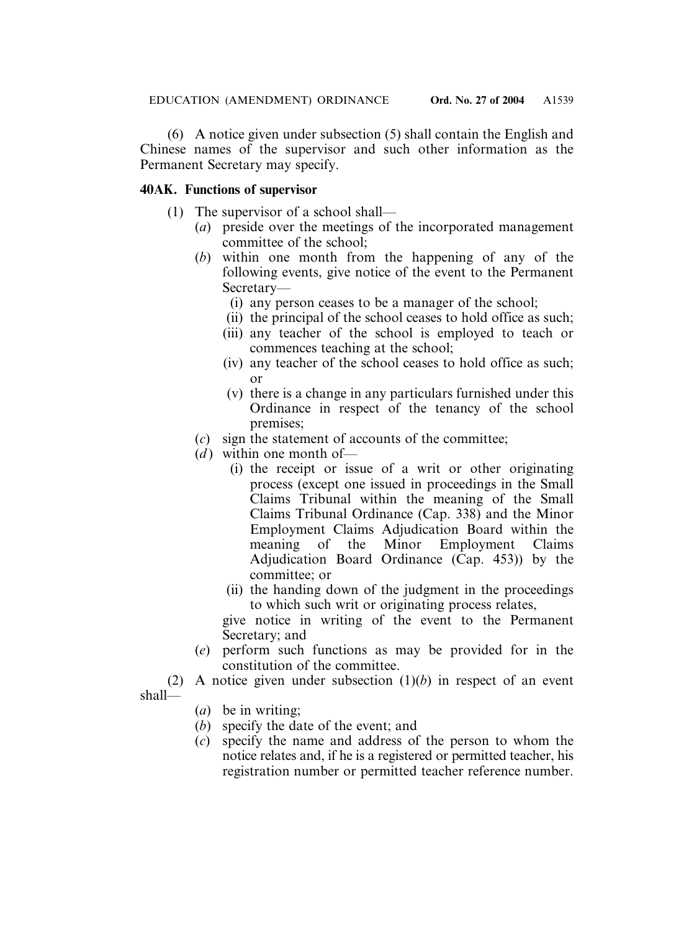EDUCATION (AMENDMENT) ORDINANCE Ord. No. 27 of 2004 A1539

(6) A notice given under subsection (5) shall contain the English and Chinese names of the supervisor and such other information as the Permanent Secretary may specify.

# **40AK. Functions of supervisor**

- (1) The supervisor of a school shall—
	- (*a*) preside over the meetings of the incorporated management committee of the school;
	- (*b*) within one month from the happening of any of the following events, give notice of the event to the Permanent Secretary—
		- (i) any person ceases to be a manager of the school;
		- (ii) the principal of the school ceases to hold office as such;
		- (iii) any teacher of the school is employed to teach or commences teaching at the school;
		- (iv) any teacher of the school ceases to hold office as such; or
		- (v) there is a change in any particulars furnished under this Ordinance in respect of the tenancy of the school premises;
	- (*c*) sign the statement of accounts of the committee;
	- $(d)$  within one month of
		- (i) the receipt or issue of a writ or other originating process (except one issued in proceedings in the Small Claims Tribunal within the meaning of the Small Claims Tribunal Ordinance (Cap. 338) and the Minor Employment Claims Adjudication Board within the meaning of the Minor Employment Claims Adjudication Board Ordinance (Cap. 453)) by the committee; or
		- (ii) the handing down of the judgment in the proceedings to which such writ or originating process relates,

give notice in writing of the event to the Permanent Secretary; and

- (*e*) perform such functions as may be provided for in the constitution of the committee.
- (2) A notice given under subsection (1)(*b*) in respect of an event shall—
	- (*a*) be in writing;
	- (*b*) specify the date of the event; and
	- (*c*) specify the name and address of the person to whom the notice relates and, if he is a registered or permitted teacher, his registration number or permitted teacher reference number.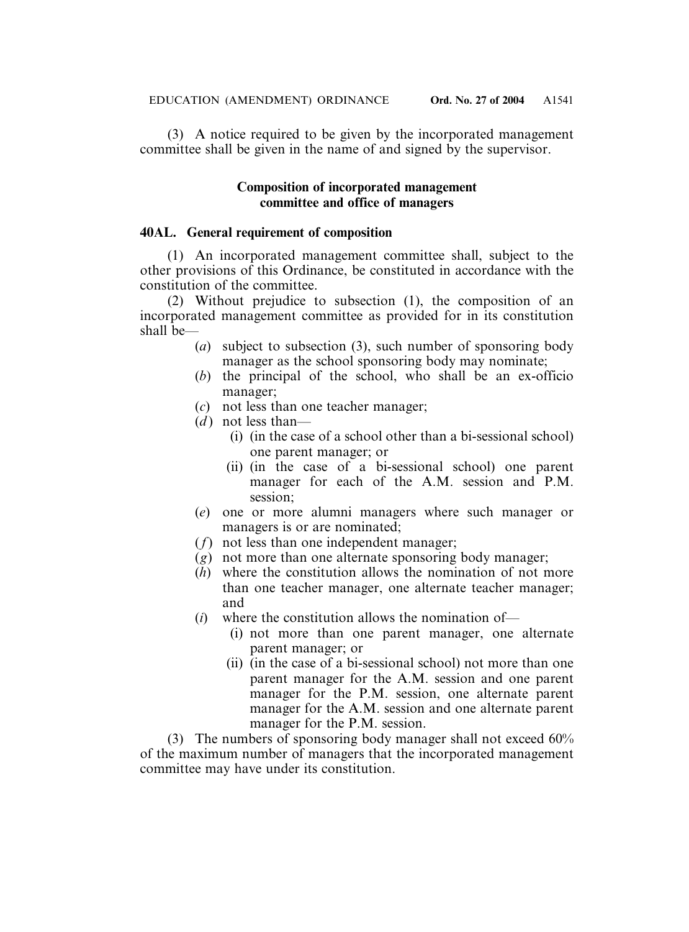(3) A notice required to be given by the incorporated management committee shall be given in the name of and signed by the supervisor.

### **Composition of incorporated management committee and office of managers**

### **40AL. General requirement of composition**

(1) An incorporated management committee shall, subject to the other provisions of this Ordinance, be constituted in accordance with the constitution of the committee.

(2) Without prejudice to subsection (1), the composition of an incorporated management committee as provided for in its constitution shall be—

- (*a*) subject to subsection (3), such number of sponsoring body manager as the school sponsoring body may nominate;
- (*b*) the principal of the school, who shall be an ex-officio manager;
- (*c*) not less than one teacher manager;
- $(d)$  not less than—
	- (i) (in the case of a school other than a bi-sessional school) one parent manager; or
	- (ii) (in the case of a bi-sessional school) one parent manager for each of the A.M. session and P.M. session;
- (*e*) one or more alumni managers where such manager or managers is or are nominated;
- (*f*) not less than one independent manager;
- (*g*) not more than one alternate sponsoring body manager;
- (*h*) where the constitution allows the nomination of not more than one teacher manager, one alternate teacher manager; and
- (*i*) where the constitution allows the nomination of—
	- (i) not more than one parent manager, one alternate parent manager; or
	- (ii) (in the case of a bi-sessional school) not more than one parent manager for the A.M. session and one parent manager for the P.M. session, one alternate parent manager for the A.M. session and one alternate parent manager for the P.M. session.

(3) The numbers of sponsoring body manager shall not exceed 60% of the maximum number of managers that the incorporated management committee may have under its constitution.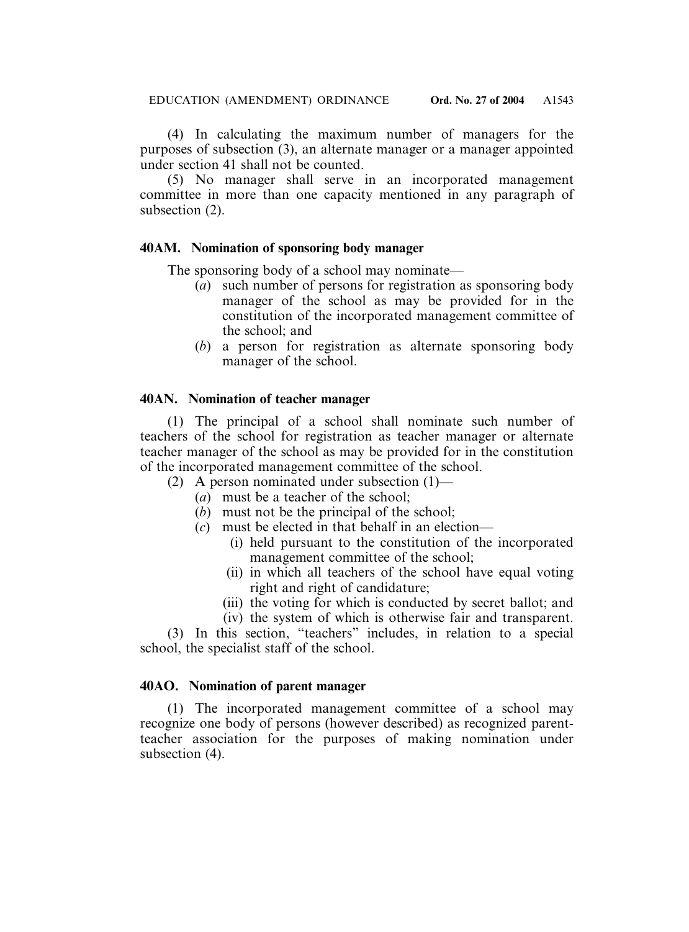(4) In calculating the maximum number of managers for the purposes of subsection (3), an alternate manager or a manager appointed under section 41 shall not be counted.

(5) No manager shall serve in an incorporated management committee in more than one capacity mentioned in any paragraph of subsection (2).

### **40AM. Nomination of sponsoring body manager**

The sponsoring body of a school may nominate—

- (*a*) such number of persons for registration as sponsoring body manager of the school as may be provided for in the constitution of the incorporated management committee of the school; and
- (*b*) a person for registration as alternate sponsoring body manager of the school.

### **40AN. Nomination of teacher manager**

(1) The principal of a school shall nominate such number of teachers of the school for registration as teacher manager or alternate teacher manager of the school as may be provided for in the constitution of the incorporated management committee of the school.

- (2) A person nominated under subsection (1)—
	- (*a*) must be a teacher of the school;
	- (*b*) must not be the principal of the school;
	- (*c*) must be elected in that behalf in an election—
		- (i) held pursuant to the constitution of the incorporated management committee of the school;
		- (ii) in which all teachers of the school have equal voting right and right of candidature;
		- (iii) the voting for which is conducted by secret ballot; and
		- (iv) the system of which is otherwise fair and transparent.

(3) In this section, "teachers" includes, in relation to a special school, the specialist staff of the school.

### **40AO. Nomination of parent manager**

(1) The incorporated management committee of a school may recognize one body of persons (however described) as recognized parentteacher association for the purposes of making nomination under subsection (4).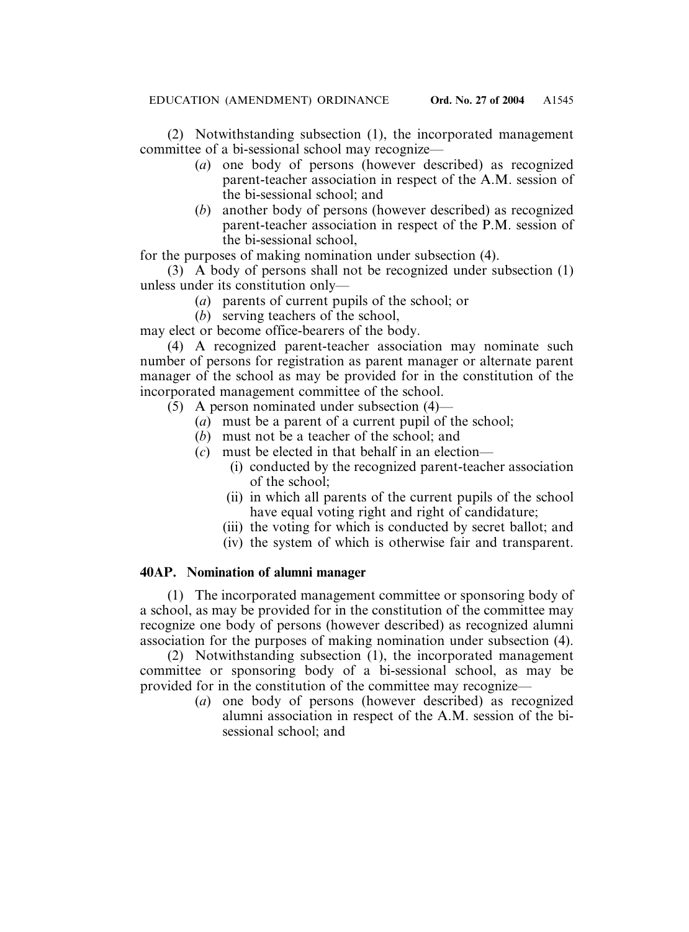(2) Notwithstanding subsection (1), the incorporated management committee of a bi-sessional school may recognize—

- (*a*) one body of persons (however described) as recognized parent-teacher association in respect of the A.M. session of the bi-sessional school; and
- (*b*) another body of persons (however described) as recognized parent-teacher association in respect of the P.M. session of the bi-sessional school,

for the purposes of making nomination under subsection (4).

(3) A body of persons shall not be recognized under subsection (1) unless under its constitution only—

- (*a*) parents of current pupils of the school; or
- (*b*) serving teachers of the school,

may elect or become office-bearers of the body.

(4) A recognized parent-teacher association may nominate such number of persons for registration as parent manager or alternate parent manager of the school as may be provided for in the constitution of the incorporated management committee of the school.

- $(5)$  A person nominated under subsection  $(4)$ 
	- (*a*) must be a parent of a current pupil of the school;
	- (*b*) must not be a teacher of the school; and
	- (*c*) must be elected in that behalf in an election—
		- (i) conducted by the recognized parent-teacher association of the school;
		- (ii) in which all parents of the current pupils of the school have equal voting right and right of candidature;
		- (iii) the voting for which is conducted by secret ballot; and
		- (iv) the system of which is otherwise fair and transparent.

# **40AP. Nomination of alumni manager**

(1) The incorporated management committee or sponsoring body of a school, as may be provided for in the constitution of the committee may recognize one body of persons (however described) as recognized alumni association for the purposes of making nomination under subsection (4).

(2) Notwithstanding subsection (1), the incorporated management committee or sponsoring body of a bi-sessional school, as may be provided for in the constitution of the committee may recognize—

(*a*) one body of persons (however described) as recognized alumni association in respect of the A.M. session of the bisessional school; and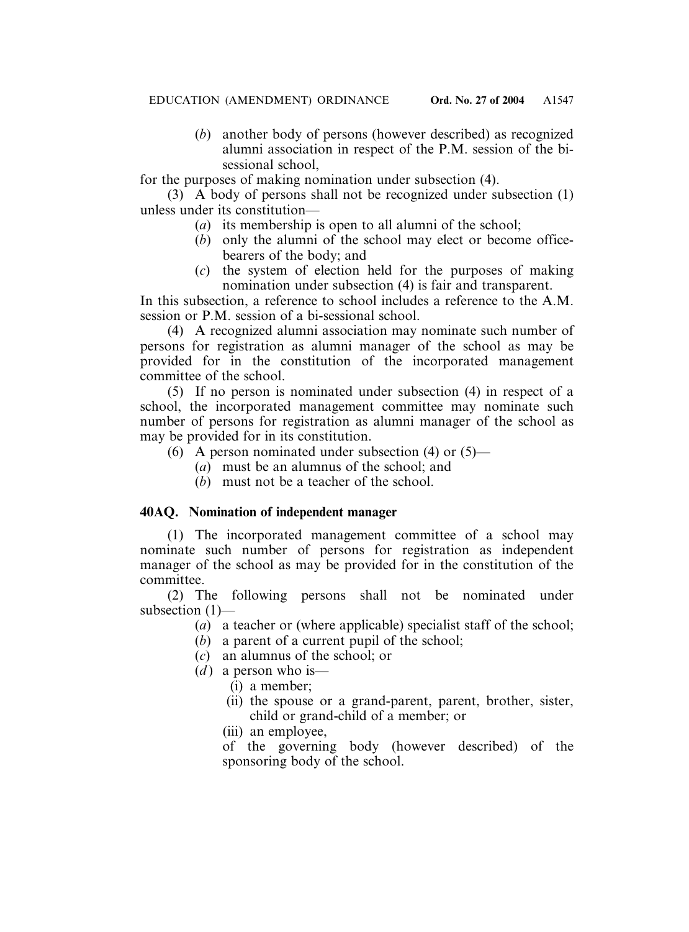(*b*) another body of persons (however described) as recognized alumni association in respect of the P.M. session of the bisessional school,

for the purposes of making nomination under subsection (4).

(3) A body of persons shall not be recognized under subsection (1) unless under its constitution—

- (*a*) its membership is open to all alumni of the school;
- (*b*) only the alumni of the school may elect or become officebearers of the body; and
- (*c*) the system of election held for the purposes of making nomination under subsection (4) is fair and transparent.

In this subsection, a reference to school includes a reference to the A.M. session or P.M. session of a bi-sessional school.

(4) A recognized alumni association may nominate such number of persons for registration as alumni manager of the school as may be provided for in the constitution of the incorporated management committee of the school.

(5) If no person is nominated under subsection (4) in respect of a school, the incorporated management committee may nominate such number of persons for registration as alumni manager of the school as may be provided for in its constitution.

- (6) A person nominated under subsection (4) or  $(5)$ 
	- (*a*) must be an alumnus of the school; and
	- (*b*) must not be a teacher of the school.

# **40AQ. Nomination of independent manager**

(1) The incorporated management committee of a school may nominate such number of persons for registration as independent manager of the school as may be provided for in the constitution of the committee.

(2) The following persons shall not be nominated under subsection (1)—

- (*a*) a teacher or (where applicable) specialist staff of the school;
- (*b*) a parent of a current pupil of the school;
- (*c*) an alumnus of the school; or
- $(d)$  a person who is—
	- (i) a member;
	- (ii) the spouse or a grand-parent, parent, brother, sister, child or grand-child of a member; or
	- (iii) an employee.

of the governing body (however described) of the sponsoring body of the school.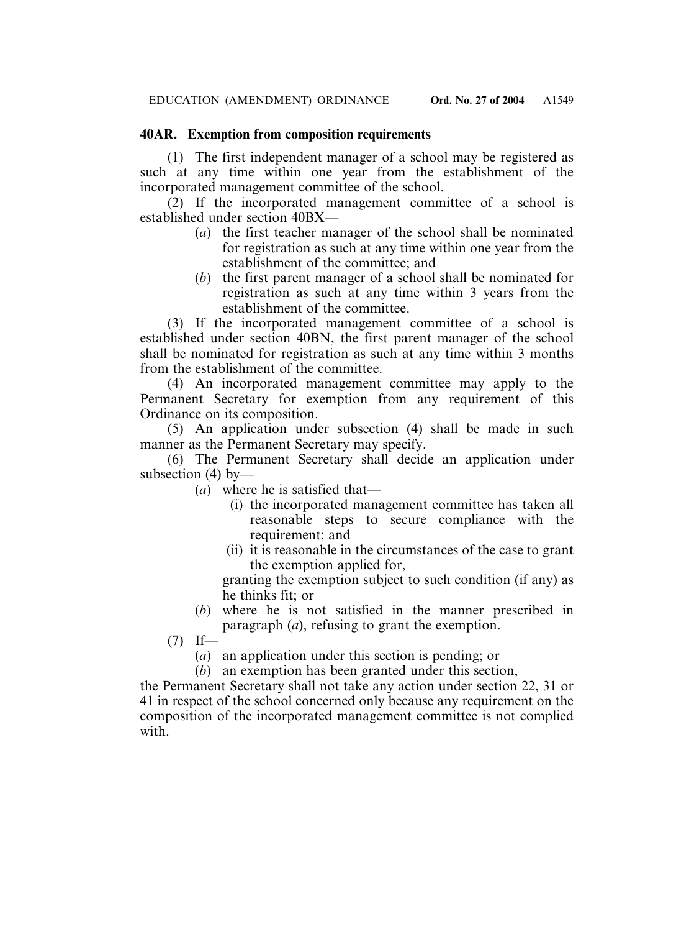# **40AR. Exemption from composition requirements**

(1) The first independent manager of a school may be registered as such at any time within one year from the establishment of the incorporated management committee of the school.

(2) If the incorporated management committee of a school is established under section 40BX—

- (*a*) the first teacher manager of the school shall be nominated for registration as such at any time within one year from the establishment of the committee; and
- (*b*) the first parent manager of a school shall be nominated for registration as such at any time within 3 years from the establishment of the committee.

(3) If the incorporated management committee of a school is established under section 40BN, the first parent manager of the school shall be nominated for registration as such at any time within 3 months from the establishment of the committee.

(4) An incorporated management committee may apply to the Permanent Secretary for exemption from any requirement of this Ordinance on its composition.

(5) An application under subsection (4) shall be made in such manner as the Permanent Secretary may specify.

(6) The Permanent Secretary shall decide an application under subsection (4) by—

- (*a*) where he is satisfied that—
	- (i) the incorporated management committee has taken all reasonable steps to secure compliance with the requirement; and
	- (ii) it is reasonable in the circumstances of the case to grant the exemption applied for,

granting the exemption subject to such condition (if any) as he thinks fit; or

(*b*) where he is not satisfied in the manner prescribed in paragraph (*a*), refusing to grant the exemption.

 $(7)$  If—

(*a*) an application under this section is pending; or

(*b*) an exemption has been granted under this section,

the Permanent Secretary shall not take any action under section 22, 31 or 41 in respect of the school concerned only because any requirement on the composition of the incorporated management committee is not complied with.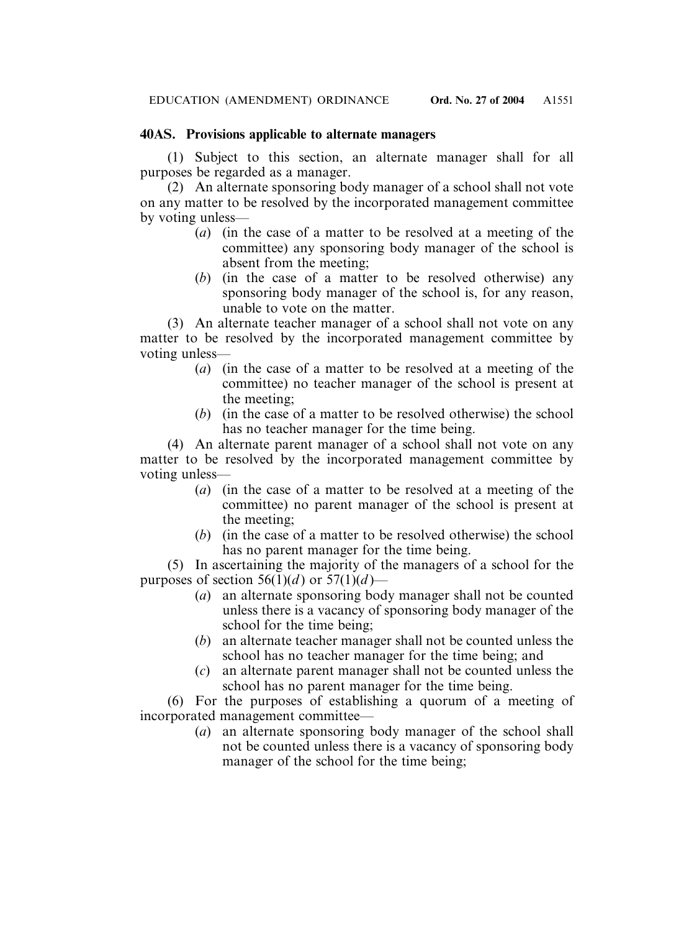## **40AS. Provisions applicable to alternate managers**

(1) Subject to this section, an alternate manager shall for all purposes be regarded as a manager.

(2) An alternate sponsoring body manager of a school shall not vote on any matter to be resolved by the incorporated management committee by voting unless—

- (*a*) (in the case of a matter to be resolved at a meeting of the committee) any sponsoring body manager of the school is absent from the meeting;
- (*b*) (in the case of a matter to be resolved otherwise) any sponsoring body manager of the school is, for any reason, unable to vote on the matter.

(3) An alternate teacher manager of a school shall not vote on any matter to be resolved by the incorporated management committee by voting unless—

- (*a*) (in the case of a matter to be resolved at a meeting of the committee) no teacher manager of the school is present at the meeting;
- (*b*) (in the case of a matter to be resolved otherwise) the school has no teacher manager for the time being.

(4) An alternate parent manager of a school shall not vote on any matter to be resolved by the incorporated management committee by voting unless—

- (*a*) (in the case of a matter to be resolved at a meeting of the committee) no parent manager of the school is present at the meeting;
- (*b*) (in the case of a matter to be resolved otherwise) the school has no parent manager for the time being.

(5) In ascertaining the majority of the managers of a school for the purposes of section  $56(1)(d)$  or  $57(1)(d)$ —

- (*a*) an alternate sponsoring body manager shall not be counted unless there is a vacancy of sponsoring body manager of the school for the time being;
- (*b*) an alternate teacher manager shall not be counted unless the school has no teacher manager for the time being; and
- (*c*) an alternate parent manager shall not be counted unless the school has no parent manager for the time being.

(6) For the purposes of establishing a quorum of a meeting of incorporated management committee—

> (*a*) an alternate sponsoring body manager of the school shall not be counted unless there is a vacancy of sponsoring body manager of the school for the time being;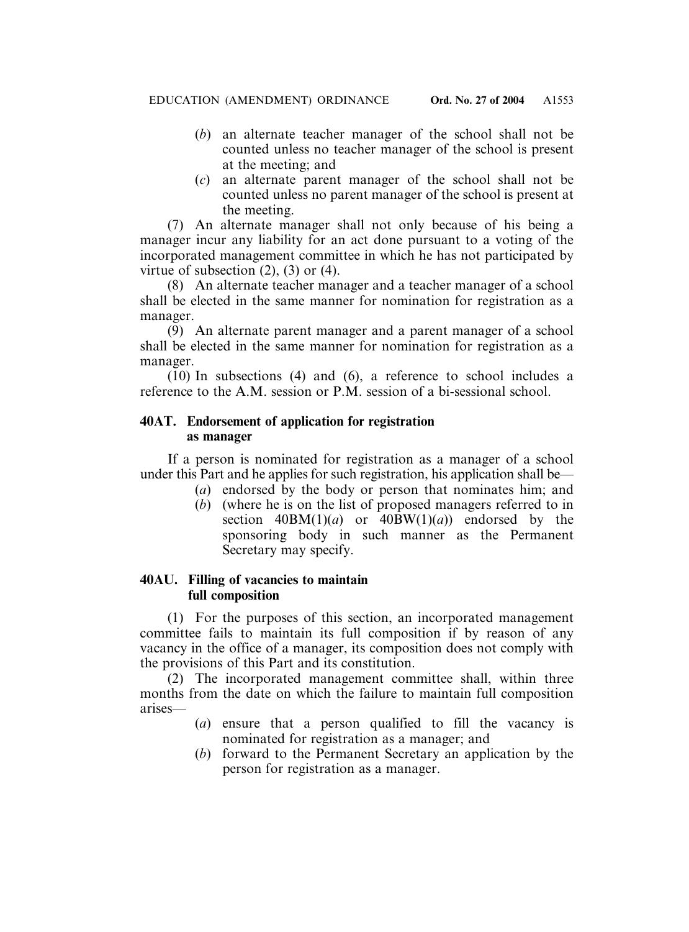- (*b*) an alternate teacher manager of the school shall not be counted unless no teacher manager of the school is present at the meeting; and
- (*c*) an alternate parent manager of the school shall not be counted unless no parent manager of the school is present at the meeting.

(7) An alternate manager shall not only because of his being a manager incur any liability for an act done pursuant to a voting of the incorporated management committee in which he has not participated by virtue of subsection  $(2)$ ,  $(3)$  or  $(4)$ .

(8) An alternate teacher manager and a teacher manager of a school shall be elected in the same manner for nomination for registration as a manager.

(9) An alternate parent manager and a parent manager of a school shall be elected in the same manner for nomination for registration as a manager.

(10) In subsections (4) and (6), a reference to school includes a reference to the A.M. session or P.M. session of a bi-sessional school.

# **40AT. Endorsement of application for registration as manager**

If a person is nominated for registration as a manager of a school under this Part and he applies for such registration, his application shall be—

- (*a*) endorsed by the body or person that nominates him; and
- (*b*) (where he is on the list of proposed managers referred to in section  $40BM(1)(a)$  or  $40BW(1)(a)$  endorsed by the sponsoring body in such manner as the Permanent Secretary may specify.

### **40AU. Filling of vacancies to maintain full composition**

(1) For the purposes of this section, an incorporated management committee fails to maintain its full composition if by reason of any vacancy in the office of a manager, its composition does not comply with the provisions of this Part and its constitution.

(2) The incorporated management committee shall, within three months from the date on which the failure to maintain full composition arises—

- (*a*) ensure that a person qualified to fill the vacancy is nominated for registration as a manager; and
- (*b*) forward to the Permanent Secretary an application by the person for registration as a manager.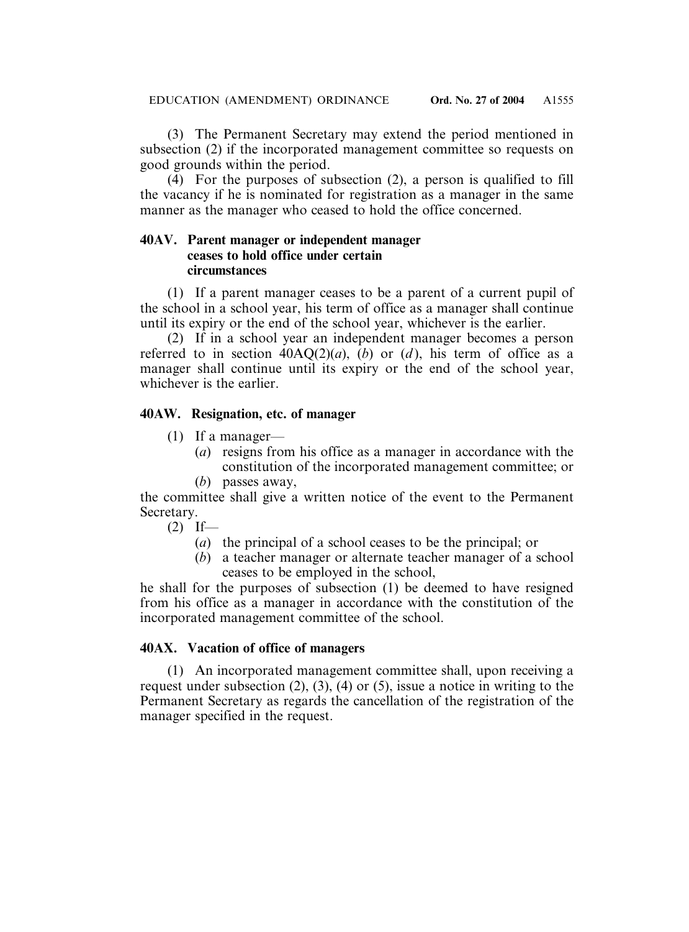(3) The Permanent Secretary may extend the period mentioned in subsection (2) if the incorporated management committee so requests on good grounds within the period.

 $(4)$  For the purposes of subsection (2), a person is qualified to fill the vacancy if he is nominated for registration as a manager in the same manner as the manager who ceased to hold the office concerned.

# **40AV. Parent manager or independent manager ceases to hold office under certain circumstances**

(1) If a parent manager ceases to be a parent of a current pupil of the school in a school year, his term of office as a manager shall continue until its expiry or the end of the school year, whichever is the earlier.

(2) If in a school year an independent manager becomes a person referred to in section  $40AQ(2)(a)$ ,  $(b)$  or  $(d)$ , his term of office as a manager shall continue until its expiry or the end of the school year, whichever is the earlier.

# **40AW. Resignation, etc. of manager**

- (1) If a manager—
	- (*a*) resigns from his office as a manager in accordance with the constitution of the incorporated management committee; or
	- (*b*) passes away,

the committee shall give a written notice of the event to the Permanent Secretary.

 $(2)$  If—

- (*a*) the principal of a school ceases to be the principal; or
- (*b*) a teacher manager or alternate teacher manager of a school ceases to be employed in the school,

he shall for the purposes of subsection (1) be deemed to have resigned from his office as a manager in accordance with the constitution of the incorporated management committee of the school.

# **40AX. Vacation of office of managers**

(1) An incorporated management committee shall, upon receiving a request under subsection  $(2)$ ,  $(3)$ ,  $(4)$  or  $(5)$ , issue a notice in writing to the Permanent Secretary as regards the cancellation of the registration of the manager specified in the request.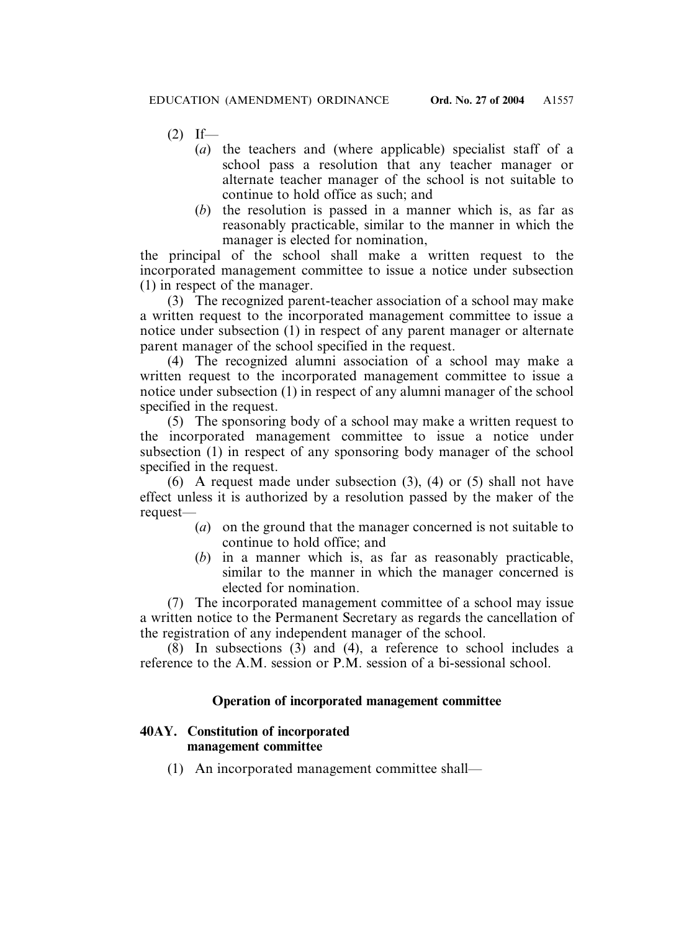$(2)$  If—

- (*a*) the teachers and (where applicable) specialist staff of a school pass a resolution that any teacher manager or alternate teacher manager of the school is not suitable to continue to hold office as such; and
- (*b*) the resolution is passed in a manner which is, as far as reasonably practicable, similar to the manner in which the manager is elected for nomination,

the principal of the school shall make a written request to the incorporated management committee to issue a notice under subsection (1) in respect of the manager.

(3) The recognized parent-teacher association of a school may make a written request to the incorporated management committee to issue a notice under subsection (1) in respect of any parent manager or alternate parent manager of the school specified in the request.

(4) The recognized alumni association of a school may make a written request to the incorporated management committee to issue a notice under subsection (1) in respect of any alumni manager of the school specified in the request.

(5) The sponsoring body of a school may make a written request to the incorporated management committee to issue a notice under subsection (1) in respect of any sponsoring body manager of the school specified in the request.

(6) A request made under subsection (3), (4) or (5) shall not have effect unless it is authorized by a resolution passed by the maker of the request—

- (*a*) on the ground that the manager concerned is not suitable to continue to hold office; and
- (*b*) in a manner which is, as far as reasonably practicable, similar to the manner in which the manager concerned is elected for nomination.

(7) The incorporated management committee of a school may issue a written notice to the Permanent Secretary as regards the cancellation of the registration of any independent manager of the school.

 $(\overline{8})$  In subsections  $(3)$  and  $(4)$ , a reference to school includes a reference to the A.M. session or P.M. session of a bi-sessional school.

# **Operation of incorporated management committee**

# **40AY. Constitution of incorporated management committee**

(1) An incorporated management committee shall—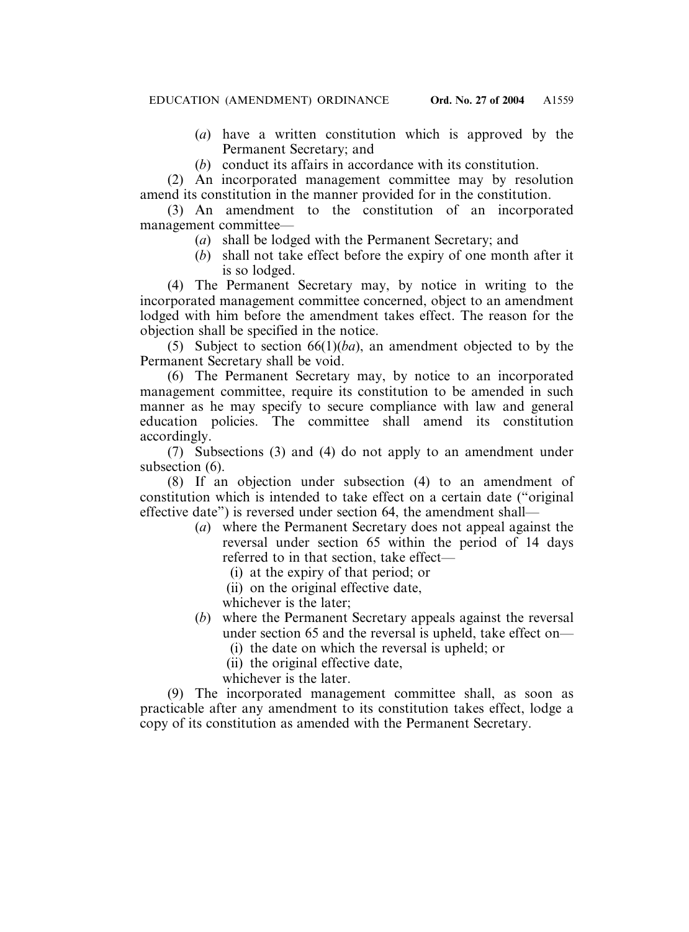- (*a*) have a written constitution which is approved by the Permanent Secretary; and
- (*b*) conduct its affairs in accordance with its constitution.

(2) An incorporated management committee may by resolution amend its constitution in the manner provided for in the constitution.

(3) An amendment to the constitution of an incorporated management committee—

- (*a*) shall be lodged with the Permanent Secretary; and
- (*b*) shall not take effect before the expiry of one month after it is so lodged.

(4) The Permanent Secretary may, by notice in writing to the incorporated management committee concerned, object to an amendment lodged with him before the amendment takes effect. The reason for the objection shall be specified in the notice.

(5) Subject to section 66(1)(*ba*), an amendment objected to by the Permanent Secretary shall be void.

(6) The Permanent Secretary may, by notice to an incorporated management committee, require its constitution to be amended in such manner as he may specify to secure compliance with law and general education policies. The committee shall amend its constitution accordingly.

(7) Subsections (3) and (4) do not apply to an amendment under subsection  $(6)$ .

(8) If an objection under subsection (4) to an amendment of constitution which is intended to take effect on a certain date ("original effective date") is reversed under section 64, the amendment shall—

- (*a*) where the Permanent Secretary does not appeal against the reversal under section 65 within the period of 14 days referred to in that section, take effect—
	- (i) at the expiry of that period; or
	- (ii) on the original effective date,
	- whichever is the later;
- (*b*) where the Permanent Secretary appeals against the reversal under section 65 and the reversal is upheld, take effect on—
	- (i) the date on which the reversal is upheld; or
	- (ii) the original effective date,

whichever is the later.

(9) The incorporated management committee shall, as soon as practicable after any amendment to its constitution takes effect, lodge a copy of its constitution as amended with the Permanent Secretary.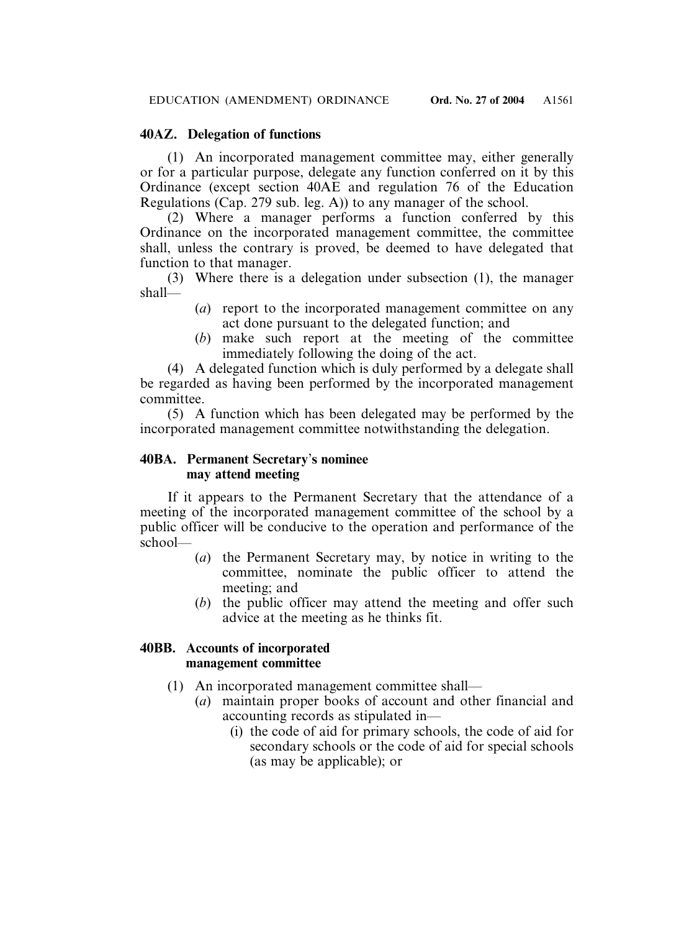# **40AZ. Delegation of functions**

(1) An incorporated management committee may, either generally or for a particular purpose, delegate any function conferred on it by this Ordinance (except section 40AE and regulation 76 of the Education Regulations (Cap. 279 sub. leg. A)) to any manager of the school.

(2) Where a manager performs a function conferred by this Ordinance on the incorporated management committee, the committee shall, unless the contrary is proved, be deemed to have delegated that function to that manager.

(3) Where there is a delegation under subsection (1), the manager shall—

- (*a*) report to the incorporated management committee on any act done pursuant to the delegated function; and
- (*b*) make such report at the meeting of the committee immediately following the doing of the act.

(4) A delegated function which is duly performed by a delegate shall be regarded as having been performed by the incorporated management committee.

(5) A function which has been delegated may be performed by the incorporated management committee notwithstanding the delegation.

# **40BA. Permanent Secretary**'**s nominee may attend meeting**

If it appears to the Permanent Secretary that the attendance of a meeting of the incorporated management committee of the school by a public officer will be conducive to the operation and performance of the school—

- (*a*) the Permanent Secretary may, by notice in writing to the committee, nominate the public officer to attend the meeting; and
- (*b*) the public officer may attend the meeting and offer such advice at the meeting as he thinks fit.

# **40BB. Accounts of incorporated management committee**

- (1) An incorporated management committee shall—
	- (*a*) maintain proper books of account and other financial and accounting records as stipulated in—
		- (i) the code of aid for primary schools, the code of aid for secondary schools or the code of aid for special schools (as may be applicable); or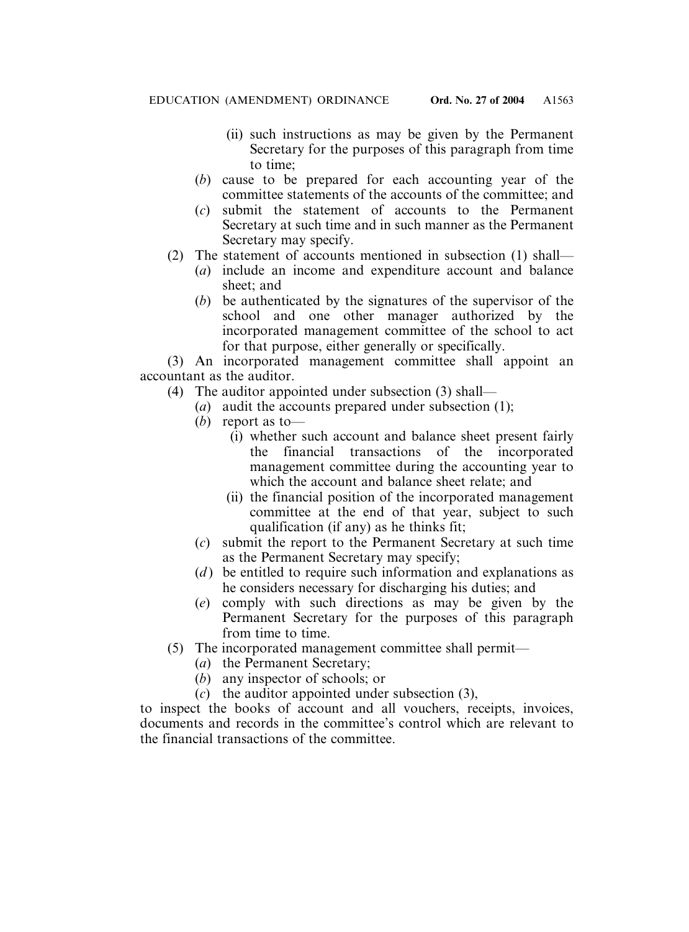- (ii) such instructions as may be given by the Permanent Secretary for the purposes of this paragraph from time to time;
- (*b*) cause to be prepared for each accounting year of the committee statements of the accounts of the committee; and
- (*c*) submit the statement of accounts to the Permanent Secretary at such time and in such manner as the Permanent Secretary may specify.
- (2) The statement of accounts mentioned in subsection (1) shall—
	- (*a*) include an income and expenditure account and balance sheet; and
	- (*b*) be authenticated by the signatures of the supervisor of the school and one other manager authorized by the incorporated management committee of the school to act for that purpose, either generally or specifically.

(3) An incorporated management committee shall appoint an accountant as the auditor.

(4) The auditor appointed under subsection (3) shall—

- (*a*) audit the accounts prepared under subsection (1);
- (*b*) report as to—
	- (i) whether such account and balance sheet present fairly the financial transactions of the incorporated management committee during the accounting year to which the account and balance sheet relate; and
	- (ii) the financial position of the incorporated management committee at the end of that year, subject to such qualification (if any) as he thinks fit;
- (*c*) submit the report to the Permanent Secretary at such time as the Permanent Secretary may specify;
- (*d*) be entitled to require such information and explanations as he considers necessary for discharging his duties; and
- (*e*) comply with such directions as may be given by the Permanent Secretary for the purposes of this paragraph from time to time.
- (5) The incorporated management committee shall permit—
	- (*a*) the Permanent Secretary;
	- (*b*) any inspector of schools; or
	- (*c*) the auditor appointed under subsection (3),

to inspect the books of account and all vouchers, receipts, invoices, documents and records in the committee's control which are relevant to the financial transactions of the committee.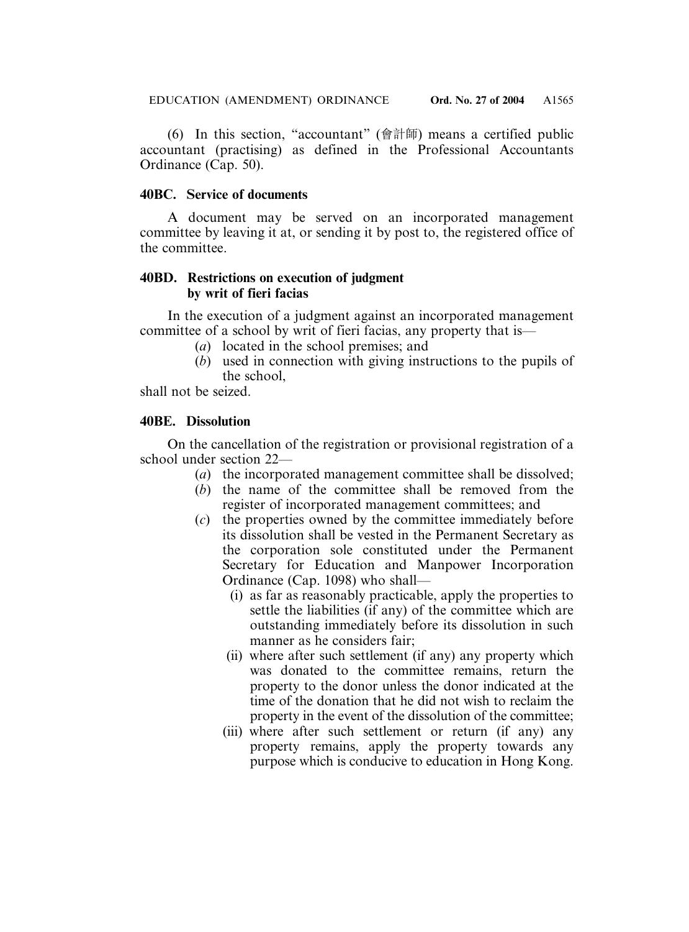(6) In this section, "accountant" (會計師) means a certified public accountant (practising) as defined in the Professional Accountants Ordinance (Cap. 50).

# **40BC. Service of documents**

A document may be served on an incorporated management committee by leaving it at, or sending it by post to, the registered office of the committee.

# **40BD. Restrictions on execution of judgment by writ of fieri facias**

In the execution of a judgment against an incorporated management committee of a school by writ of fieri facias, any property that is—

- (*a*) located in the school premises; and
- (*b*) used in connection with giving instructions to the pupils of the school,

shall not be seized.

# **40BE. Dissolution**

On the cancellation of the registration or provisional registration of a school under section 22—

- (*a*) the incorporated management committee shall be dissolved;
- (*b*) the name of the committee shall be removed from the register of incorporated management committees; and
- (*c*) the properties owned by the committee immediately before its dissolution shall be vested in the Permanent Secretary as the corporation sole constituted under the Permanent Secretary for Education and Manpower Incorporation Ordinance (Cap. 1098) who shall—
	- (i) as far as reasonably practicable, apply the properties to settle the liabilities (if any) of the committee which are outstanding immediately before its dissolution in such manner as he considers fair;
	- (ii) where after such settlement (if any) any property which was donated to the committee remains, return the property to the donor unless the donor indicated at the time of the donation that he did not wish to reclaim the property in the event of the dissolution of the committee;
	- (iii) where after such settlement or return (if any) any property remains, apply the property towards any purpose which is conducive to education in Hong Kong.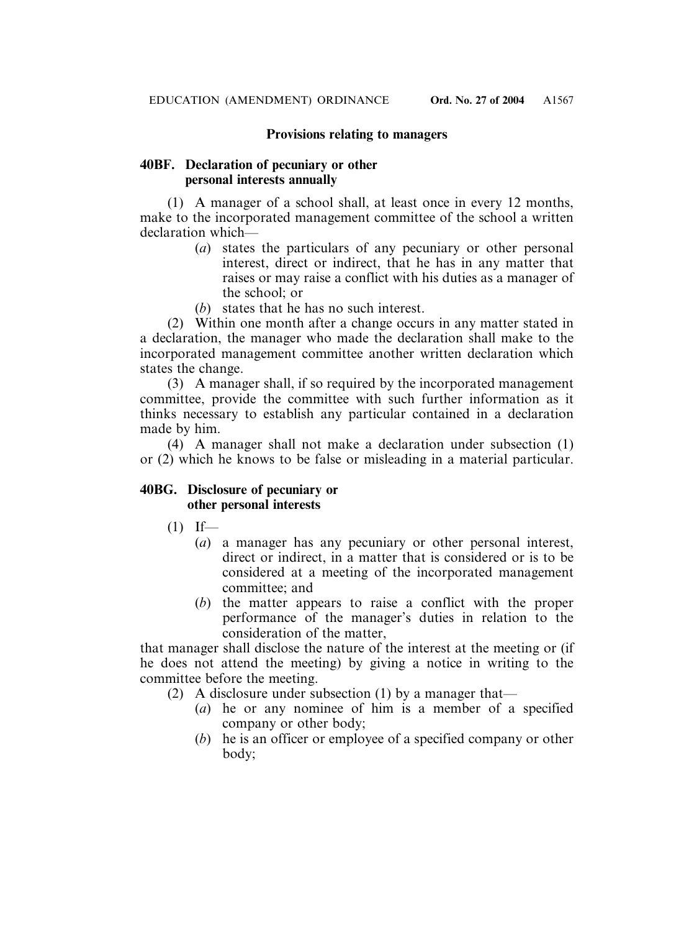# **Provisions relating to managers**

# **40BF. Declaration of pecuniary or other personal interests annually**

(1) A manager of a school shall, at least once in every 12 months, make to the incorporated management committee of the school a written declaration which—

- (*a*) states the particulars of any pecuniary or other personal interest, direct or indirect, that he has in any matter that raises or may raise a conflict with his duties as a manager of the school; or
- (*b*) states that he has no such interest.

(2) Within one month after a change occurs in any matter stated in a declaration, the manager who made the declaration shall make to the incorporated management committee another written declaration which states the change.

(3) A manager shall, if so required by the incorporated management committee, provide the committee with such further information as it thinks necessary to establish any particular contained in a declaration made by him.

(4) A manager shall not make a declaration under subsection (1) or (2) which he knows to be false or misleading in a material particular.

### **40BG. Disclosure of pecuniary or other personal interests**

- $(1)$  If—
	- (*a*) a manager has any pecuniary or other personal interest, direct or indirect, in a matter that is considered or is to be considered at a meeting of the incorporated management committee; and
	- (*b*) the matter appears to raise a conflict with the proper performance of the manager's duties in relation to the consideration of the matter,

that manager shall disclose the nature of the interest at the meeting or (if he does not attend the meeting) by giving a notice in writing to the committee before the meeting.

- (2) A disclosure under subsection (1) by a manager that—
	- (*a*) he or any nominee of him is a member of a specified company or other body;
	- (*b*) he is an officer or employee of a specified company or other body;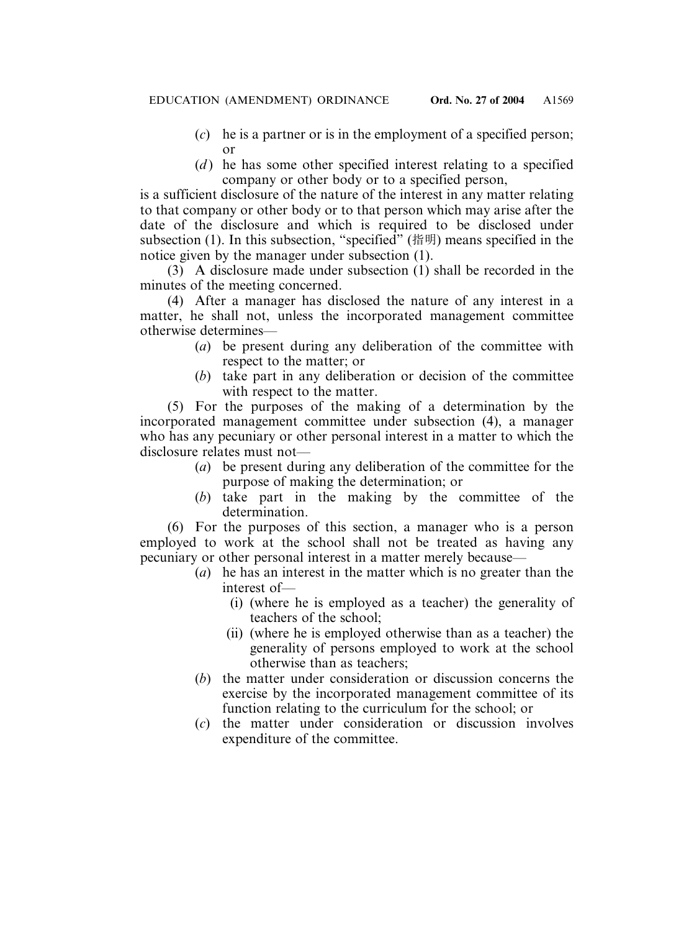- (*c*) he is a partner or is in the employment of a specified person; or
- (*d*) he has some other specified interest relating to a specified company or other body or to a specified person,

is a sufficient disclosure of the nature of the interest in any matter relating to that company or other body or to that person which may arise after the date of the disclosure and which is required to be disclosed under subsection (1). In this subsection, "specified" (指明) means specified in the notice given by the manager under subsection (1).

(3) A disclosure made under subsection (1) shall be recorded in the minutes of the meeting concerned.

(4) After a manager has disclosed the nature of any interest in a matter, he shall not, unless the incorporated management committee otherwise determines—

- (*a*) be present during any deliberation of the committee with respect to the matter; or
- (*b*) take part in any deliberation or decision of the committee with respect to the matter.

(5) For the purposes of the making of a determination by the incorporated management committee under subsection (4), a manager who has any pecuniary or other personal interest in a matter to which the disclosure relates must not—

- (*a*) be present during any deliberation of the committee for the purpose of making the determination; or
- (*b*) take part in the making by the committee of the determination.

(6) For the purposes of this section, a manager who is a person employed to work at the school shall not be treated as having any pecuniary or other personal interest in a matter merely because—

- (*a*) he has an interest in the matter which is no greater than the interest of—
	- (i) (where he is employed as a teacher) the generality of teachers of the school;
	- (ii) (where he is employed otherwise than as a teacher) the generality of persons employed to work at the school otherwise than as teachers;
- (*b*) the matter under consideration or discussion concerns the exercise by the incorporated management committee of its function relating to the curriculum for the school; or
- (*c*) the matter under consideration or discussion involves expenditure of the committee.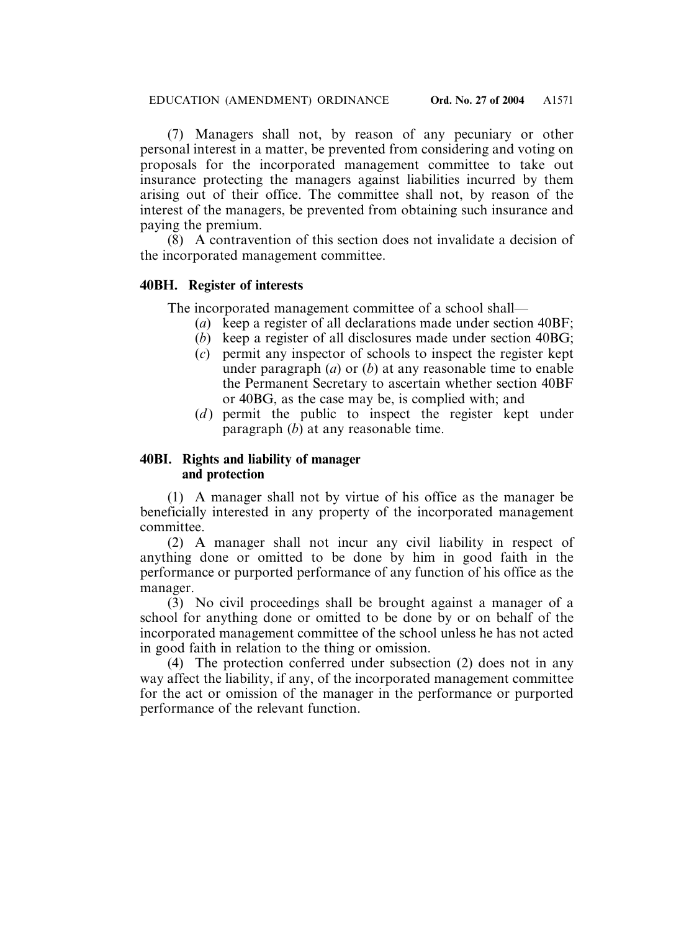(7) Managers shall not, by reason of any pecuniary or other personal interest in a matter, be prevented from considering and voting on proposals for the incorporated management committee to take out insurance protecting the managers against liabilities incurred by them arising out of their office. The committee shall not, by reason of the interest of the managers, be prevented from obtaining such insurance and paying the premium.

(8) A contravention of this section does not invalidate a decision of the incorporated management committee.

# **40BH. Register of interests**

The incorporated management committee of a school shall—

- (*a*) keep a register of all declarations made under section 40BF;
- (*b*) keep a register of all disclosures made under section 40BG;
- (*c*) permit any inspector of schools to inspect the register kept under paragraph (*a*) or (*b*) at any reasonable time to enable the Permanent Secretary to ascertain whether section 40BF or 40BG, as the case may be, is complied with; and
- (*d*) permit the public to inspect the register kept under paragraph (*b*) at any reasonable time.

# **40BI. Rights and liability of manager and protection**

(1) A manager shall not by virtue of his office as the manager be beneficially interested in any property of the incorporated management committee.

(2) A manager shall not incur any civil liability in respect of anything done or omitted to be done by him in good faith in the performance or purported performance of any function of his office as the manager.

(3) No civil proceedings shall be brought against a manager of a school for anything done or omitted to be done by or on behalf of the incorporated management committee of the school unless he has not acted in good faith in relation to the thing or omission.

(4) The protection conferred under subsection (2) does not in any way affect the liability, if any, of the incorporated management committee for the act or omission of the manager in the performance or purported performance of the relevant function.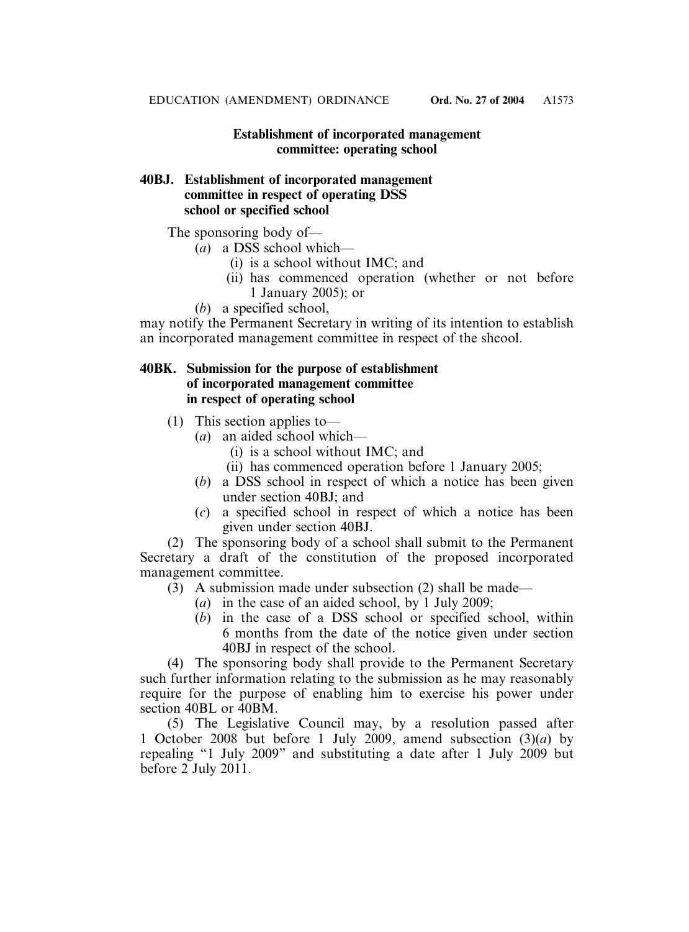# **Establishment of incorporated management committee: operating school**

# **40BJ. Establishment of incorporated management committee in respect of operating DSS school or specified school**

The sponsoring body of—

- (*a*) a DSS school which—
	- (i) is a school without IMC; and
	- (ii) has commenced operation (whether or not before 1 January 2005); or
- (*b*) a specified school,

may notify the Permanent Secretary in writing of its intention to establish an incorporated management committee in respect of the shcool.

# **40BK. Submission for the purpose of establishment of incorporated management committee in respect of operating school**

- (1) This section applies to—
	- (*a*) an aided school which—
		- (i) is a school without IMC; and
		- (ii) has commenced operation before 1 January 2005;
	- (*b*) a DSS school in respect of which a notice has been given under section 40BJ; and
	- (*c*) a specified school in respect of which a notice has been given under section 40BJ.

(2) The sponsoring body of a school shall submit to the Permanent Secretary a draft of the constitution of the proposed incorporated management committee.

 $(3)$  A submission made under subsection (2) shall be made—

- (*a*) in the case of an aided school, by 1 July 2009;
- (*b*) in the case of a DSS school or specified school, within 6 months from the date of the notice given under section 40BJ in respect of the school.

(4) The sponsoring body shall provide to the Permanent Secretary such further information relating to the submission as he may reasonably require for the purpose of enabling him to exercise his power under section 40BL or 40BM.

(5) The Legislative Council may, by a resolution passed after 1 October 2008 but before 1 July 2009, amend subsection (3)(*a*) by repealing "1 July 2009" and substituting a date after 1 July 2009 but before 2 July 2011.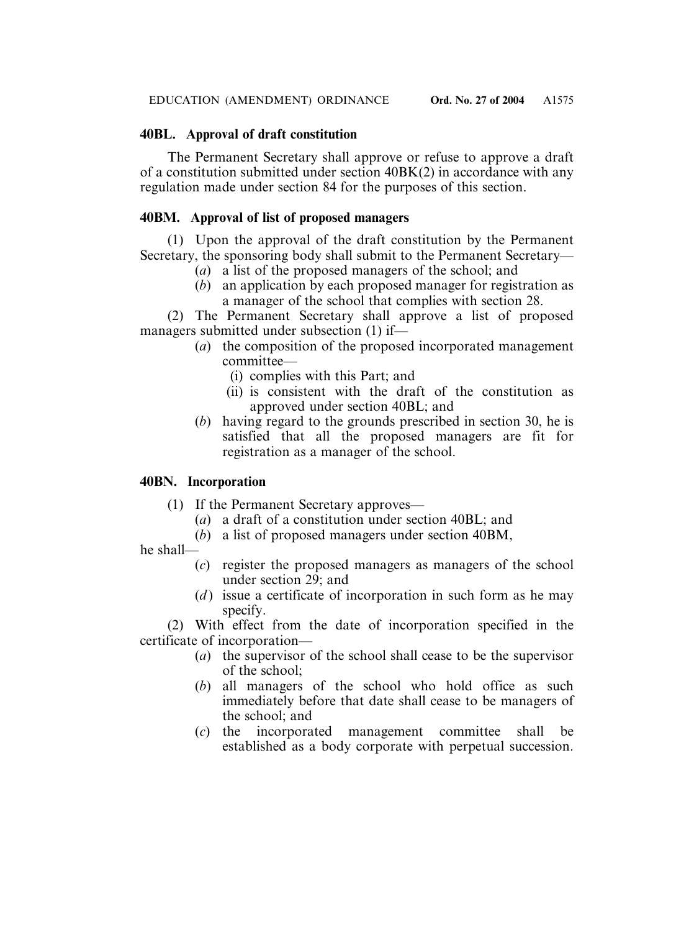# **40BL. Approval of draft constitution**

The Permanent Secretary shall approve or refuse to approve a draft of a constitution submitted under section 40BK(2) in accordance with any regulation made under section 84 for the purposes of this section.

# **40BM. Approval of list of proposed managers**

(1) Upon the approval of the draft constitution by the Permanent Secretary, the sponsoring body shall submit to the Permanent Secretary—

- (*a*) a list of the proposed managers of the school; and
- (*b*) an application by each proposed manager for registration as a manager of the school that complies with section 28.

(2) The Permanent Secretary shall approve a list of proposed managers submitted under subsection (1) if—

- (*a*) the composition of the proposed incorporated management committee—
	- (i) complies with this Part; and
	- (ii) is consistent with the draft of the constitution as approved under section 40BL; and
- (*b*) having regard to the grounds prescribed in section 30, he is satisfied that all the proposed managers are fit for registration as a manager of the school.

# **40BN. Incorporation**

- (1) If the Permanent Secretary approves—
	- (*a*) a draft of a constitution under section 40BL; and
	- (*b*) a list of proposed managers under section 40BM,

he shall—

- (*c*) register the proposed managers as managers of the school under section 29; and
- (*d*) issue a certificate of incorporation in such form as he may specify.

(2) With effect from the date of incorporation specified in the certificate of incorporation—

- (*a*) the supervisor of the school shall cease to be the supervisor of the school;
- (*b*) all managers of the school who hold office as such immediately before that date shall cease to be managers of the school; and
- (*c*) the incorporated management committee shall be established as a body corporate with perpetual succession.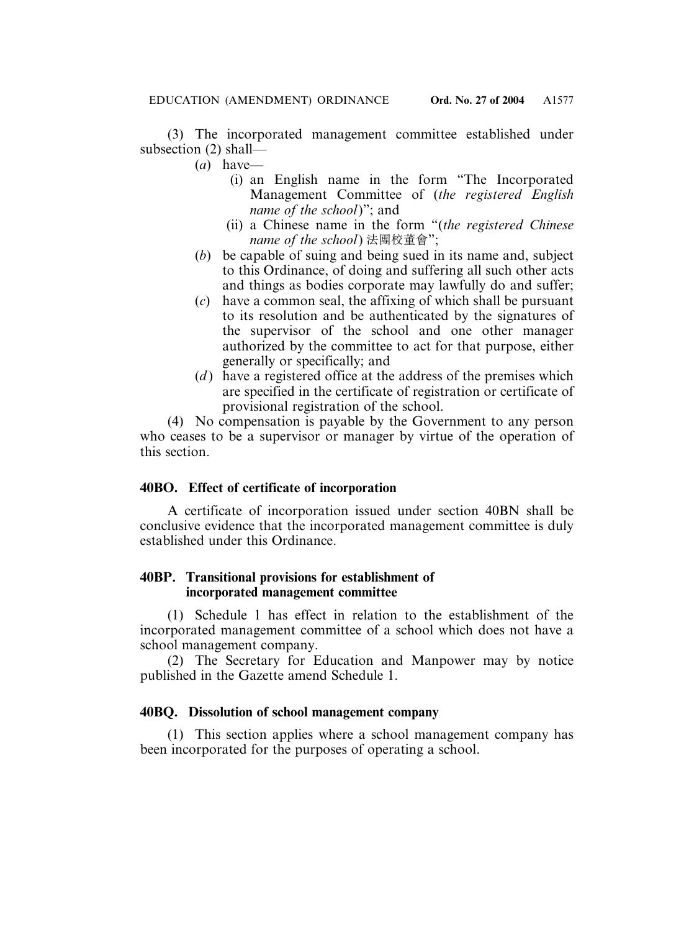(3) The incorporated management committee established under subsection (2) shall—

- (*a*) have—
	- (i) an English name in the form "The Incorporated Management Committee of (*the registered English name of the school*)"; and
	- (ii) a Chinese name in the form "(*the registered Chinese name of the school*) 法團校董會";
- (*b*) be capable of suing and being sued in its name and, subject to this Ordinance, of doing and suffering all such other acts and things as bodies corporate may lawfully do and suffer;
- (*c*) have a common seal, the affixing of which shall be pursuant to its resolution and be authenticated by the signatures of the supervisor of the school and one other manager authorized by the committee to act for that purpose, either generally or specifically; and
- (*d*) have a registered office at the address of the premises which are specified in the certificate of registration or certificate of provisional registration of the school.

(4) No compensation is payable by the Government to any person who ceases to be a supervisor or manager by virtue of the operation of this section.

# **40BO. Effect of certificate of incorporation**

A certificate of incorporation issued under section 40BN shall be conclusive evidence that the incorporated management committee is duly established under this Ordinance.

# **40BP. Transitional provisions for establishment of incorporated management committee**

(1) Schedule 1 has effect in relation to the establishment of the incorporated management committee of a school which does not have a school management company.

(2) The Secretary for Education and Manpower may by notice published in the Gazette amend Schedule 1.

# **40BQ. Dissolution of school management company**

(1) This section applies where a school management company has been incorporated for the purposes of operating a school.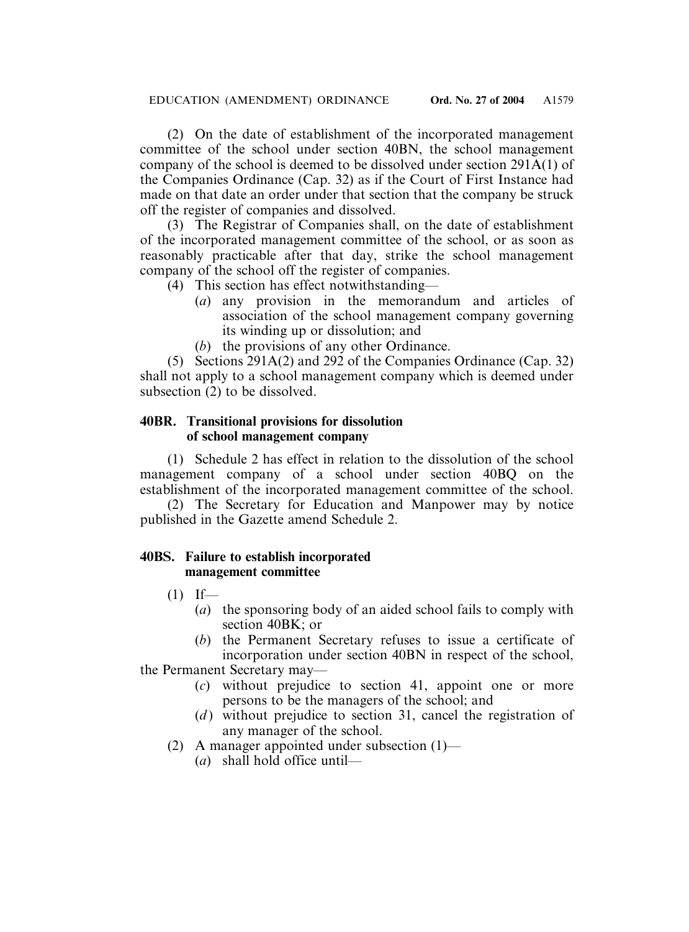(2) On the date of establishment of the incorporated management committee of the school under section 40BN, the school management company of the school is deemed to be dissolved under section 291A(1) of the Companies Ordinance (Cap. 32) as if the Court of First Instance had made on that date an order under that section that the company be struck off the register of companies and dissolved.

(3) The Registrar of Companies shall, on the date of establishment of the incorporated management committee of the school, or as soon as reasonably practicable after that day, strike the school management company of the school off the register of companies.

- (4) This section has effect notwithstanding—
	- (*a*) any provision in the memorandum and articles of association of the school management company governing its winding up or dissolution; and
	- (*b*) the provisions of any other Ordinance.

(5) Sections 291A(2) and 292 of the Companies Ordinance (Cap. 32) shall not apply to a school management company which is deemed under subsection (2) to be dissolved.

# **40BR. Transitional provisions for dissolution of school management company**

(1) Schedule 2 has effect in relation to the dissolution of the school management company of a school under section 40BQ on the establishment of the incorporated management committee of the school.

(2) The Secretary for Education and Manpower may by notice published in the Gazette amend Schedule 2.

# **40BS. Failure to establish incorporated management committee**

- $(1)$  If—
	- (*a*) the sponsoring body of an aided school fails to comply with section 40BK; or
	- (*b*) the Permanent Secretary refuses to issue a certificate of incorporation under section 40BN in respect of the school,

the Permanent Secretary may—

- (*c*) without prejudice to section 41, appoint one or more persons to be the managers of the school; and
- (*d*) without prejudice to section 31, cancel the registration of any manager of the school.
- (2) A manager appointed under subsection  $(1)$ 
	- (*a*) shall hold office until—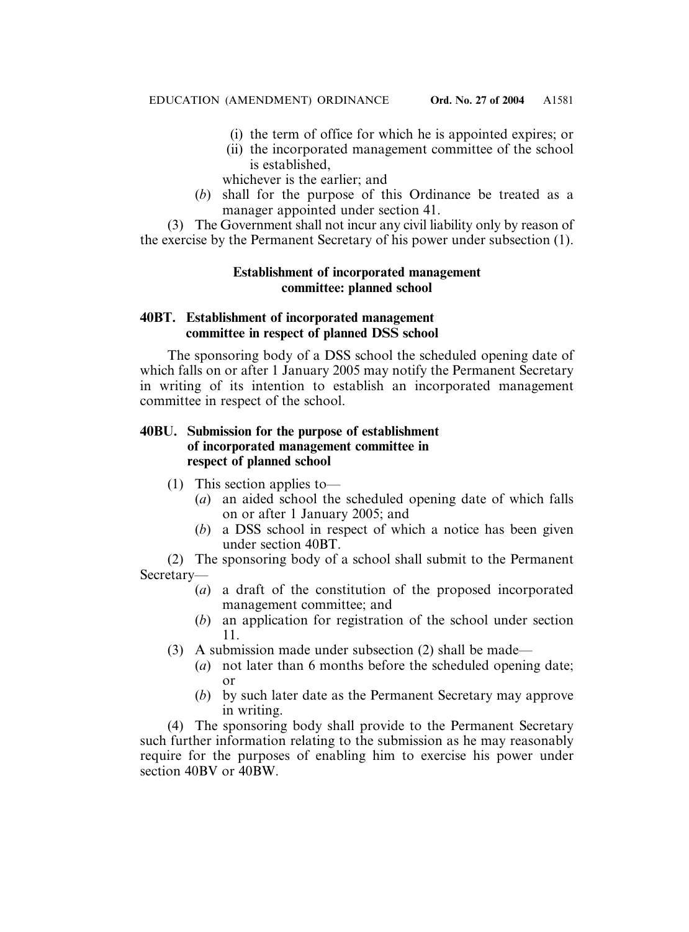- (i) the term of office for which he is appointed expires; or
- (ii) the incorporated management committee of the school is established,

whichever is the earlier; and

(*b*) shall for the purpose of this Ordinance be treated as a manager appointed under section 41.

(3) The Government shall not incur any civil liability only by reason of the exercise by the Permanent Secretary of his power under subsection (1).

# **Establishment of incorporated management committee: planned school**

# **40BT. Establishment of incorporated management committee in respect of planned DSS school**

The sponsoring body of a DSS school the scheduled opening date of which falls on or after 1 January 2005 may notify the Permanent Secretary in writing of its intention to establish an incorporated management committee in respect of the school.

# **40BU. Submission for the purpose of establishment of incorporated management committee in respect of planned school**

- (1) This section applies to—
	- (*a*) an aided school the scheduled opening date of which falls on or after 1 January 2005; and
	- (*b*) a DSS school in respect of which a notice has been given under section 40BT.

(2) The sponsoring body of a school shall submit to the Permanent Secretary—

- (*a*) a draft of the constitution of the proposed incorporated management committee; and
- (*b*) an application for registration of the school under section 11.
- (3) A submission made under subsection (2) shall be made—
	- (*a*) not later than 6 months before the scheduled opening date; or
	- (*b*) by such later date as the Permanent Secretary may approve in writing.

(4) The sponsoring body shall provide to the Permanent Secretary such further information relating to the submission as he may reasonably require for the purposes of enabling him to exercise his power under section 40BV or 40BW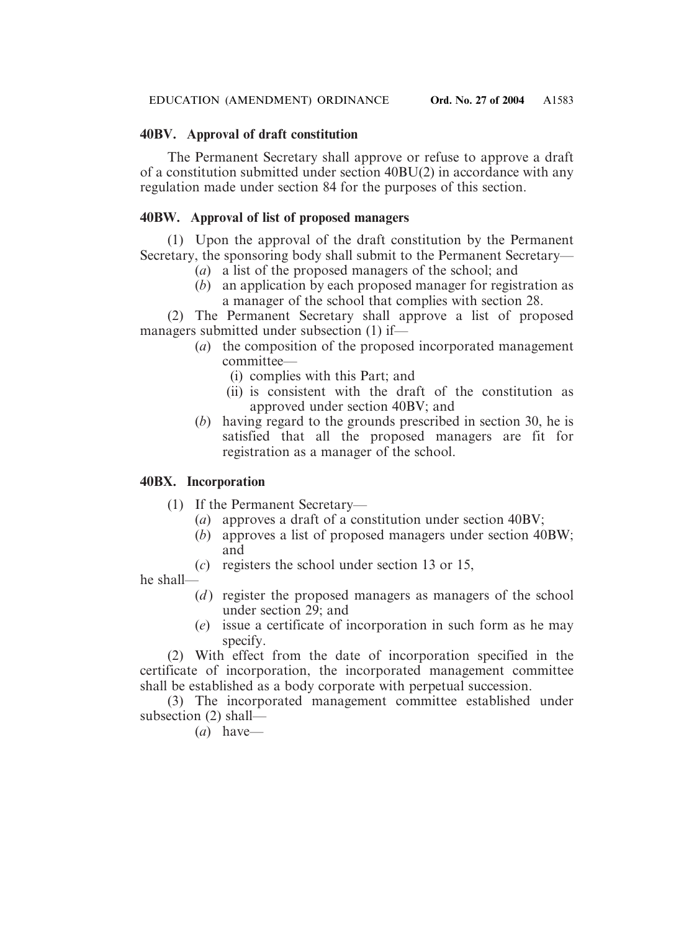# **40BV. Approval of draft constitution**

The Permanent Secretary shall approve or refuse to approve a draft of a constitution submitted under section 40BU(2) in accordance with any regulation made under section 84 for the purposes of this section.

# **40BW. Approval of list of proposed managers**

(1) Upon the approval of the draft constitution by the Permanent Secretary, the sponsoring body shall submit to the Permanent Secretary—

- (*a*) a list of the proposed managers of the school; and
- (*b*) an application by each proposed manager for registration as a manager of the school that complies with section 28.

(2) The Permanent Secretary shall approve a list of proposed managers submitted under subsection (1) if—

- (*a*) the composition of the proposed incorporated management committee—
	- (i) complies with this Part; and
	- (ii) is consistent with the draft of the constitution as approved under section 40BV; and
- (*b*) having regard to the grounds prescribed in section 30, he is satisfied that all the proposed managers are fit for registration as a manager of the school.

# **40BX. Incorporation**

- (1) If the Permanent Secretary—
	- (*a*) approves a draft of a constitution under section 40BV;
	- (*b*) approves a list of proposed managers under section 40BW; and
	- (*c*) registers the school under section 13 or 15,

he shall—

- (*d*) register the proposed managers as managers of the school under section 29; and
- (*e*) issue a certificate of incorporation in such form as he may specify.

(2) With effect from the date of incorporation specified in the certificate of incorporation, the incorporated management committee shall be established as a body corporate with perpetual succession.

(3) The incorporated management committee established under subsection (2) shall—

(*a*) have—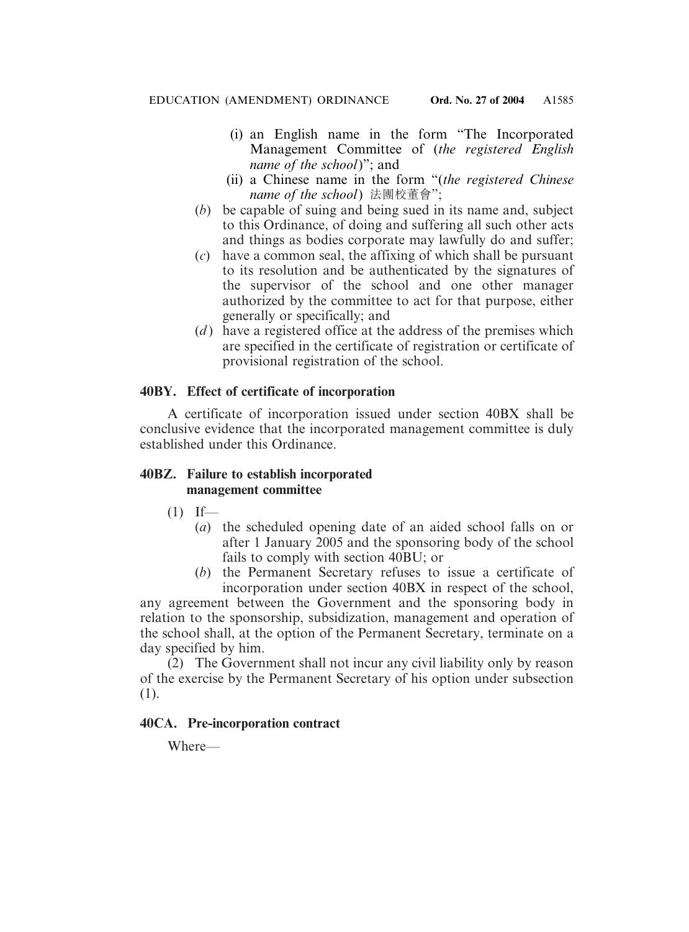- (i) an English name in the form "The Incorporated Management Committee of (*the registered English name of the school*)"; and
- (ii) a Chinese name in the form "(*the registered Chinese name of the school*) 法團校董會";
- (*b*) be capable of suing and being sued in its name and, subject to this Ordinance, of doing and suffering all such other acts and things as bodies corporate may lawfully do and suffer;
- (*c*) have a common seal, the affixing of which shall be pursuant to its resolution and be authenticated by the signatures of the supervisor of the school and one other manager authorized by the committee to act for that purpose, either generally or specifically; and
- (*d*) have a registered office at the address of the premises which are specified in the certificate of registration or certificate of provisional registration of the school.

# **40BY. Effect of certificate of incorporation**

A certificate of incorporation issued under section 40BX shall be conclusive evidence that the incorporated management committee is duly established under this Ordinance.

# **40BZ. Failure to establish incorporated management committee**

- $(1)$  If—
	- (*a*) the scheduled opening date of an aided school falls on or after 1 January 2005 and the sponsoring body of the school fails to comply with section 40BU; or
	- (*b*) the Permanent Secretary refuses to issue a certificate of incorporation under section 40BX in respect of the school,

any agreement between the Government and the sponsoring body in relation to the sponsorship, subsidization, management and operation of the school shall, at the option of the Permanent Secretary, terminate on a day specified by him.

(2) The Government shall not incur any civil liability only by reason of the exercise by the Permanent Secretary of his option under subsection (1).

# **40CA. Pre-incorporation contract**

Where—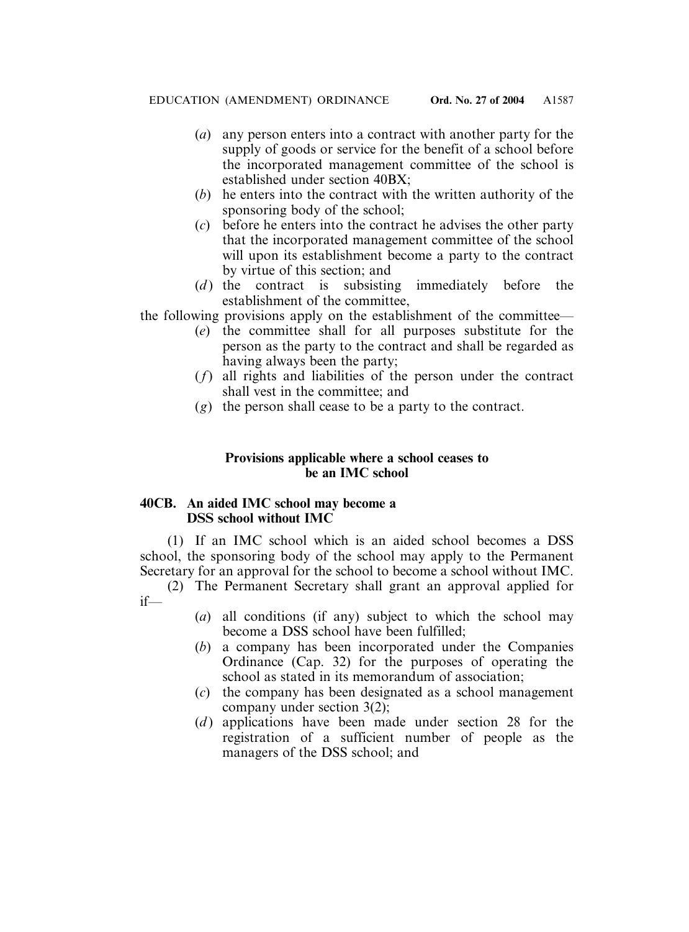- (*a*) any person enters into a contract with another party for the supply of goods or service for the benefit of a school before the incorporated management committee of the school is established under section 40BX;
- (*b*) he enters into the contract with the written authority of the sponsoring body of the school;
- (*c*) before he enters into the contract he advises the other party that the incorporated management committee of the school will upon its establishment become a party to the contract by virtue of this section; and
- (*d*) the contract is subsisting immediately before the establishment of the committee,

the following provisions apply on the establishment of the committee—

- (*e*) the committee shall for all purposes substitute for the person as the party to the contract and shall be regarded as having always been the party;
- (*f*) all rights and liabilities of the person under the contract shall vest in the committee; and
- (*g*) the person shall cease to be a party to the contract.

# **Provisions applicable where a school ceases to be an IMC school**

# **40CB. An aided IMC school may become a DSS school without IMC**

(1) If an IMC school which is an aided school becomes a DSS school, the sponsoring body of the school may apply to the Permanent Secretary for an approval for the school to become a school without IMC.

(2) The Permanent Secretary shall grant an approval applied for if—

- (*a*) all conditions (if any) subject to which the school may become a DSS school have been fulfilled;
- (*b*) a company has been incorporated under the Companies Ordinance (Cap. 32) for the purposes of operating the school as stated in its memorandum of association;
- (*c*) the company has been designated as a school management company under section 3(2);
- (*d*) applications have been made under section 28 for the registration of a sufficient number of people as the managers of the DSS school; and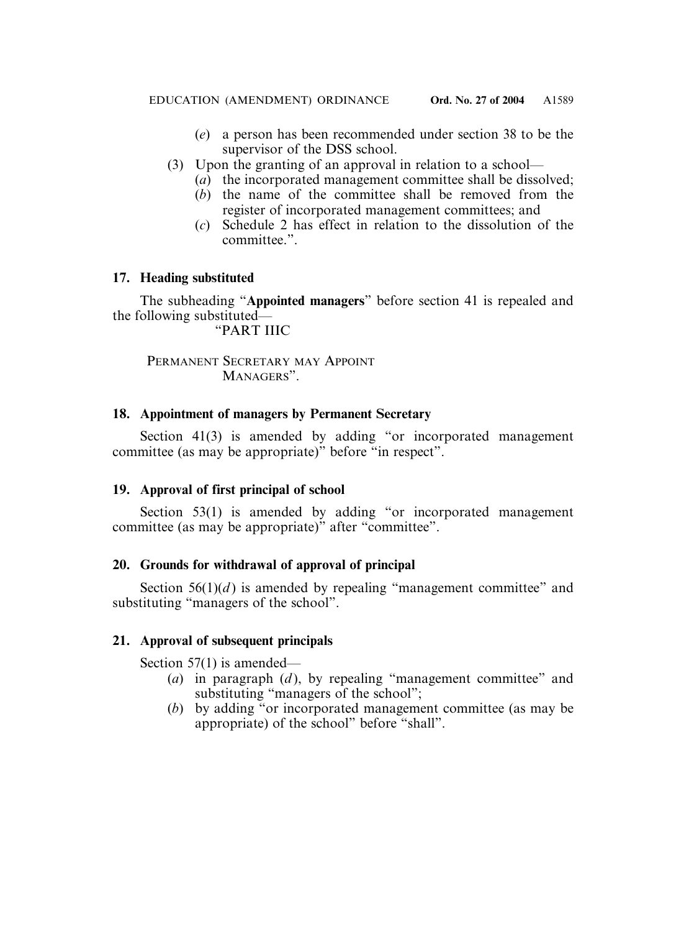- (*e*) a person has been recommended under section 38 to be the supervisor of the DSS school.
- (3) Upon the granting of an approval in relation to a school—
	- (*a*) the incorporated management committee shall be dissolved;
	- (*b*) the name of the committee shall be removed from the register of incorporated management committees; and
	- (*c*) Schedule 2 has effect in relation to the dissolution of the committee.".

# **17. Heading substituted**

The subheading "**Appointed managers**" before section 41 is repealed and the following substituted—

"PART IIIC

PERMANENT SECRETARY MAY APPOINT MANAGERS".

# **18. Appointment of managers by Permanent Secretary**

Section 41(3) is amended by adding "or incorporated management committee (as may be appropriate)" before "in respect".

# **19. Approval of first principal of school**

Section 53(1) is amended by adding "or incorporated management committee (as may be appropriate)" after "committee".

# **20. Grounds for withdrawal of approval of principal**

Section  $56(1)(d)$  is amended by repealing "management committee" and substituting "managers of the school".

# **21. Approval of subsequent principals**

Section 57(1) is amended—

- (*a*) in paragraph (*d* ), by repealing "management committee" and substituting "managers of the school";
- (*b*) by adding "or incorporated management committee (as may be appropriate) of the school" before "shall".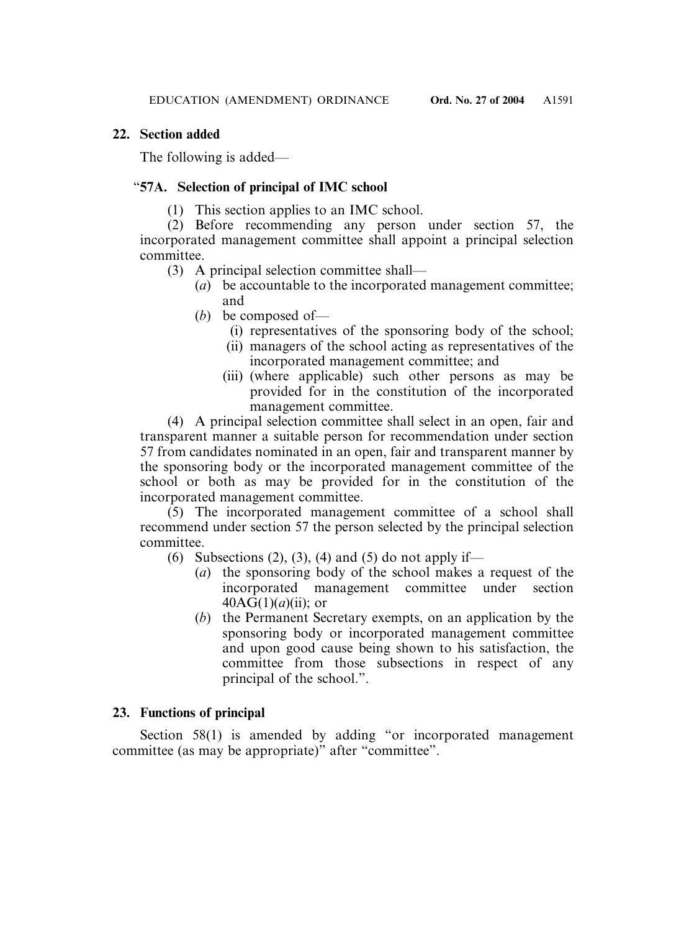# **22. Section added**

The following is added—

# "**57A. Selection of principal of IMC school**

(1) This section applies to an IMC school.

(2) Before recommending any person under section 57, the incorporated management committee shall appoint a principal selection committee.

- (3) A principal selection committee shall—
	- (*a*) be accountable to the incorporated management committee; and
	- (*b*) be composed of—
		- (i) representatives of the sponsoring body of the school;
		- (ii) managers of the school acting as representatives of the incorporated management committee; and
		- (iii) (where applicable) such other persons as may be provided for in the constitution of the incorporated management committee.

(4) A principal selection committee shall select in an open, fair and transparent manner a suitable person for recommendation under section 57 from candidates nominated in an open, fair and transparent manner by the sponsoring body or the incorporated management committee of the school or both as may be provided for in the constitution of the incorporated management committee.

(5) The incorporated management committee of a school shall recommend under section 57 the person selected by the principal selection committee.

- (6) Subsections (2), (3), (4) and (5) do not apply if—
	- (*a*) the sponsoring body of the school makes a request of the incorporated management committee under section  $40AG(1)(a)(ii)$ ; or
	- (*b*) the Permanent Secretary exempts, on an application by the sponsoring body or incorporated management committee and upon good cause being shown to his satisfaction, the committee from those subsections in respect of any principal of the school.".

# **23. Functions of principal**

Section 58(1) is amended by adding "or incorporated management committee (as may be appropriate)" after "committee".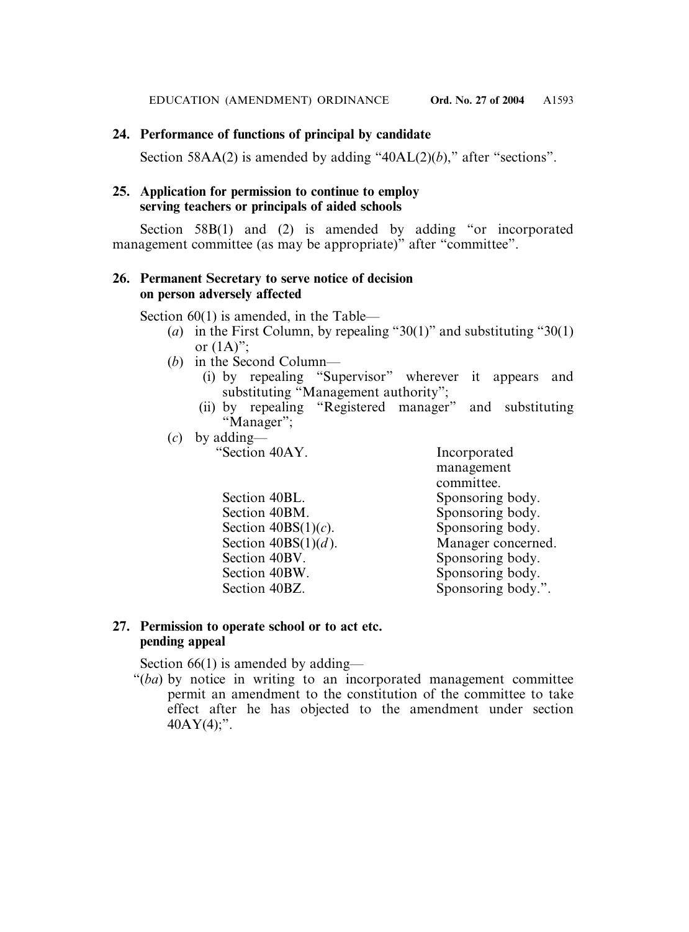# **24. Performance of functions of principal by candidate**

Section 58AA(2) is amended by adding "40AL(2)(b)," after "sections".

# **25. Application for permission to continue to employ serving teachers or principals of aided schools**

Section 58B(1) and (2) is amended by adding "or incorporated management committee (as may be appropriate)" after "committee".

# **26. Permanent Secretary to serve notice of decision on person adversely affected**

Section 60(1) is amended, in the Table—

- (*a*) in the First Column, by repealing "30(1)" and substituting "30(1) or  $(1A)$ ":
- (*b*) in the Second Column—
	- (i) by repealing "Supervisor" wherever it appears and substituting "Management authority";
	- (ii) by repealing "Registered manager" and substituting "Manager";
- (*c*) by adding—

Incorporated management committee. Section 40BL. Sponsoring body. Section 40BM. Sponsoring body.<br>Section 40BS $(1)(c)$ . Sponsoring body. Manager concerned. Section 40BV. Sponsoring body. Section 40BW. Sponsoring body. Section 40BZ. Sponsoring body.".

# **27. Permission to operate school or to act etc. pending appeal**

Section  $40BS(1)(c)$ .<br>Section  $40BS(1)(d)$ .

Section 66(1) is amended by adding—

"(*ba*) by notice in writing to an incorporated management committee permit an amendment to the constitution of the committee to take effect after he has objected to the amendment under section  $40AY(4)$ ;".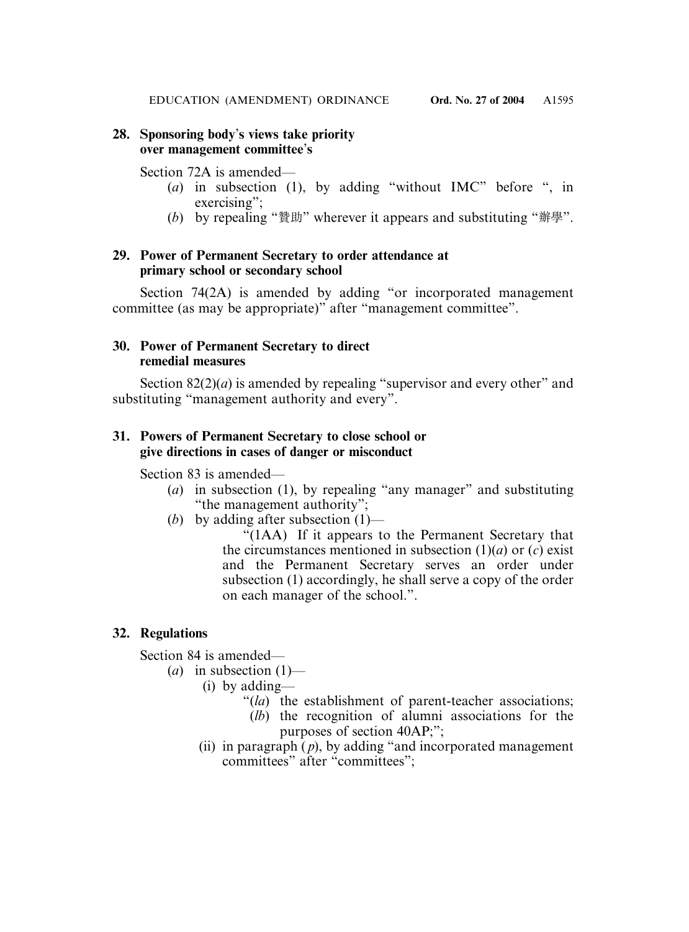# **28. Sponsoring body**'**s views take priority over management committee**'**s**

# Section 72A is amended—

- (*a*) in subsection (1), by adding "without IMC" before ", in exercising":
- (*b*) by repealing "贊助" wherever it appears and substituting "辦學".

# **29. Power of Permanent Secretary to order attendance at primary school or secondary school**

Section 74(2A) is amended by adding "or incorporated management committee (as may be appropriate)" after "management committee".

# **30. Power of Permanent Secretary to direct remedial measures**

Section  $82(2)(a)$  is amended by repealing "supervisor and every other" and substituting "management authority and every".

# **31. Powers of Permanent Secretary to close school or give directions in cases of danger or misconduct**

Section 83 is amended—

- (*a*) in subsection (1), by repealing "any manager" and substituting "the management authority";
- (*b*) by adding after subsection (1)—

"(1AA) If it appears to the Permanent Secretary that the circumstances mentioned in subsection  $(1)(a)$  or  $(c)$  exist and the Permanent Secretary serves an order under subsection (1) accordingly, he shall serve a copy of the order on each manager of the school.".

# **32. Regulations**

Section 84 is amended—

- $(a)$  in subsection  $(1)$ 
	- (i) by adding—
		- "(*la*) the establishment of parent-teacher associations;
		- (*lb*) the recognition of alumni associations for the purposes of section 40AP;";
	- (ii) in paragraph  $(p)$ , by adding "and incorporated management" committees" after "committees";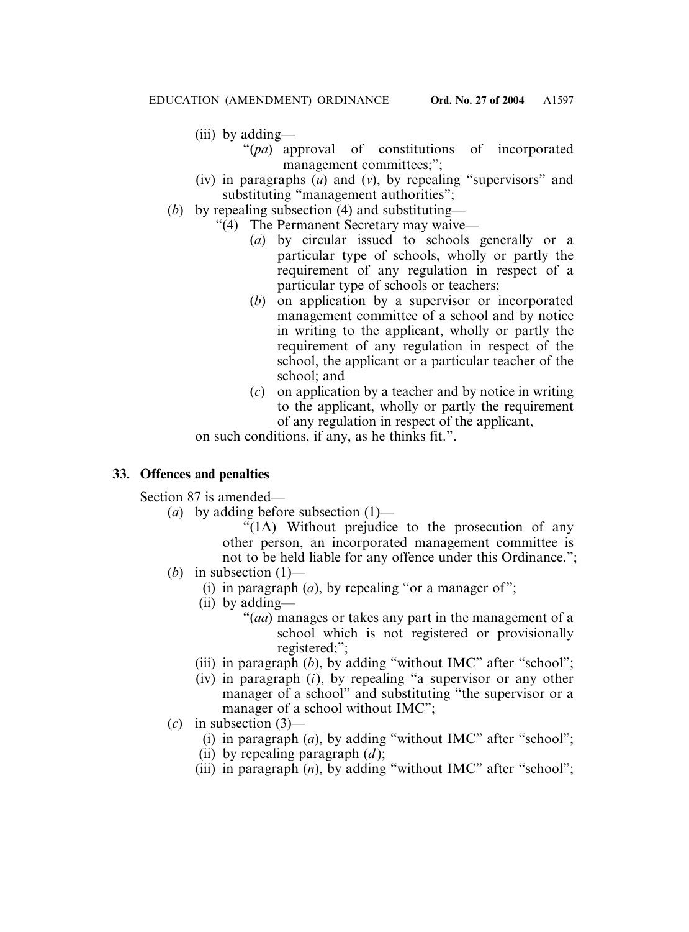- (iii) by adding—
	- "(*pa*) approval of constitutions of incorporated management committees;";
- (iv) in paragraphs (*u*) and (*v*), by repealing "supervisors" and substituting "management authorities";
- (*b*) by repealing subsection (4) and substituting—
	- "(4) The Permanent Secretary may waive—
		- (*a*) by circular issued to schools generally or a particular type of schools, wholly or partly the requirement of any regulation in respect of a particular type of schools or teachers;
		- (*b*) on application by a supervisor or incorporated management committee of a school and by notice in writing to the applicant, wholly or partly the requirement of any regulation in respect of the school, the applicant or a particular teacher of the school; and
		- (*c*) on application by a teacher and by notice in writing to the applicant, wholly or partly the requirement of any regulation in respect of the applicant,

on such conditions, if any, as he thinks fit.".

# **33. Offences and penalties**

Section 87 is amended—

(*a*) by adding before subsection (1)—

"(1A) Without prejudice to the prosecution of any other person, an incorporated management committee is not to be held liable for any offence under this Ordinance.";

- (*b*) in subsection  $(1)$ 
	- (i) in paragraph  $(a)$ , by repealing "or a manager of";
	- (ii) by adding—
		- "(*aa*) manages or takes any part in the management of a school which is not registered or provisionally registered;";
	- (iii) in paragraph (*b*), by adding "without IMC" after "school";
	- (iv) in paragraph (*i*), by repealing "a supervisor or any other manager of a school" and substituting "the supervisor or a manager of a school without IMC";
- (*c*) in subsection (3)—
	- (i) in paragraph (*a*), by adding "without IMC" after "school";
	- (ii) by repealing paragraph (*d* );
	- (iii) in paragraph (*n*), by adding "without IMC" after "school";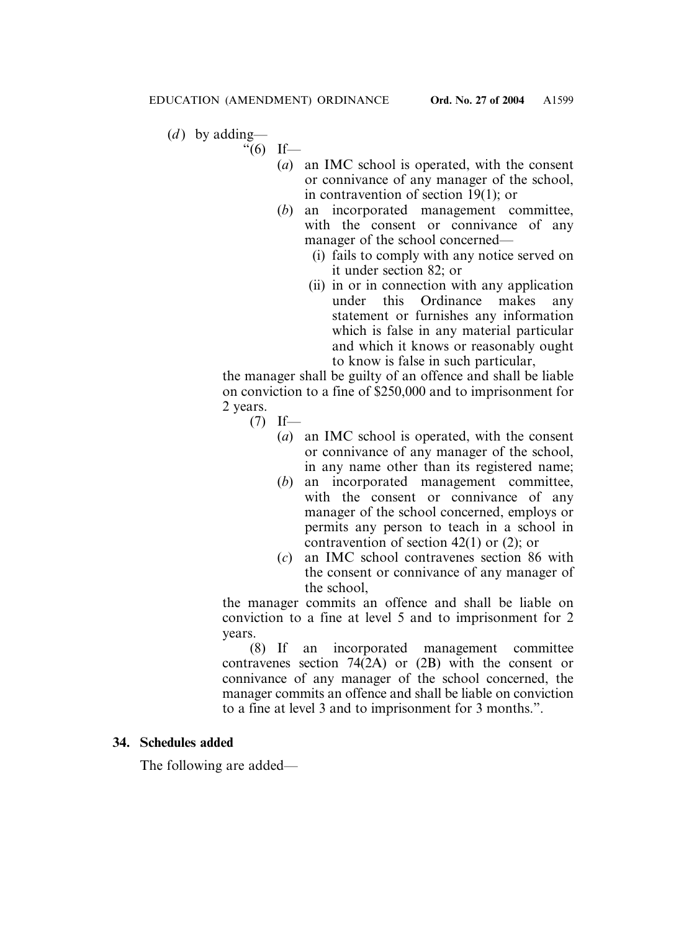- (*d*) by adding—
	- $\degree$ (6) If—
		- (*a*) an IMC school is operated, with the consent or connivance of any manager of the school, in contravention of section 19(1); or
		- (*b*) an incorporated management committee, with the consent or connivance of any manager of the school concerned—
			- (i) fails to comply with any notice served on it under section 82; or
			- (ii) in or in connection with any application under this Ordinance makes any statement or furnishes any information which is false in any material particular and which it knows or reasonably ought to know is false in such particular,

the manager shall be guilty of an offence and shall be liable on conviction to a fine of \$250,000 and to imprisonment for 2 years.

- $(7)$  If—
	- (*a*) an IMC school is operated, with the consent or connivance of any manager of the school, in any name other than its registered name;
	- (*b*) an incorporated management committee, with the consent or connivance of any manager of the school concerned, employs or permits any person to teach in a school in contravention of section 42(1) or (2); or
	- (*c*) an IMC school contravenes section 86 with the consent or connivance of any manager of the school,

the manager commits an offence and shall be liable on conviction to a fine at level 5 and to imprisonment for 2 years.

(8) If an incorporated management committee contravenes section 74(2A) or (2B) with the consent or connivance of any manager of the school concerned, the manager commits an offence and shall be liable on conviction to a fine at level 3 and to imprisonment for 3 months.".

### **34. Schedules added**

The following are added—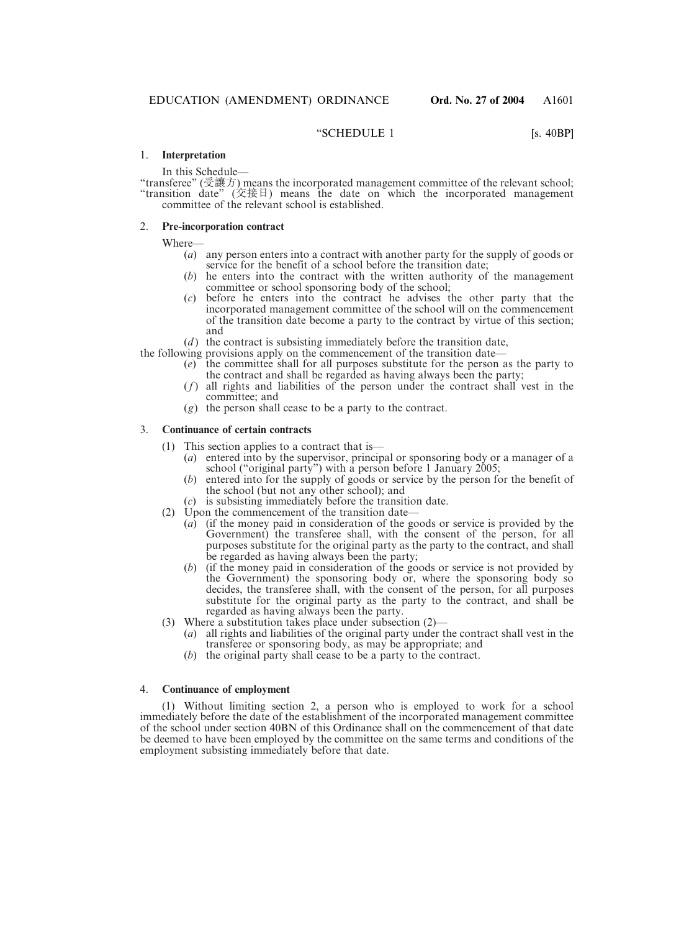#### "SCHEDULE 1 [s. 40BP]

#### 1. **Interpretation**

In this Schedule—

"transferee" (受讓方) means the incorporated management committee of the relevant school; "transition date" (交接日) means the date on which the incorporated management committee of the relevant school is established.

#### 2. **Pre-incorporation contract**

Where—

- (*a*) any person enters into a contract with another party for the supply of goods or service for the benefit of a school before the transition date;
- (*b*) he enters into the contract with the written authority of the management committee or school sponsoring body of the school;
- (*c*) before he enters into the contract he advises the other party that the incorporated management committee of the school will on the commencement of the transition date become a party to the contract by virtue of this section; and
- (*d*) the contract is subsisting immediately before the transition date,

the following provisions apply on the commencement of the transition date—

- (*e*) the committee shall for all purposes substitute for the person as the party to the contract and shall be regarded as having always been the party;
- (*f*) all rights and liabilities of the person under the contract shall vest in the committee; and
- (*g*) the person shall cease to be a party to the contract.

#### 3. **Continuance of certain contracts**

- (1) This section applies to a contract that is—
	- (*a*) entered into by the supervisor, principal or sponsoring body or a manager of a school ("original party") with a person before 1 January 2005;
	- (*b*) entered into for the supply of goods or service by the person for the benefit of the school (but not any other school); and
	- (*c*) is subsisting immediately before the transition date.
- (2) Upon the commencement of the transition date—
	- (*a*) (if the money paid in consideration of the goods or service is provided by the Government) the transferee shall, with the consent of the person, for all purposes substitute for the original party as the party to the contract, and shall be regarded as having always been the party;
	- (*b*) (if the money paid in consideration of the goods or service is not provided by the Government) the sponsoring body or, where the sponsoring body so decides, the transferee shall, with the consent of the person, for all purposes substitute for the original party as the party to the contract, and shall be regarded as having always been the party.
- (3) Where a substitution takes place under subsection (2)—
	- (*a*) all rights and liabilities of the original party under the contract shall vest in the transferee or sponsoring body, as may be appropriate; and
	- (*b*) the original party shall cease to be a party to the contract.

#### 4. **Continuance of employment**

(1) Without limiting section 2, a person who is employed to work for a school immediately before the date of the establishment of the incorporated management committee of the school under section 40BN of this Ordinance shall on the commencement of that date be deemed to have been employed by the committee on the same terms and conditions of the employment subsisting immediately before that date.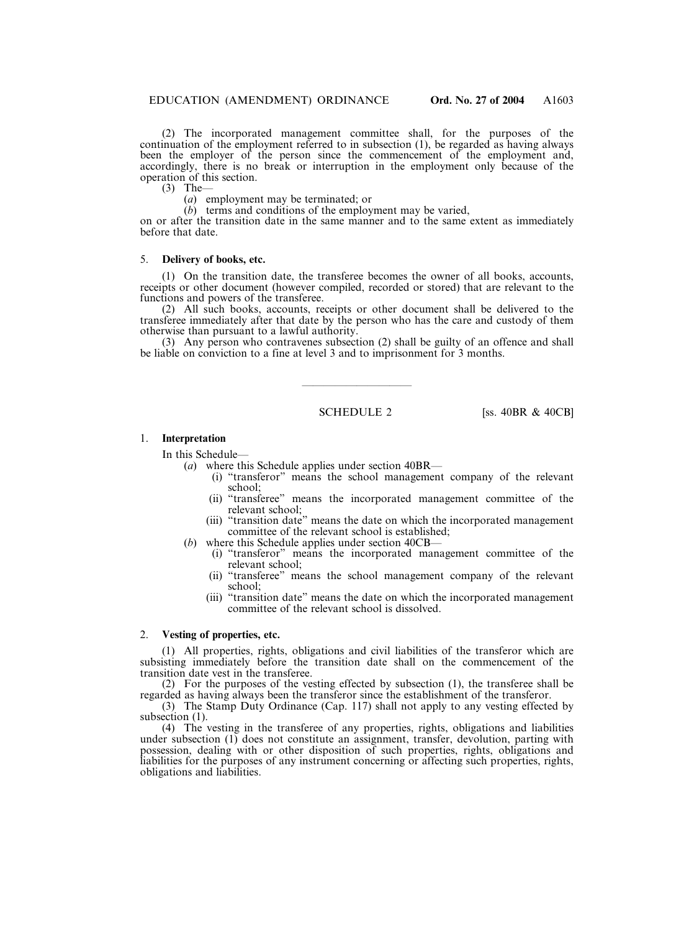(2) The incorporated management committee shall, for the purposes of the continuation of the employment referred to in subsection (1), be regarded as having always been the employer of the person since the commencement of the employment and, accordingly, there is no break or interruption in the employment only because of the operation of this section.

 $(3)$  The-

(*a*) employment may be terminated; or

(*b*) terms and conditions of the employment may be varied,

on or after the transition date in the same manner and to the same extent as immediately before that date.

#### 5. **Delivery of books, etc.**

(1) On the transition date, the transferee becomes the owner of all books, accounts, receipts or other document (however compiled, recorded or stored) that are relevant to the functions and powers of the transferee.

(2) All such books, accounts, receipts or other document shall be delivered to the transferee immediately after that date by the person who has the care and custody of them otherwise than pursuant to a lawful authority.

(3) Any person who contravenes subsection (2) shall be guilty of an offence and shall be liable on conviction to a fine at level 3 and to imprisonment for 3 months.

——————————

SCHEDULE 2 [SS. 40BR & 40CB]

#### 1. **Interpretation**

In this Schedule—

- (*a*) where this Schedule applies under section 40BR—
	- (i) "transferor" means the school management company of the relevant school;
	- (ii) "transferee" means the incorporated management committee of the relevant school;
	- (iii) "transition date" means the date on which the incorporated management committee of the relevant school is established;
- (*b*) where this Schedule applies under section 40CB—
	- (i) "transferor" means the incorporated management committee of the relevant school;
	- (ii) "transferee" means the school management company of the relevant school;
	- (iii) "transition date" means the date on which the incorporated management committee of the relevant school is dissolved.

#### 2. **Vesting of properties, etc.**

(1) All properties, rights, obligations and civil liabilities of the transferor which are subsisting immediately before the transition date shall on the commencement of the transition date vest in the transferee.

(2) For the purposes of the vesting effected by subsection (1), the transferee shall be regarded as having always been the transferor since the establishment of the transferor.

(3) The Stamp Duty Ordinance (Cap. 117) shall not apply to any vesting effected by subsection  $(1)$ .

(4) The vesting in the transferee of any properties, rights, obligations and liabilities under subsection (1) does not constitute an assignment, transfer, devolution, parting with possession, dealing with or other disposition of such properties, rights, obligations and liabilities for the purposes of any instrument concerning or affecting such properties, rights, obligations and liabilities.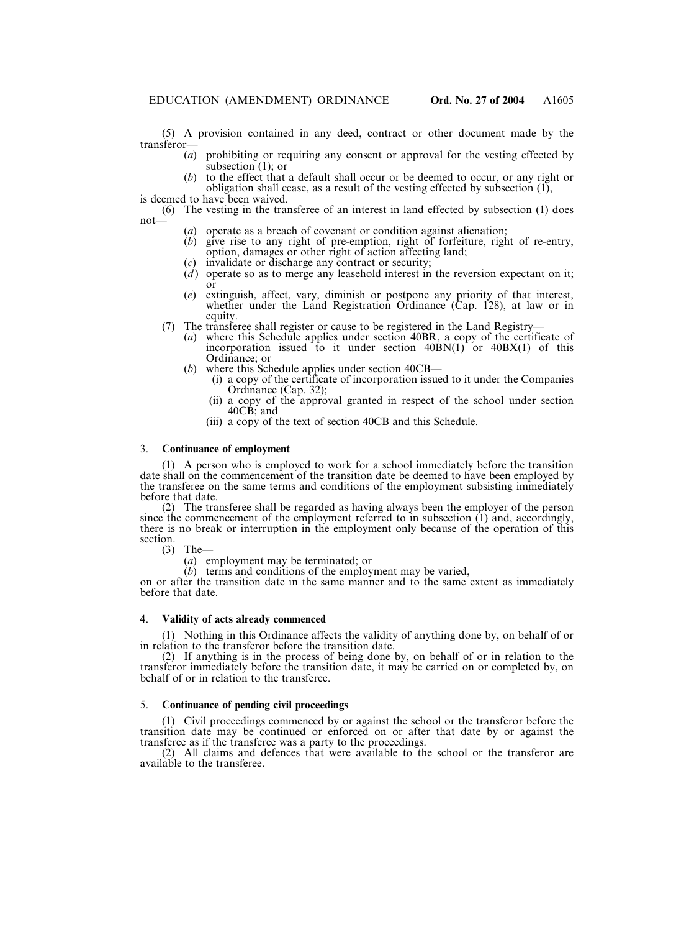(5) A provision contained in any deed, contract or other document made by the transferor—

- (*a*) prohibiting or requiring any consent or approval for the vesting effected by subsection (1); or
- (*b*) to the effect that a default shall occur or be deemed to occur, or any right or obligation shall cease, as a result of the vesting effected by subsection (1),

is deemed to have been waived.

(6) The vesting in the transferee of an interest in land effected by subsection (1) does not—

- (*a*) operate as a breach of covenant or condition against alienation;
- (*b*) give rise to any right of pre-emption, right of forfeiture, right of re-entry, option, damages or other right of action affecting land;
- (*c*) invalidate or discharge any contract or security;
- $(d)$  operate so as to merge any leasehold interest in the reversion expectant on it; or
- (*e*) extinguish, affect, vary, diminish or postpone any priority of that interest, whether under the Land Registration Ordinance (Cap. 128), at law or in equity.
- (7) The transferee shall register or cause to be registered in the Land Registry—
	- (*a*) where this Schedule applies under section 40BR, a copy of the certificate of incorporation issued to it under section  $40\text{BN}(1)$  or  $40\text{BX}(1)$  of this Ordinance; or
	- (*b*) where this Schedule applies under section 40CB—
		- (i) a copy of the certificate of incorporation issued to it under the Companies Ordinance (Cap. 32);
		- (ii) a copy of the approval granted in respect of the school under section 40CB; and
		- (iii) a copy of the text of section 40CB and this Schedule.

#### 3. **Continuance of employment**

(1) A person who is employed to work for a school immediately before the transition date shall on the commencement of the transition date be deemed to have been employed by the transferee on the same terms and conditions of the employment subsisting immediately before that date.

(2) The transferee shall be regarded as having always been the employer of the person since the commencement of the employment referred to in subsection (1) and, accordingly, there is no break or interruption in the employment only because of the operation of this section.

(3) The—

(*a*) employment may be terminated; or

(*b*) terms and conditions of the employment may be varied,

on or after the transition date in the same manner and to the same extent as immediately before that date.

#### 4. **Validity of acts already commenced**

(1) Nothing in this Ordinance affects the validity of anything done by, on behalf of or in relation to the transferor before the transition date.

(2) If anything is in the process of being done by, on behalf of or in relation to the transferor immediately before the transition date, it may be carried on or completed by, on behalf of or in relation to the transferee.

#### 5. **Continuance of pending civil proceedings**

(1) Civil proceedings commenced by or against the school or the transferor before the transition date may be continued or enforced on or after that date by or against the transferee as if the transferee was a party to the proceedings.

(2) All claims and defences that were available to the school or the transferor are available to the transferee.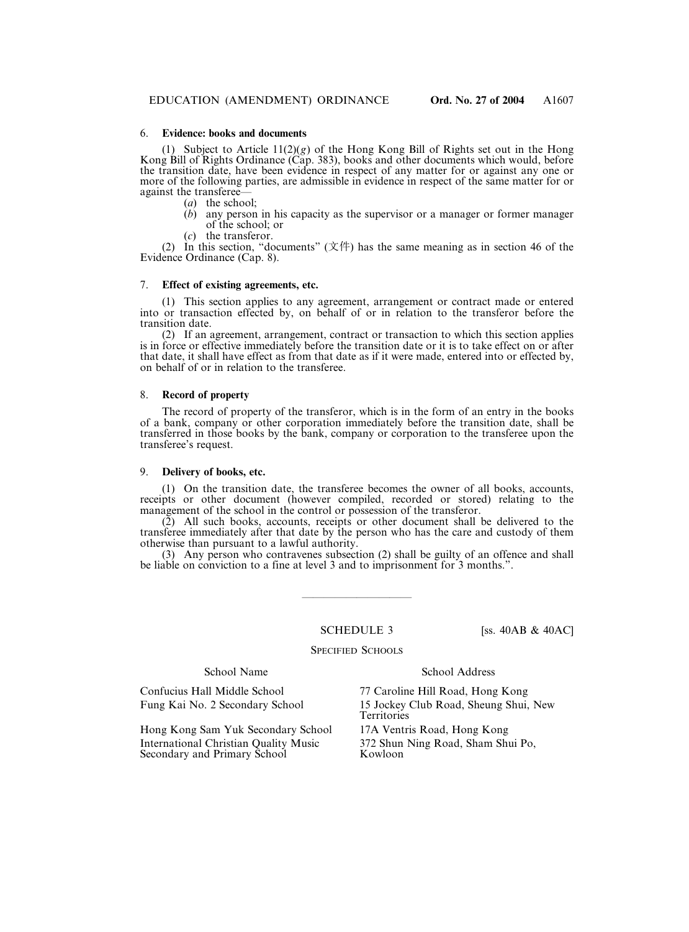#### 6. **Evidence: books and documents**

(1) Subject to Article  $11(2)(g)$  of the Hong Kong Bill of Rights set out in the Hong Kong Bill of Rights Ordinance (Cap. 383), books and other documents which would, before the transition date, have been evidence in respect of any matter for or against any one or more of the following parties, are admissible in evidence in respect of the same matter for or against the transferee—

- (*a*) the school;
- (*b*) any person in his capacity as the supervisor or a manager or former manager of the school; or
- the transferor.

(2) In this section, "documents" (文件) has the same meaning as in section 46 of the Evidence Ordinance (Cap. 8).

#### 7. **Effect of existing agreements, etc.**

(1) This section applies to any agreement, arrangement or contract made or entered into or transaction effected by, on behalf of or in relation to the transferor before the transition date.

(2) If an agreement, arrangement, contract or transaction to which this section applies is in force or effective immediately before the transition date or it is to take effect on or after that date, it shall have effect as from that date as if it were made, entered into or effected by, on behalf of or in relation to the transferee.

#### 8. **Record of property**

The record of property of the transferor, which is in the form of an entry in the books of a bank, company or other corporation immediately before the transition date, shall be transferred in those books by the bank, company or corporation to the transferee upon the transferee's request.

#### 9. **Delivery of books, etc.**

(1) On the transition date, the transferee becomes the owner of all books, accounts, receipts or other document (however compiled, recorded or stored) relating to the management of the school in the control or possession of the transferor.

(2) All such books, accounts, receipts or other document shall be delivered to the transferee immediately after that date by the person who has the care and custody of them otherwise than pursuant to a lawful authority.

(3) Any person who contravenes subsection (2) shall be guilty of an offence and shall be liable on conviction to a fine at level 3 and to imprisonment for 3 months.".

————————————————————

SCHEDULE 3 [ss. 40AB & 40AC]

#### SPECIFIED SCHOOLS

#### School Name School Address

Hong Kong Sam Yuk Secondary School 17A Ventris Road, Hong Kong International Christian Quality Music 372 Shun Ning Road, Sham Shui Po, Secondary and Primary School

Confucius Hall Middle School 77 Caroline Hill Road, Hong Kong Fung Kai No. 2 Secondary School 15 Jockey Club Road, Sheung Shui, New **Territories**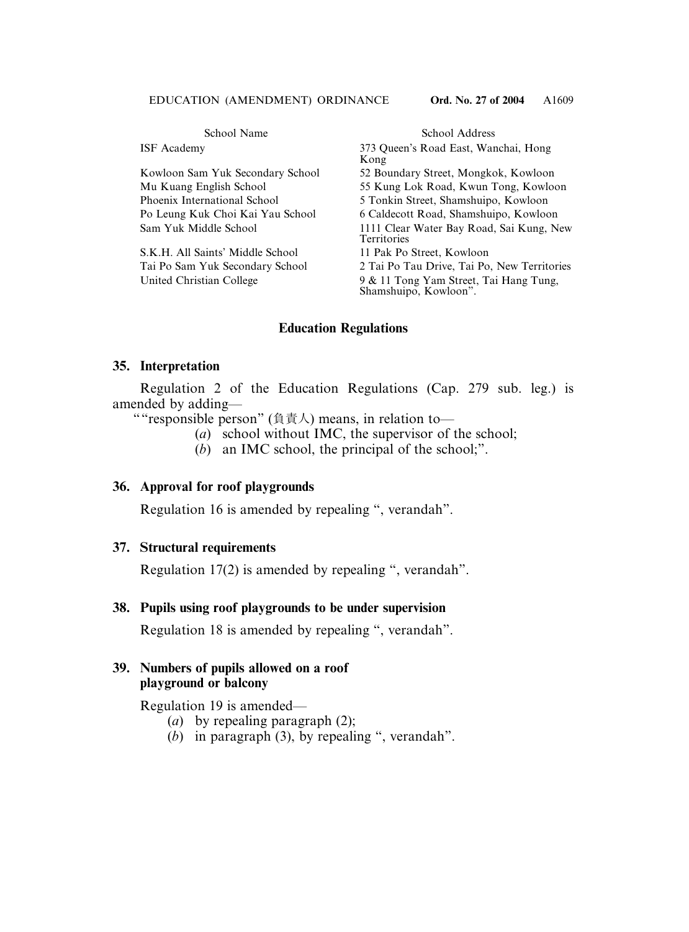| School Name                      | School Address                                                  |  |
|----------------------------------|-----------------------------------------------------------------|--|
| <b>ISF</b> Academy               | 373 Queen's Road East, Wanchai, Hong<br>Kong                    |  |
| Kowloon Sam Yuk Secondary School | 52 Boundary Street, Mongkok, Kowloon                            |  |
| Mu Kuang English School          | 55 Kung Lok Road, Kwun Tong, Kowloon                            |  |
| Phoenix International School     | 5 Tonkin Street, Shamshuipo, Kowloon                            |  |
| Po Leung Kuk Choi Kai Yau School | 6 Caldecott Road, Shamshuipo, Kowloon                           |  |
| Sam Yuk Middle School            | 1111 Clear Water Bay Road, Sai Kung, New<br><b>Territories</b>  |  |
| S.K.H. All Saints' Middle School | 11 Pak Po Street, Kowloon                                       |  |
| Tai Po Sam Yuk Secondary School  | 2 Tai Po Tau Drive, Tai Po, New Territories                     |  |
| United Christian College         | 9 & 11 Tong Yam Street, Tai Hang Tung,<br>Shamshuipo, Kowloon". |  |

# **Education Regulations**

### **35. Interpretation**

Regulation 2 of the Education Regulations (Cap. 279 sub. leg.) is amended by adding—

""responsible person" (負責人) means, in relation to—

- (*a*) school without IMC, the supervisor of the school;
- (*b*) an IMC school, the principal of the school;".

### **36. Approval for roof playgrounds**

Regulation 16 is amended by repealing ", verandah".

### **37. Structural requirements**

Regulation 17(2) is amended by repealing ", verandah".

### **38. Pupils using roof playgrounds to be under supervision**

Regulation 18 is amended by repealing ", verandah".

# **39. Numbers of pupils allowed on a roof playground or balcony**

Regulation 19 is amended—

- (*a*) by repealing paragraph (2);
- (*b*) in paragraph (3), by repealing ", verandah".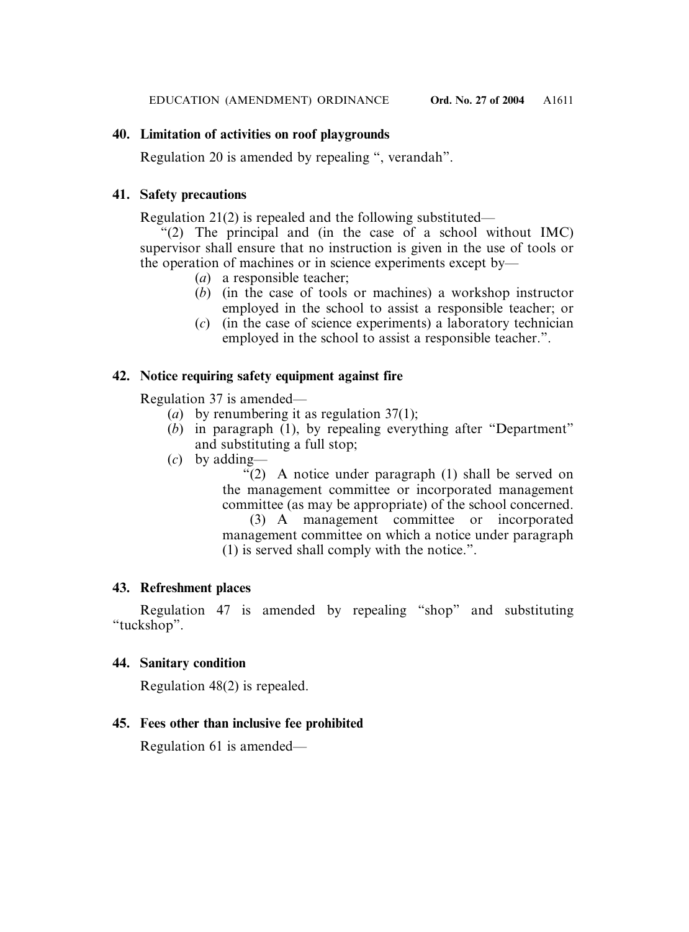# **40. Limitation of activities on roof playgrounds**

Regulation 20 is amended by repealing ", verandah".

# **41. Safety precautions**

Regulation 21(2) is repealed and the following substituted—

 $f'(2)$  The principal and (in the case of a school without IMC) supervisor shall ensure that no instruction is given in the use of tools or the operation of machines or in science experiments except by—

- (*a*) a responsible teacher;
- (*b*) (in the case of tools or machines) a workshop instructor employed in the school to assist a responsible teacher; or
- (*c*) (in the case of science experiments) a laboratory technician employed in the school to assist a responsible teacher.".

# **42. Notice requiring safety equipment against fire**

Regulation 37 is amended—

- (*a*) by renumbering it as regulation 37(1);
- (*b*) in paragraph (1), by repealing everything after "Department" and substituting a full stop;
- (*c*) by adding—

"(2) A notice under paragraph (1) shall be served on the management committee or incorporated management committee (as may be appropriate) of the school concerned.

(3) A management committee or incorporated management committee on which a notice under paragraph (1) is served shall comply with the notice.".

# **43. Refreshment places**

Regulation 47 is amended by repealing "shop" and substituting "tuckshop".

# **44. Sanitary condition**

Regulation 48(2) is repealed.

# **45. Fees other than inclusive fee prohibited**

Regulation 61 is amended—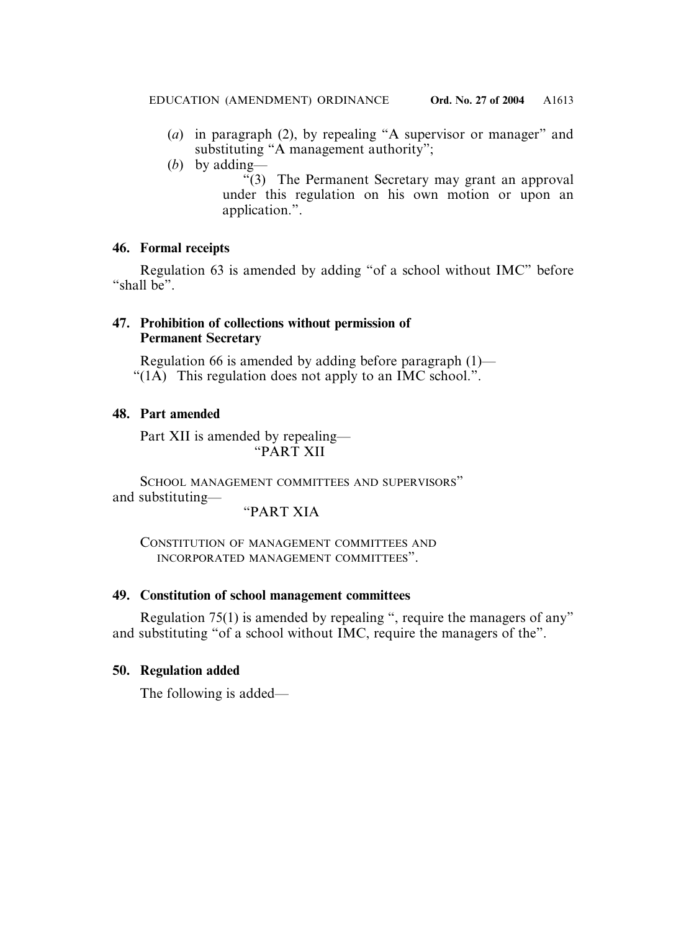- (*a*) in paragraph (2), by repealing "A supervisor or manager" and substituting "A management authority";
- (*b*) by adding—
	- "(3) The Permanent Secretary may grant an approval under this regulation on his own motion or upon an application.".

# **46. Formal receipts**

Regulation 63 is amended by adding "of a school without IMC" before "shall be".

# **47. Prohibition of collections without permission of Permanent Secretary**

Regulation 66 is amended by adding before paragraph (1)— "(1A) This regulation does not apply to an IMC school.".

# **48. Part amended**

Part XII is amended by repealing— "PART XII

SCHOOL MANAGEMENT COMMITTEES AND SUPERVISORS" and substituting—

## "PART XIA

CONSTITUTION OF MANAGEMENT COMMITTEES AND INCORPORATED MANAGEMENT COMMITTEES".

# **49. Constitution of school management committees**

Regulation 75(1) is amended by repealing ", require the managers of any" and substituting "of a school without IMC, require the managers of the".

# **50. Regulation added**

The following is added—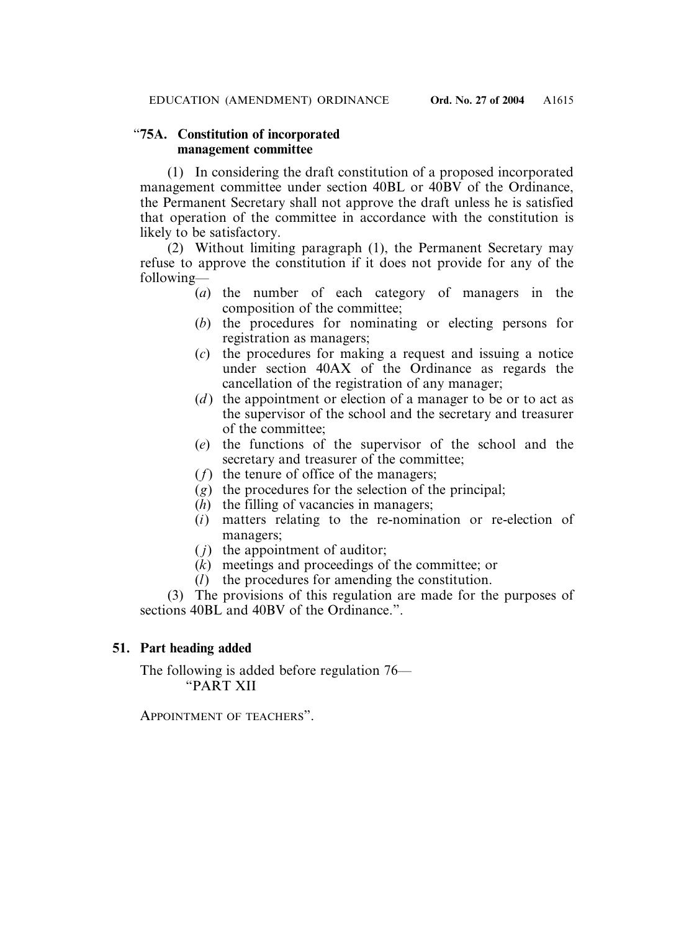# "**75A. Constitution of incorporated management committee**

(1) In considering the draft constitution of a proposed incorporated management committee under section 40BL or 40BV of the Ordinance, the Permanent Secretary shall not approve the draft unless he is satisfied that operation of the committee in accordance with the constitution is likely to be satisfactory.

 $(2)$  Without limiting paragraph (1), the Permanent Secretary may refuse to approve the constitution if it does not provide for any of the following—

- (*a*) the number of each category of managers in the composition of the committee;
- (*b*) the procedures for nominating or electing persons for registration as managers;
- (*c*) the procedures for making a request and issuing a notice under section 40AX of the Ordinance as regards the cancellation of the registration of any manager;
- (*d*) the appointment or election of a manager to be or to act as the supervisor of the school and the secretary and treasurer of the committee;
- (*e*) the functions of the supervisor of the school and the secretary and treasurer of the committee;
- (*f*) the tenure of office of the managers;
- (*g*) the procedures for the selection of the principal;
- (*h*) the filling of vacancies in managers;
- (*i*) matters relating to the re-nomination or re-election of managers;
- $(j)$  the appointment of auditor;
- (*k*) meetings and proceedings of the committee; or
- (*l*) the procedures for amending the constitution.

(3) The provisions of this regulation are made for the purposes of sections  $40BL$  and  $40BV$  of the Ordinance.".

# **51. Part heading added**

The following is added before regulation 76— "PART XII

APPOINTMENT OF TEACHERS".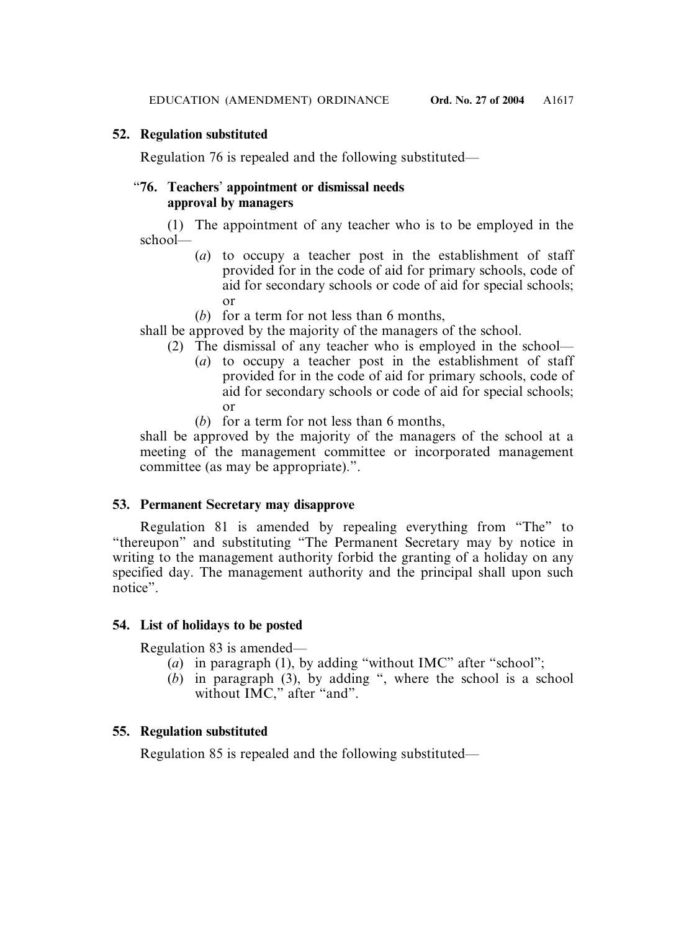# **52. Regulation substituted**

Regulation 76 is repealed and the following substituted—

# "**76. Teachers**' **appointment or dismissal needs approval by managers**

(1) The appointment of any teacher who is to be employed in the school—

- (*a*) to occupy a teacher post in the establishment of staff provided for in the code of aid for primary schools, code of aid for secondary schools or code of aid for special schools; or
- (*b*) for a term for not less than 6 months,

shall be approved by the majority of the managers of the school.

- (2) The dismissal of any teacher who is employed in the school—
	- (*a*) to occupy a teacher post in the establishment of staff provided for in the code of aid for primary schools, code of aid for secondary schools or code of aid for special schools; or
	- (*b*) for a term for not less than 6 months,

shall be approved by the majority of the managers of the school at a meeting of the management committee or incorporated management committee (as may be appropriate).".

# **53. Permanent Secretary may disapprove**

Regulation 81 is amended by repealing everything from "The" to "thereupon" and substituting "The Permanent Secretary may by notice in writing to the management authority forbid the granting of a holiday on any specified day. The management authority and the principal shall upon such notice".

# **54. List of holidays to be posted**

Regulation 83 is amended—

- (*a*) in paragraph (1), by adding "without IMC" after "school";
- $(b)$  in paragraph  $(3)$ , by adding ", where the school is a school without IMC," after "and".

# **55. Regulation substituted**

Regulation 85 is repealed and the following substituted—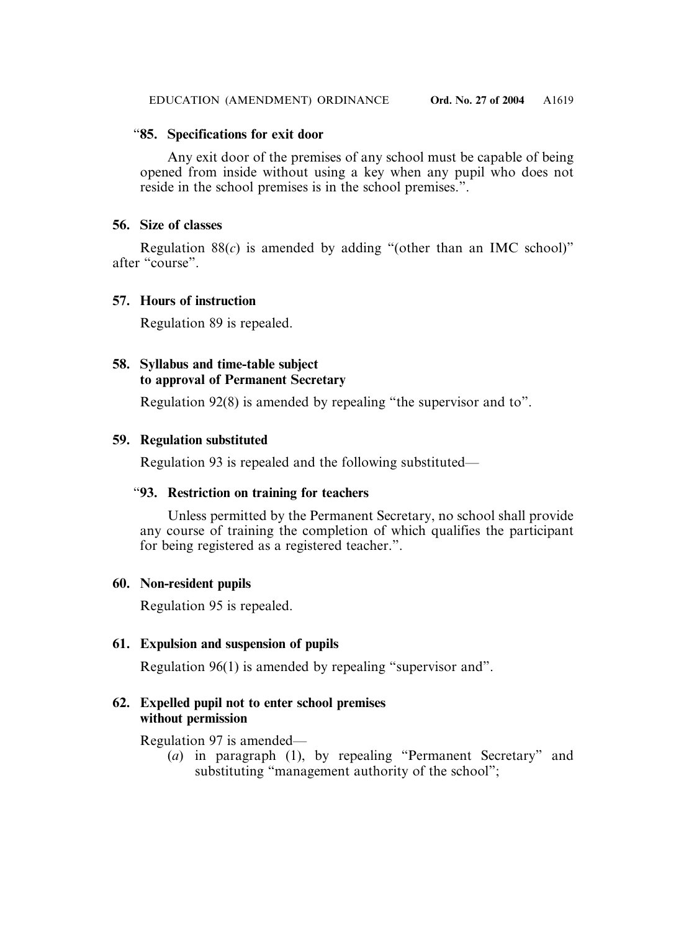# "**85. Specifications for exit door**

Any exit door of the premises of any school must be capable of being opened from inside without using a key when any pupil who does not reside in the school premises is in the school premises.".

# **56. Size of classes**

Regulation 88(*c*) is amended by adding "(other than an IMC school)" after "course".

# **57. Hours of instruction**

Regulation 89 is repealed.

# **58. Syllabus and time-table subject to approval of Permanent Secretary**

Regulation 92(8) is amended by repealing "the supervisor and to".

# **59. Regulation substituted**

Regulation 93 is repealed and the following substituted—

# "**93. Restriction on training for teachers**

Unless permitted by the Permanent Secretary, no school shall provide any course of training the completion of which qualifies the participant for being registered as a registered teacher.".

# **60. Non-resident pupils**

Regulation 95 is repealed.

# **61. Expulsion and suspension of pupils**

Regulation 96(1) is amended by repealing "supervisor and".

# **62. Expelled pupil not to enter school premises without permission**

Regulation 97 is amended—

(*a*) in paragraph (1), by repealing "Permanent Secretary" and substituting "management authority of the school";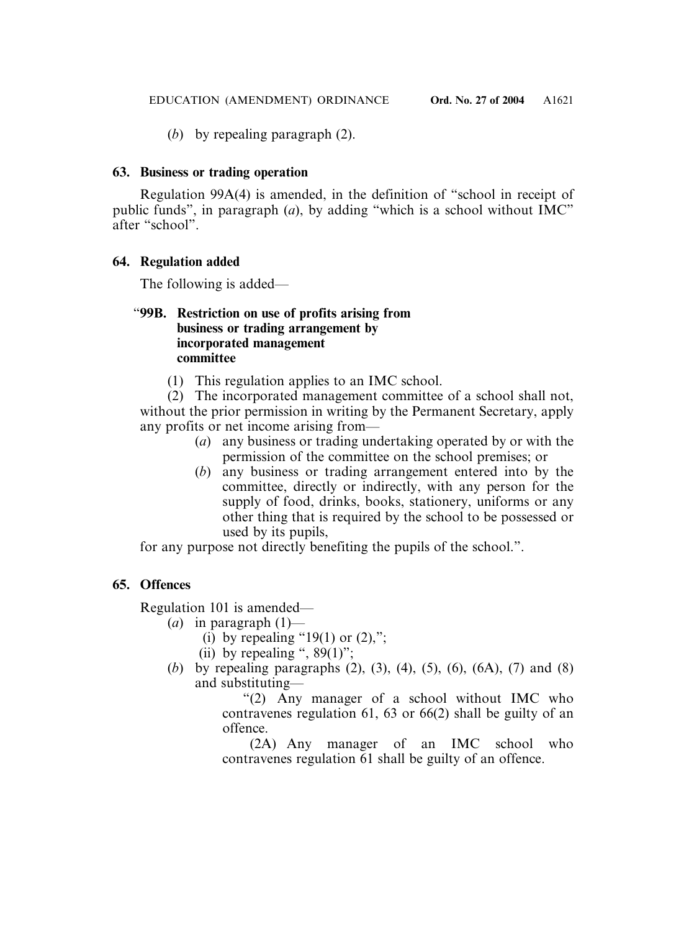(*b*) by repealing paragraph (2).

# **63. Business or trading operation**

Regulation 99A(4) is amended, in the definition of "school in receipt of public funds", in paragraph (*a*), by adding "which is a school without IMC" after "school".

# **64. Regulation added**

The following is added—

# "**99B. Restriction on use of profits arising from business or trading arrangement by incorporated management committee**

(1) This regulation applies to an IMC school.

(2) The incorporated management committee of a school shall not, without the prior permission in writing by the Permanent Secretary, apply any profits or net income arising from—

- (*a*) any business or trading undertaking operated by or with the permission of the committee on the school premises; or
- (*b*) any business or trading arrangement entered into by the committee, directly or indirectly, with any person for the supply of food, drinks, books, stationery, uniforms or any other thing that is required by the school to be possessed or used by its pupils,

for any purpose not directly benefiting the pupils of the school.".

# **65. Offences**

Regulation 101 is amended—

- (*a*) in paragraph (1)—
	- (i) by repealing "19(1) or  $(2)$ ,";
	- (ii) by repealing ",  $89(1)$ ";
- (*b*) by repealing paragraphs (2), (3), (4), (5), (6), (6A), (7) and (8) and substituting—

"(2) Any manager of a school without IMC who contravenes regulation 61, 63 or 66(2) shall be guilty of an offence.

(2A) Any manager of an IMC school who contravenes regulation 61 shall be guilty of an offence.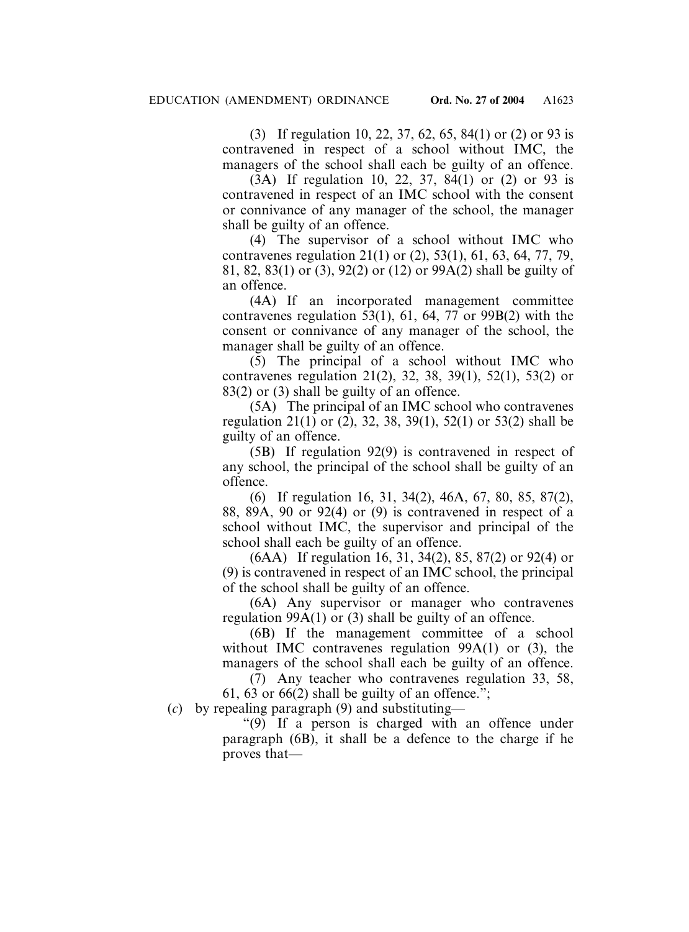(3) If regulation 10, 22, 37, 62, 65, 84(1) or (2) or 93 is contravened in respect of a school without IMC, the managers of the school shall each be guilty of an offence.

(3A) If regulation 10, 22, 37, 84(1) or (2) or 93 is contravened in respect of an IMC school with the consent or connivance of any manager of the school, the manager shall be guilty of an offence.

(4) The supervisor of a school without IMC who contravenes regulation 21(1) or (2), 53(1), 61, 63, 64, 77, 79, 81, 82, 83(1) or (3), 92(2) or (12) or 99A(2) shall be guilty of an offence.

(4A) If an incorporated management committee contravenes regulation 53(1), 61, 64, 77 or 99B(2) with the consent or connivance of any manager of the school, the manager shall be guilty of an offence.

(5) The principal of a school without IMC who contravenes regulation 21(2), 32, 38, 39(1), 52(1), 53(2) or 83(2) or (3) shall be guilty of an offence.

(5A) The principal of an IMC school who contravenes regulation 21(1) or (2), 32, 38, 39(1), 52(1) or 53(2) shall be guilty of an offence.

(5B) If regulation 92(9) is contravened in respect of any school, the principal of the school shall be guilty of an offence.

(6) If regulation 16, 31, 34(2), 46A, 67, 80, 85, 87(2), 88, 89A, 90 or 92(4) or (9) is contravened in respect of a school without IMC, the supervisor and principal of the school shall each be guilty of an offence.

(6AA) If regulation 16, 31, 34(2), 85, 87(2) or 92(4) or (9) is contravened in respect of an IMC school, the principal of the school shall be guilty of an offence.

(6A) Any supervisor or manager who contravenes regulation 99A(1) or (3) shall be guilty of an offence.

(6B) If the management committee of a school without IMC contravenes regulation 99A(1) or (3), the managers of the school shall each be guilty of an offence.

(7) Any teacher who contravenes regulation 33, 58, 61, 63 or 66(2) shall be guilty of an offence.":

(*c*) by repealing paragraph (9) and substituting—

"(9) If a person is charged with an offence under paragraph (6B), it shall be a defence to the charge if he proves that—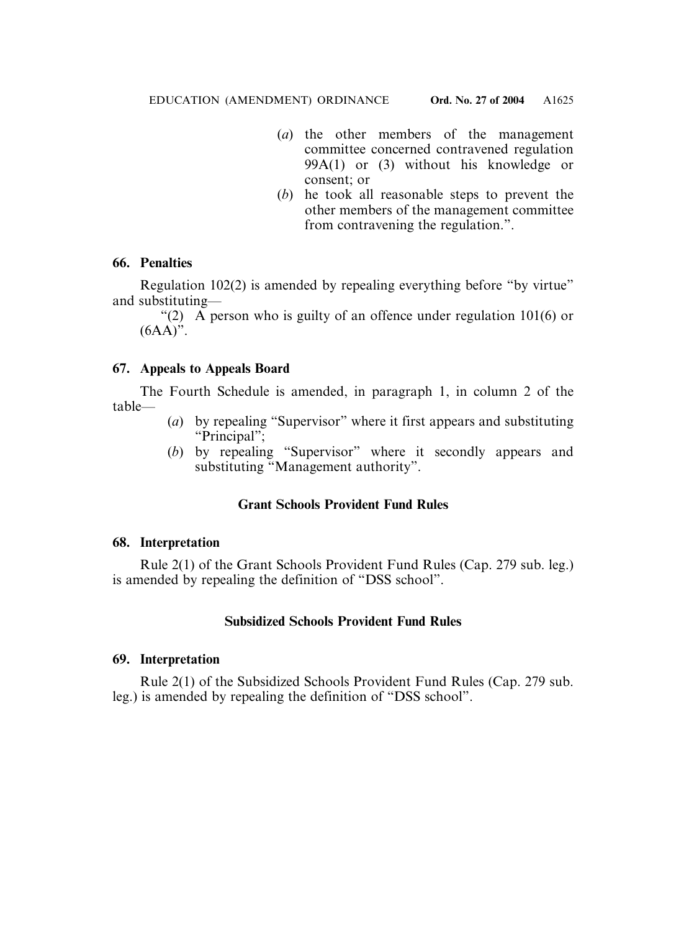- (*a*) the other members of the management committee concerned contravened regulation 99A(1) or (3) without his knowledge or consent; or
- (*b*) he took all reasonable steps to prevent the other members of the management committee from contravening the regulation.".

# **66. Penalties**

Regulation 102(2) is amended by repealing everything before "by virtue" and substituting—

"(2) A person who is guilty of an offence under regulation 101(6) or  $(6AA)$ ".

# **67. Appeals to Appeals Board**

The Fourth Schedule is amended, in paragraph 1, in column 2 of the table—

- (*a*) by repealing "Supervisor" where it first appears and substituting "Principal";
- (*b*) by repealing "Supervisor" where it secondly appears and substituting "Management authority".

# **Grant Schools Provident Fund Rules**

# **68. Interpretation**

Rule 2(1) of the Grant Schools Provident Fund Rules (Cap. 279 sub. leg.) is amended by repealing the definition of "DSS school".

# **Subsidized Schools Provident Fund Rules**

# **69. Interpretation**

Rule 2(1) of the Subsidized Schools Provident Fund Rules (Cap. 279 sub. leg.) is amended by repealing the definition of "DSS school".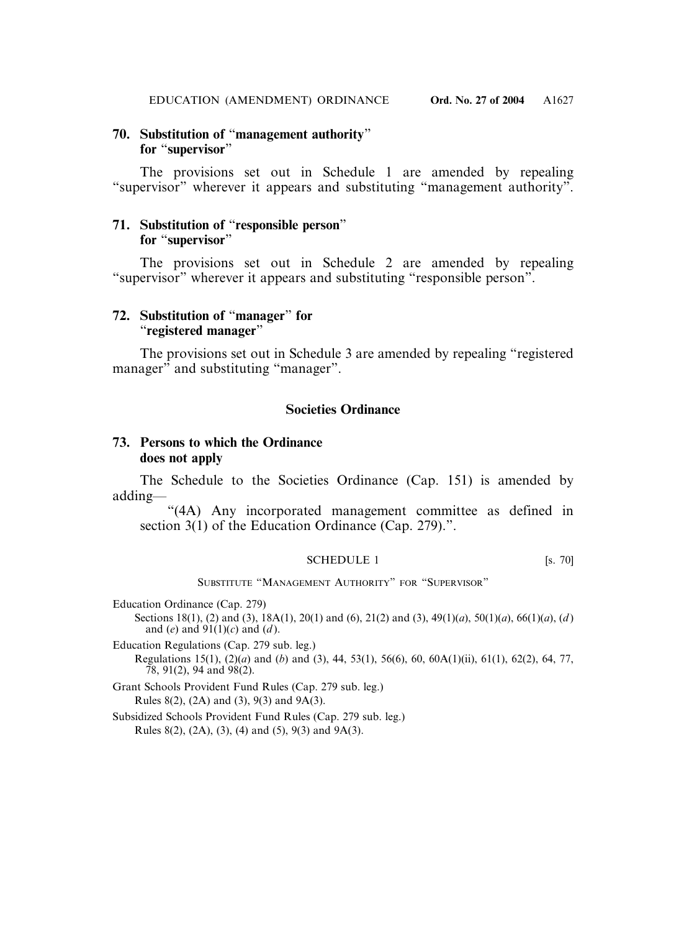### **70. Substitution of** "**management authority**" **for** "**supervisor**"

The provisions set out in Schedule 1 are amended by repealing "supervisor" wherever it appears and substituting "management authority".

### **71. Substitution of** "**responsible person**" **for** "**supervisor**"

The provisions set out in Schedule 2 are amended by repealing "supervisor" wherever it appears and substituting "responsible person".

### **72. Substitution of** "**manager**" **for**  "**registered manager**"

The provisions set out in Schedule 3 are amended by repealing "registered manager" and substituting "manager".

### **Societies Ordinance**

### **73. Persons to which the Ordinance does not apply**

The Schedule to the Societies Ordinance (Cap. 151) is amended by adding—

"(4A) Any incorporated management committee as defined in section 3(1) of the Education Ordinance (Cap. 279).".

#### SCHEDULE 1 [s. 70]

SUBSTITUTE "MANAGEMENT AUTHORITY" FOR "SUPERVISOR"

Education Ordinance (Cap. 279)

Sections 18(1), (2) and (3), 18A(1), 20(1) and (6), 21(2) and (3), 49(1)(*a*), 50(1)(*a*), 66(1)(*a*), (*d* ) and (*e*) and  $91(1)(c)$  and (*d*).

Education Regulations (Cap. 279 sub. leg.) Regulations 15(1), (2)(*a*) and (*b*) and (3), 44, 53(1), 56(6), 60, 60A(1)(ii), 61(1), 62(2), 64, 77,  $78, 91(2), 94$  and  $98(2)$ .

Grant Schools Provident Fund Rules (Cap. 279 sub. leg.) Rules 8(2), (2A) and (3), 9(3) and 9A(3).

Subsidized Schools Provident Fund Rules (Cap. 279 sub. leg.) Rules 8(2), (2A), (3), (4) and (5), 9(3) and 9A(3).